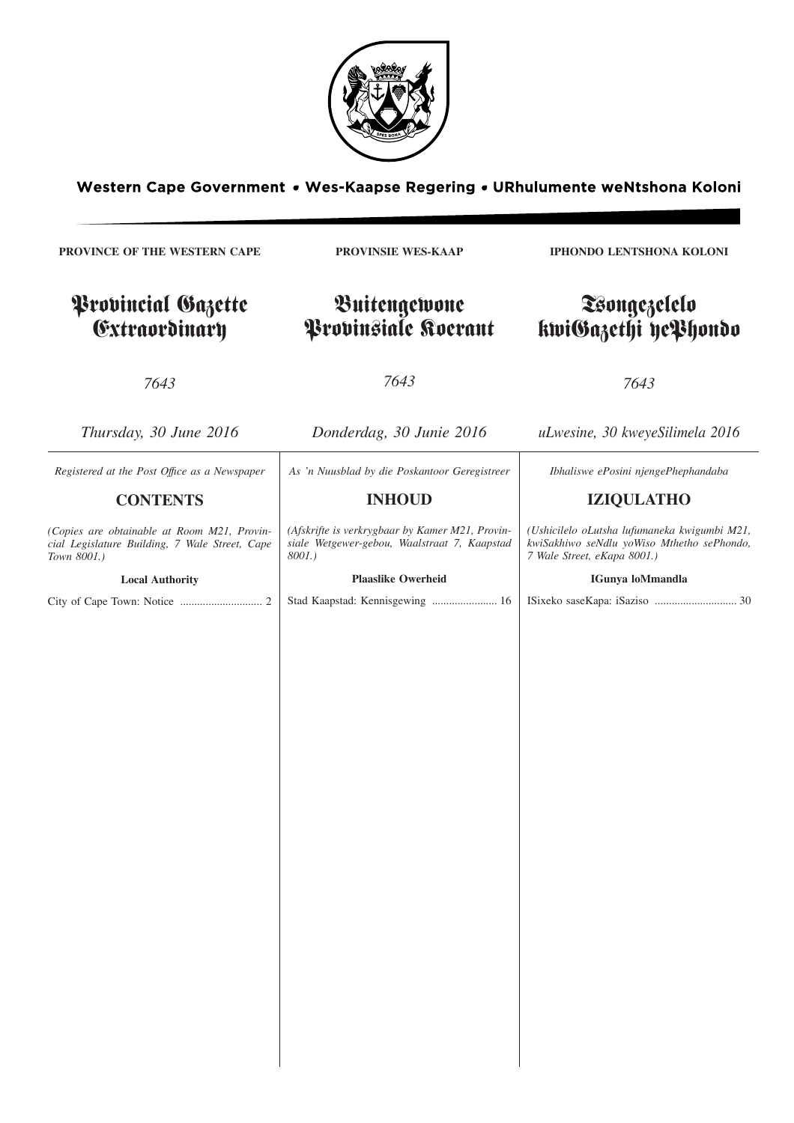

Western Cape Government . Wes-Kaapse Regering . URhulumente weNtshona Koloni

**PROVINCE OF THE WESTERN CAPE** Provincial Gazette Extraordinary *7643 Thursday, 30 June 2016* **PROVINSIE WES-KAAP** Buitengewone Provinsiale Koerant *7643 Donderdag, 30 Junie 2016* **IPHONDO LENTSHONA KOLONI** Tsongezelelo kwiGazethi yePhondo *7643 uLwesine, 30 kweyeSilimela 2016 Registered at the Post Offıce as a Newspaper* **CONTENTS** *(Copies are obtainable at Room M21, Provincial Legislature Building, 7 Wale Street, Cape Town 8001.)* **Local Authority** City of Cape Town: Notice ............................. 2 *As 'n Nuusblad by die Poskantoor Geregistreer* **INHOUD** *(Afskrifte is verkrygbaar by Kamer M21, Provinsiale Wetgewer-gebou, Waalstraat 7, Kaapstad 8001.)* **Plaaslike Owerheid** Stad Kaapstad: Kennisgewing ....................... 16 *Ibhaliswe ePosini njengePhephandaba* **IZIQULATHO** *(Ushicilelo oLutsha lufumaneka kwigumbi M21, kwiSakhiwo seNdlu yoWiso Mthetho sePhondo, 7 Wale Street, eKapa 8001.)* **IGunya loMmandla** ISixeko saseKapa: iSaziso ............................. 30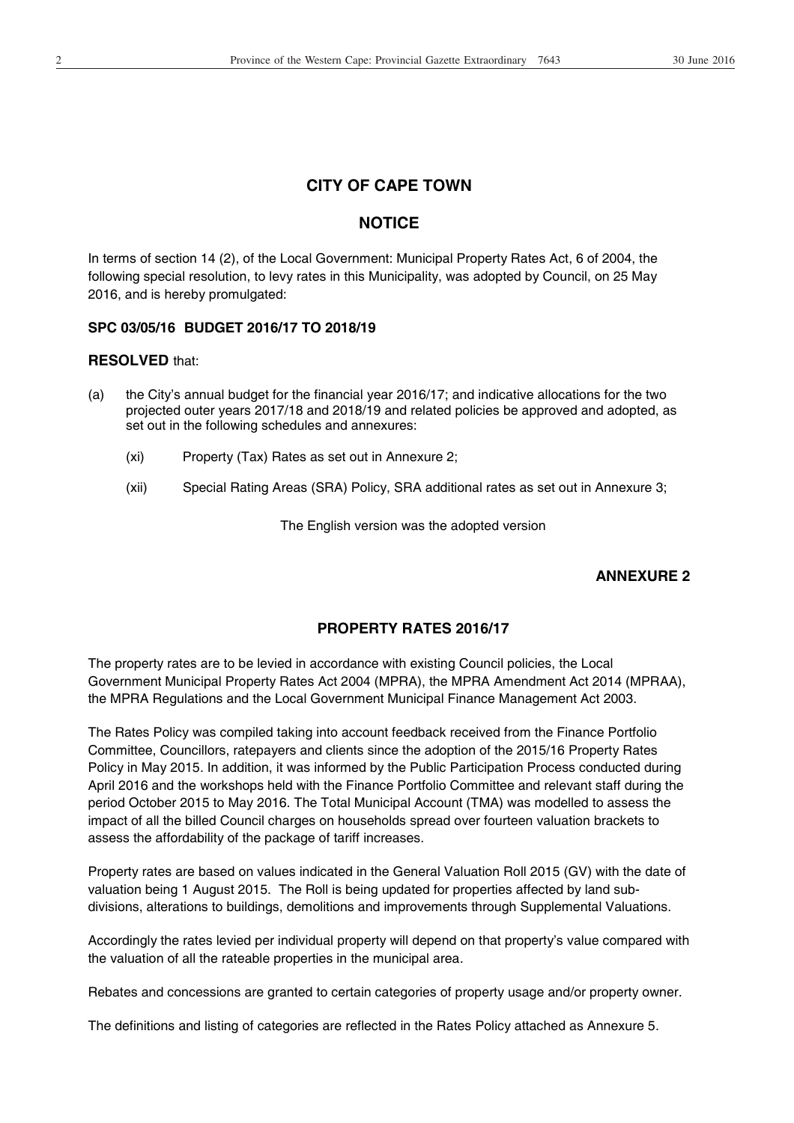# **CITY OF CAPE TOWN**

# **NOTICE**

In terms of section 14 (2), of the Local Government: Municipal Property Rates Act, 6 of 2004, the following special resolution, to levy rates in this Municipality, was adopted by Council, on 25 May 2016, and is hereby promulgated:

## **SPC 03/05/16 BUDGET 2016/17 TO 2018/19**

### **RESOLVED** that:

- (a) the City's annual budget for the financial year 2016/17; and indicative allocations for the two projected outer years 2017/18 and 2018/19 and related policies be approved and adopted, as set out in the following schedules and annexures:
	- (xi) Property (Tax) Rates as set out in Annexure 2;
	- (xii) Special Rating Areas (SRA) Policy, SRA additional rates as set out in Annexure 3;

The English version was the adopted version

# **ANNEXURE 2**

# **PROPERTY RATES 2016/17**

The property rates are to be levied in accordance with existing Council policies, the Local Government Municipal Property Rates Act 2004 (MPRA), the MPRA Amendment Act 2014 (MPRAA), the MPRA Regulations and the Local Government Municipal Finance Management Act 2003.

The Rates Policy was compiled taking into account feedback received from the Finance Portfolio Committee, Councillors, ratepayers and clients since the adoption of the 2015/16 Property Rates Policy in May 2015. In addition, it was informed by the Public Participation Process conducted during April 2016 and the workshops held with the Finance Portfolio Committee and relevant staff during the period October 2015 to May 2016. The Total Municipal Account (TMA) was modelled to assess the impact of all the billed Council charges on households spread over fourteen valuation brackets to assess the affordability of the package of tariff increases.

Property rates are based on values indicated in the General Valuation Roll 2015 (GV) with the date of valuation being 1 August 2015. The Roll is being updated for properties affected by land subdivisions, alterations to buildings, demolitions and improvements through Supplemental Valuations.

Accordingly the rates levied per individual property will depend on that property's value compared with the valuation of all the rateable properties in the municipal area.

Rebates and concessions are granted to certain categories of property usage and/or property owner.

The definitions and listing of categories are reflected in the Rates Policy attached as Annexure 5.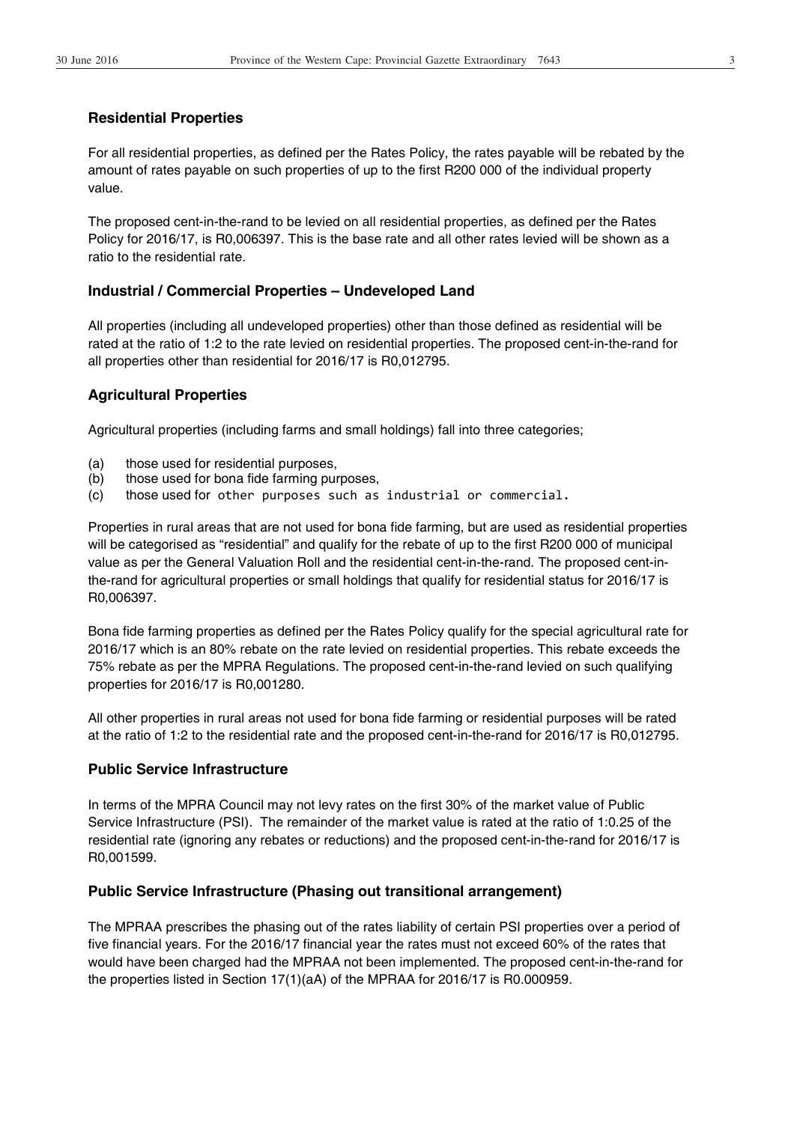## **Residential Properties**

For all residential properties, as defined per the Rates Policy, the rates payable will be rebated by the amount of rates payable on such properties of up to the first R200 000 of the individual property value.

The proposed cent-in-the-rand to be levied on all residential properties, as defined per the Rates Policy for 2016/17, is R0,006397. This is the base rate and all other rates levied will be shown as a ratio to the residential rate.

### **Industrial / Commercial Properties – Undeveloped Land**

All properties (including all undeveloped properties) other than those defined as residential will be rated at the ratio of 1:2 to the rate levied on residential properties. The proposed cent-in-the-rand for all properties other than residential for 2016/17 is R0,012795.

### **Agricultural Properties**

Agricultural properties (including farms and small holdings) fall into three categories;

- (a) those used for residential purposes,
- (b) those used for bona fide farming purposes,
- (c) those used for other purposes such as industrial or commercial.

Properties in rural areas that are not used for bona fide farming, but are used as residential properties will be categorised as "residential" and qualify for the rebate of up to the first R200 000 of municipal value as per the General Valuation Roll and the residential cent-in-the-rand. The proposed cent-inthe-rand for agricultural properties or small holdings that qualify for residential status for 2016/17 is R0,006397.

Bona fide farming properties as defined per the Rates Policy qualify for the special agricultural rate for 2016/17 which is an 80% rebate on the rate levied on residential properties. This rebate exceeds the 75% rebate as per the MPRA Regulations. The proposed cent-in-the-rand levied on such qualifying properties for 2016/17 is R0,001280.

All other properties in rural areas not used for bona fide farming or residential purposes will be rated at the ratio of 1:2 to the residential rate and the proposed cent-in-the-rand for 2016/17 is R0,012795.

#### **Public Service Infrastructure**

In terms of the MPRA Council may not levy rates on the first 30% of the market value of Public Service Infrastructure (PSI). The remainder of the market value is rated at the ratio of 1:0.25 of the residential rate (ignoring any rebates or reductions) and the proposed cent-in-the-rand for 2016/17 is R0,001599.

#### **Public Service Infrastructure (Phasing out transitional arrangement)**

The MPRAA prescribes the phasing out of the rates liability of certain PSI properties over a period of five financial years. For the 2016/17 financial year the rates must not exceed 60% of the rates that would have been charged had the MPRAA not been implemented. The proposed cent-in-the-rand for the properties listed in Section 17(1)(aA) of the MPRAA for 2016/17 is R0.000959.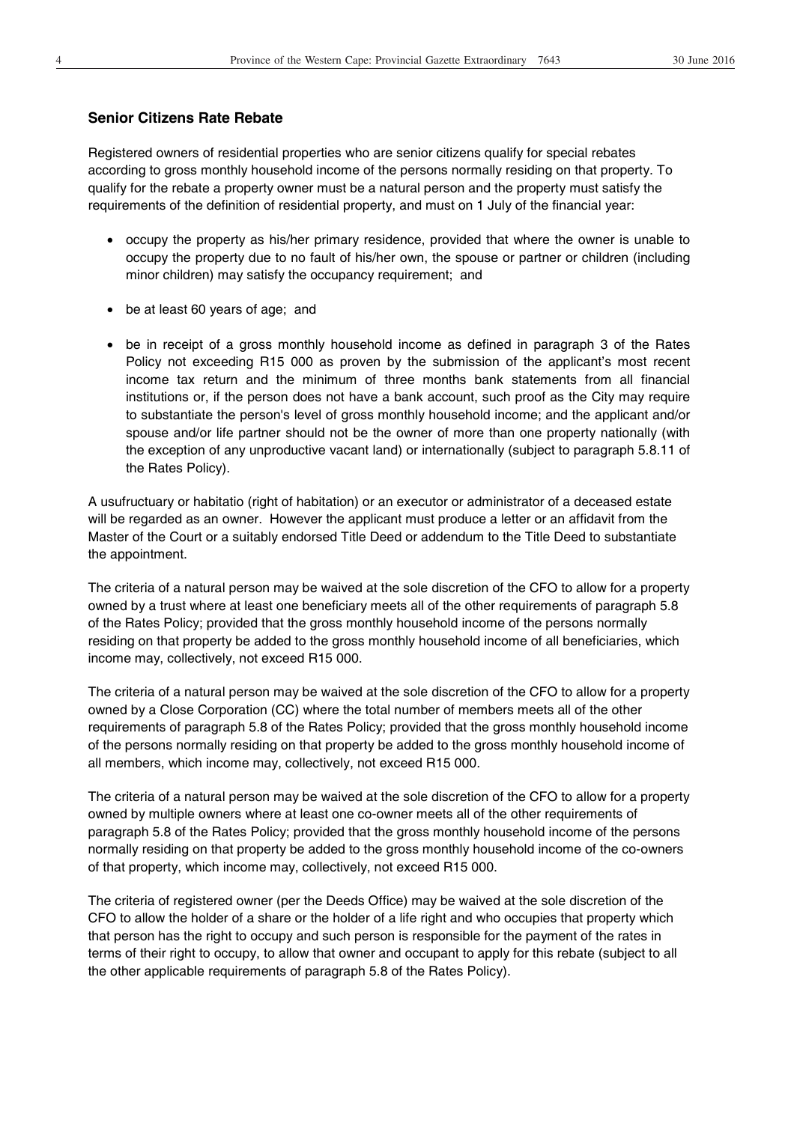#### **Senior Citizens Rate Rebate**

Registered owners of residential properties who are senior citizens qualify for special rebates according to gross monthly household income of the persons normally residing on that property. To qualify for the rebate a property owner must be a natural person and the property must satisfy the requirements of the definition of residential property, and must on 1 July of the financial year:

- occupy the property as his/her primary residence, provided that where the owner is unable to occupy the property due to no fault of his/her own, the spouse or partner or children (including minor children) may satisfy the occupancy requirement; and
- $\bullet$  be at least 60 years of age; and
- be in receipt of a gross monthly household income as defined in paragraph 3 of the Rates Policy not exceeding R15 000 as proven by the submission of the applicant's most recent income tax return and the minimum of three months bank statements from all financial institutions or, if the person does not have a bank account, such proof as the City may require to substantiate the person's level of gross monthly household income; and the applicant and/or spouse and/or life partner should not be the owner of more than one property nationally (with the exception of any unproductive vacant land) or internationally (subject to paragraph 5.8.11 of the Rates Policy).

A usufructuary or habitatio (right of habitation) or an executor or administrator of a deceased estate will be regarded as an owner. However the applicant must produce a letter or an affidavit from the Master of the Court or a suitably endorsed Title Deed or addendum to the Title Deed to substantiate the appointment.

The criteria of a natural person may be waived at the sole discretion of the CFO to allow for a property owned by a trust where at least one beneficiary meets all of the other requirements of paragraph 5.8 of the Rates Policy; provided that the gross monthly household income of the persons normally residing on that property be added to the gross monthly household income of all beneficiaries, which income may, collectively, not exceed R15 000.

The criteria of a natural person may be waived at the sole discretion of the CFO to allow for a property owned by a Close Corporation (CC) where the total number of members meets all of the other requirements of paragraph 5.8 of the Rates Policy; provided that the gross monthly household income of the persons normally residing on that property be added to the gross monthly household income of all members, which income may, collectively, not exceed R15 000.

The criteria of a natural person may be waived at the sole discretion of the CFO to allow for a property owned by multiple owners where at least one co-owner meets all of the other requirements of paragraph 5.8 of the Rates Policy; provided that the gross monthly household income of the persons normally residing on that property be added to the gross monthly household income of the co-owners of that property, which income may, collectively, not exceed R15 000.

The criteria of registered owner (per the Deeds Office) may be waived at the sole discretion of the CFO to allow the holder of a share or the holder of a life right and who occupies that property which that person has the right to occupy and such person is responsible for the payment of the rates in terms of their right to occupy, to allow that owner and occupant to apply for this rebate (subject to all the other applicable requirements of paragraph 5.8 of the Rates Policy).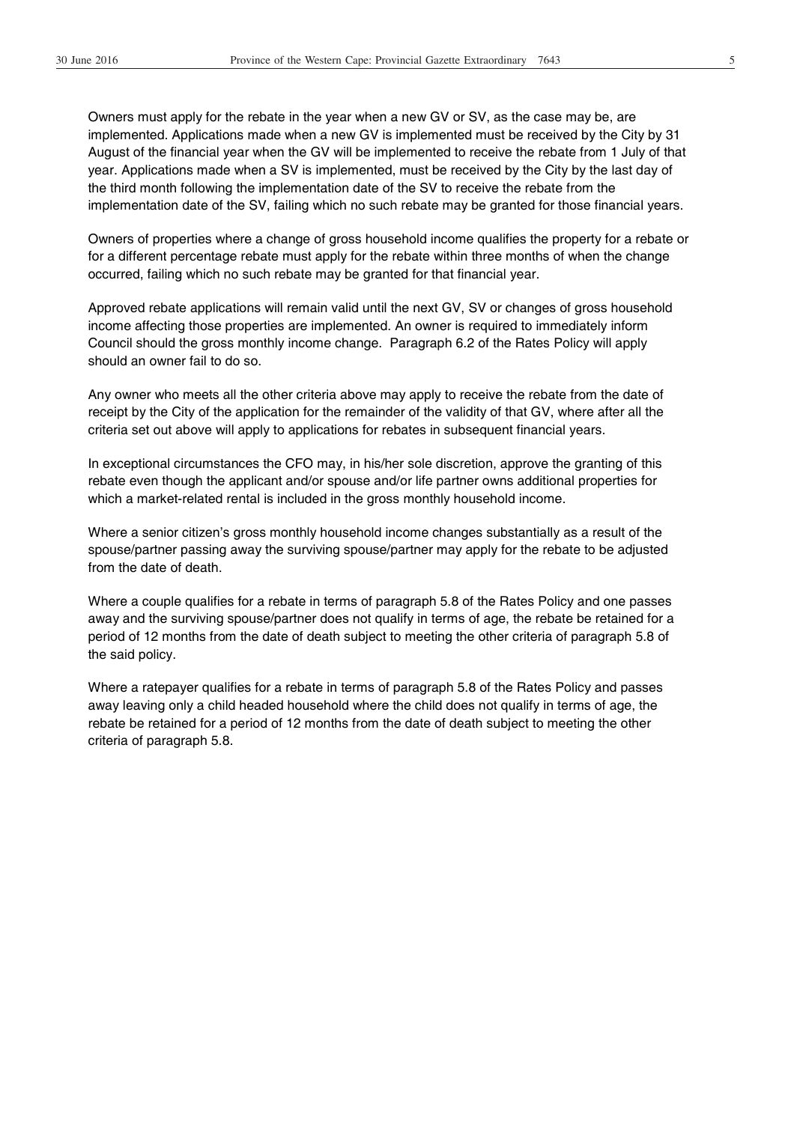Owners must apply for the rebate in the year when a new GV or SV, as the case may be, are implemented. Applications made when a new GV is implemented must be received by the City by 31 August of the financial year when the GV will be implemented to receive the rebate from 1 July of that year. Applications made when a SV is implemented, must be received by the City by the last day of the third month following the implementation date of the SV to receive the rebate from the implementation date of the SV, failing which no such rebate may be granted for those financial years.

Owners of properties where a change of gross household income qualifies the property for a rebate or for a different percentage rebate must apply for the rebate within three months of when the change occurred, failing which no such rebate may be granted for that financial year.

Approved rebate applications will remain valid until the next GV, SV or changes of gross household income affecting those properties are implemented. An owner is required to immediately inform Council should the gross monthly income change. Paragraph 6.2 of the Rates Policy will apply should an owner fail to do so.

Any owner who meets all the other criteria above may apply to receive the rebate from the date of receipt by the City of the application for the remainder of the validity of that GV, where after all the criteria set out above will apply to applications for rebates in subsequent financial years.

In exceptional circumstances the CFO may, in his/her sole discretion, approve the granting of this rebate even though the applicant and/or spouse and/or life partner owns additional properties for which a market-related rental is included in the gross monthly household income.

Where a senior citizen's gross monthly household income changes substantially as a result of the spouse/partner passing away the surviving spouse/partner may apply for the rebate to be adjusted from the date of death.

Where a couple qualifies for a rebate in terms of paragraph 5.8 of the Rates Policy and one passes away and the surviving spouse/partner does not qualify in terms of age, the rebate be retained for a period of 12 months from the date of death subject to meeting the other criteria of paragraph 5.8 of the said policy.

Where a ratepayer qualifies for a rebate in terms of paragraph 5.8 of the Rates Policy and passes away leaving only a child headed household where the child does not qualify in terms of age, the rebate be retained for a period of 12 months from the date of death subject to meeting the other criteria of paragraph 5.8.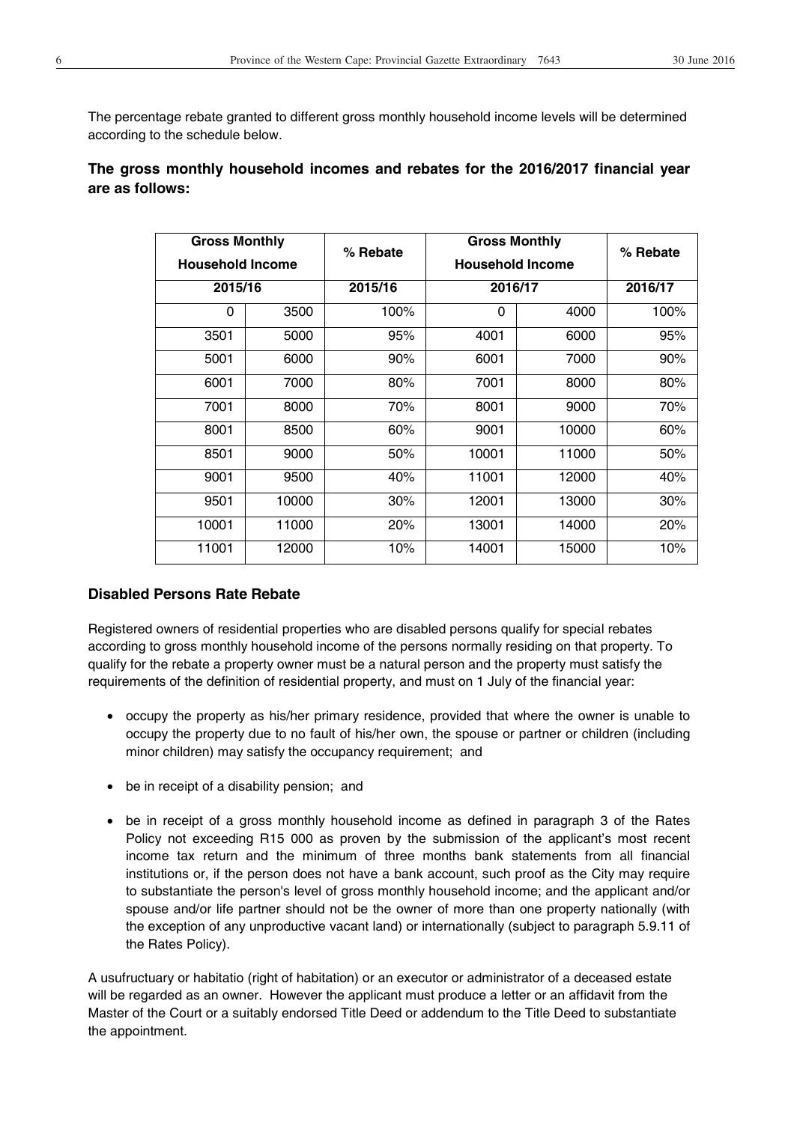The percentage rebate granted to different gross monthly household income levels will be determined according to the schedule below.

# **The gross monthly household incomes and rebates for the 2016/2017 financial year are as follows:**

| <b>Gross Monthly</b><br><b>Household Income</b> |       | % Rebate | <b>Gross Monthly</b><br><b>Household Income</b> |       | % Rebate |  |
|-------------------------------------------------|-------|----------|-------------------------------------------------|-------|----------|--|
| 2015/16                                         |       | 2015/16  | 2016/17                                         |       | 2016/17  |  |
| 0                                               | 3500  | 100%     | 0                                               | 4000  | 100%     |  |
| 3501                                            | 5000  | 95%      | 4001                                            | 6000  | 95%      |  |
| 5001                                            | 6000  | 90%      | 6001                                            | 7000  | 90%      |  |
| 6001                                            | 7000  | 80%      | 7001                                            | 8000  | 80%      |  |
| 7001                                            | 8000  | 70%      | 8001                                            | 9000  | 70%      |  |
| 8001                                            | 8500  | 60%      | 9001                                            | 10000 | 60%      |  |
| 8501                                            | 9000  | 50%      | 10001                                           | 11000 | 50%      |  |
| 9001                                            | 9500  | 40%      | 11001                                           | 12000 | 40%      |  |
| 9501                                            | 10000 | 30%      | 12001                                           | 13000 | 30%      |  |
| 10001                                           | 11000 | 20%      | 13001                                           | 14000 | 20%      |  |
| 11001                                           | 12000 | 10%      | 14001                                           | 15000 | 10%      |  |

# **Disabled Persons Rate Rebate**

Registered owners of residential properties who are disabled persons qualify for special rebates according to gross monthly household income of the persons normally residing on that property. To qualify for the rebate a property owner must be a natural person and the property must satisfy the requirements of the definition of residential property, and must on 1 July of the financial year:

- occupy the property as his/her primary residence, provided that where the owner is unable to occupy the property due to no fault of his/her own, the spouse or partner or children (including minor children) may satisfy the occupancy requirement; and
- $\bullet$  be in receipt of a disability pension; and
- be in receipt of a gross monthly household income as defined in paragraph 3 of the Rates Policy not exceeding R15 000 as proven by the submission of the applicant's most recent income tax return and the minimum of three months bank statements from all financial institutions or, if the person does not have a bank account, such proof as the City may require to substantiate the person's level of gross monthly household income; and the applicant and/or spouse and/or life partner should not be the owner of more than one property nationally (with the exception of any unproductive vacant land) or internationally (subject to paragraph 5.9.11 of the Rates Policy).

A usufructuary or habitatio (right of habitation) or an executor or administrator of a deceased estate will be regarded as an owner. However the applicant must produce a letter or an affidavit from the Master of the Court or a suitably endorsed Title Deed or addendum to the Title Deed to substantiate the appointment.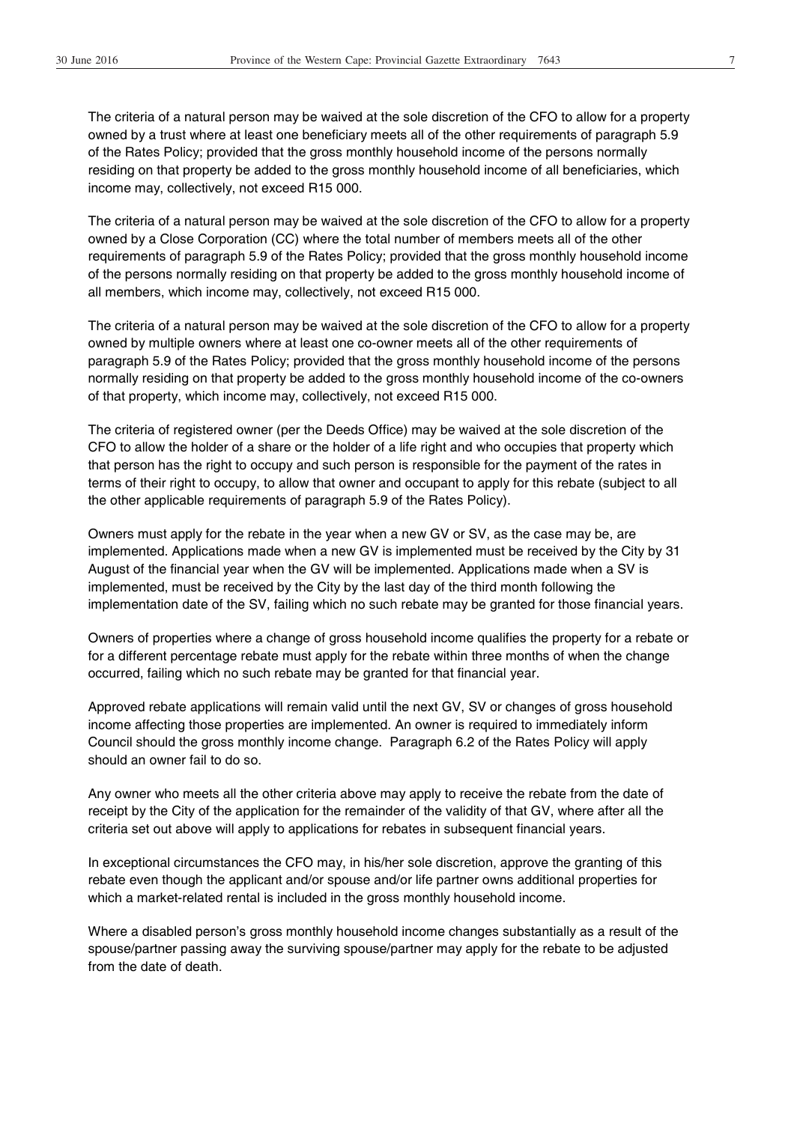The criteria of a natural person may be waived at the sole discretion of the CFO to allow for a property owned by a trust where at least one beneficiary meets all of the other requirements of paragraph 5.9 of the Rates Policy; provided that the gross monthly household income of the persons normally residing on that property be added to the gross monthly household income of all beneficiaries, which income may, collectively, not exceed R15 000.

The criteria of a natural person may be waived at the sole discretion of the CFO to allow for a property owned by a Close Corporation (CC) where the total number of members meets all of the other requirements of paragraph 5.9 of the Rates Policy; provided that the gross monthly household income of the persons normally residing on that property be added to the gross monthly household income of all members, which income may, collectively, not exceed R15 000.

The criteria of a natural person may be waived at the sole discretion of the CFO to allow for a property owned by multiple owners where at least one co-owner meets all of the other requirements of paragraph 5.9 of the Rates Policy; provided that the gross monthly household income of the persons normally residing on that property be added to the gross monthly household income of the co-owners of that property, which income may, collectively, not exceed R15 000.

The criteria of registered owner (per the Deeds Office) may be waived at the sole discretion of the CFO to allow the holder of a share or the holder of a life right and who occupies that property which that person has the right to occupy and such person is responsible for the payment of the rates in terms of their right to occupy, to allow that owner and occupant to apply for this rebate (subject to all the other applicable requirements of paragraph 5.9 of the Rates Policy).

Owners must apply for the rebate in the year when a new GV or SV, as the case may be, are implemented. Applications made when a new GV is implemented must be received by the City by 31 August of the financial year when the GV will be implemented. Applications made when a SV is implemented, must be received by the City by the last day of the third month following the implementation date of the SV, failing which no such rebate may be granted for those financial years.

Owners of properties where a change of gross household income qualifies the property for a rebate or for a different percentage rebate must apply for the rebate within three months of when the change occurred, failing which no such rebate may be granted for that financial year.

Approved rebate applications will remain valid until the next GV, SV or changes of gross household income affecting those properties are implemented. An owner is required to immediately inform Council should the gross monthly income change. Paragraph 6.2 of the Rates Policy will apply should an owner fail to do so.

Any owner who meets all the other criteria above may apply to receive the rebate from the date of receipt by the City of the application for the remainder of the validity of that GV, where after all the criteria set out above will apply to applications for rebates in subsequent financial years.

In exceptional circumstances the CFO may, in his/her sole discretion, approve the granting of this rebate even though the applicant and/or spouse and/or life partner owns additional properties for which a market-related rental is included in the gross monthly household income.

Where a disabled person's gross monthly household income changes substantially as a result of the spouse/partner passing away the surviving spouse/partner may apply for the rebate to be adjusted from the date of death.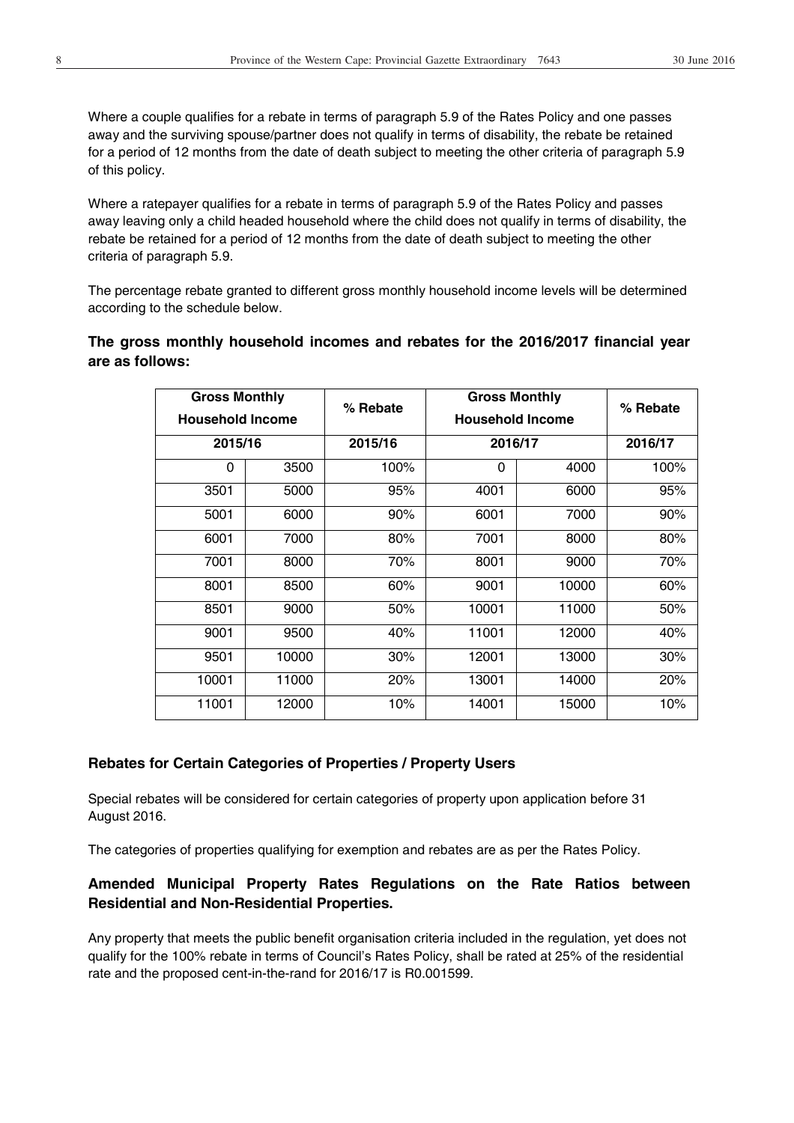Where a couple qualifies for a rebate in terms of paragraph 5.9 of the Rates Policy and one passes away and the surviving spouse/partner does not qualify in terms of disability, the rebate be retained for a period of 12 months from the date of death subject to meeting the other criteria of paragraph 5.9 of this policy.

Where a ratepayer qualifies for a rebate in terms of paragraph 5.9 of the Rates Policy and passes away leaving only a child headed household where the child does not qualify in terms of disability, the rebate be retained for a period of 12 months from the date of death subject to meeting the other criteria of paragraph 5.9.

The percentage rebate granted to different gross monthly household income levels will be determined according to the schedule below.

**The gross monthly household incomes and rebates for the 2016/2017 financial year are as follows:** 

| <b>Gross Monthly</b><br><b>Household Income</b> |       | % Rebate |         | <b>Gross Monthly</b><br><b>Household Income</b> |         |
|-------------------------------------------------|-------|----------|---------|-------------------------------------------------|---------|
| 2015/16                                         |       | 2015/16  | 2016/17 |                                                 | 2016/17 |
| $\Omega$                                        | 3500  | 100%     | 0       | 4000                                            | 100%    |
| 3501                                            | 5000  | 95%      | 4001    | 6000                                            | 95%     |
| 5001                                            | 6000  | 90%      | 6001    | 7000                                            | 90%     |
| 6001                                            | 7000  | 80%      | 7001    | 8000                                            | 80%     |
| 7001                                            | 8000  | 70%      | 8001    | 9000                                            | 70%     |
| 8001                                            | 8500  | 60%      | 9001    | 10000                                           | 60%     |
| 8501                                            | 9000  | 50%      | 10001   | 11000                                           | 50%     |
| 9001                                            | 9500  | 40%      | 11001   | 12000                                           | 40%     |
| 9501                                            | 10000 | 30%      | 12001   | 13000                                           | 30%     |
| 10001                                           | 11000 | 20%      | 13001   | 14000                                           | 20%     |
| 11001                                           | 12000 | 10%      | 14001   | 15000                                           | 10%     |

## **Rebates for Certain Categories of Properties / Property Users**

Special rebates will be considered for certain categories of property upon application before 31 August 2016.

The categories of properties qualifying for exemption and rebates are as per the Rates Policy.

# **Amended Municipal Property Rates Regulations on the Rate Ratios between Residential and Non-Residential Properties.**

Any property that meets the public benefit organisation criteria included in the regulation, yet does not qualify for the 100% rebate in terms of Council's Rates Policy, shall be rated at 25% of the residential rate and the proposed cent-in-the-rand for 2016/17 is R0.001599.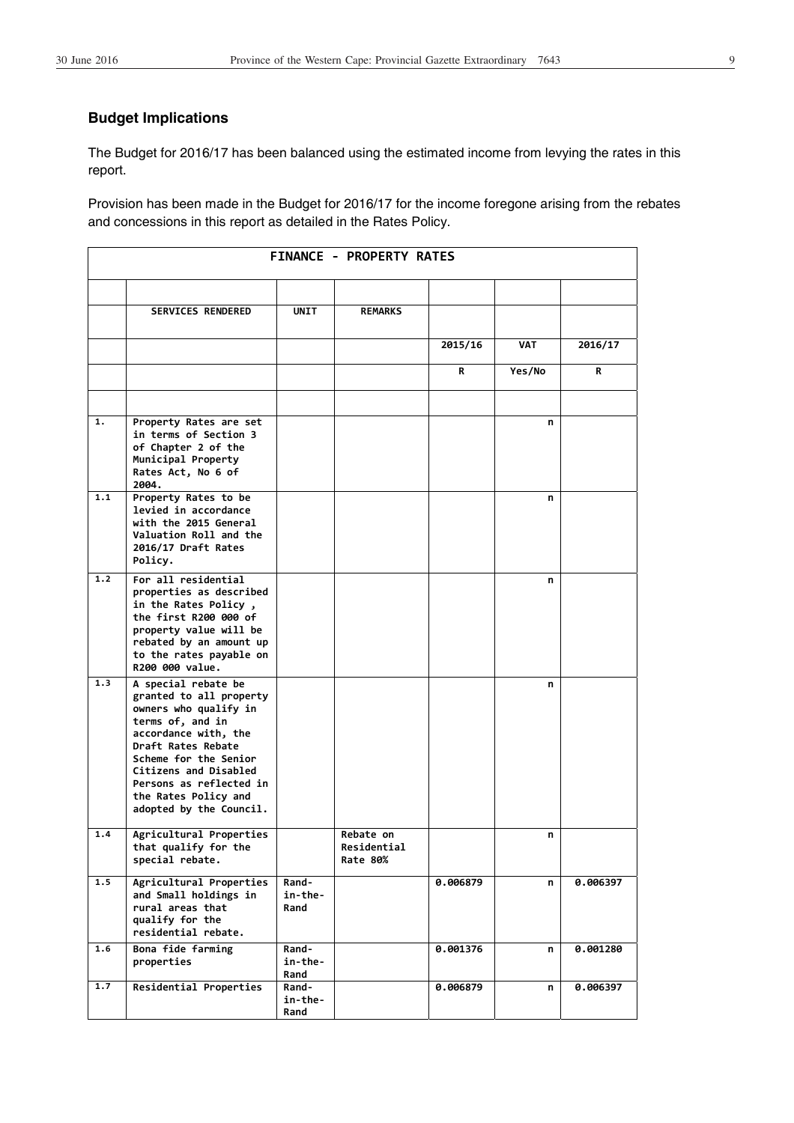# **Budget Implications**

The Budget for 2016/17 has been balanced using the estimated income from levying the rates in this report.

Provision has been made in the Budget for 2016/17 for the income foregone arising from the rebates and concessions in this report as detailed in the Rates Policy.

|     |                                                                                                                                                                                                                                                                           |                          | <b>FINANCE - PROPERTY RATES</b>      |          |        |          |
|-----|---------------------------------------------------------------------------------------------------------------------------------------------------------------------------------------------------------------------------------------------------------------------------|--------------------------|--------------------------------------|----------|--------|----------|
|     | <b>SERVICES RENDERED</b>                                                                                                                                                                                                                                                  | UNIT                     | <b>REMARKS</b>                       |          |        |          |
|     |                                                                                                                                                                                                                                                                           |                          |                                      | 2015/16  | VAT    | 2016/17  |
|     |                                                                                                                                                                                                                                                                           |                          |                                      | R        | Yes/No | R        |
|     |                                                                                                                                                                                                                                                                           |                          |                                      |          |        |          |
| 1.  | Property Rates are set<br>in terms of Section 3<br>of Chapter 2 of the<br>Municipal Property<br>Rates Act, No 6 of<br>2004.                                                                                                                                               |                          |                                      |          | n      |          |
| 1.1 | Property Rates to be<br>levied in accordance<br>with the 2015 General<br>Valuation Roll and the<br>2016/17 Draft Rates<br>Policy.                                                                                                                                         |                          |                                      |          | n      |          |
| 1.2 | For all residential<br>properties as described<br>in the Rates Policy,<br>the first R200 000 of<br>property value will be<br>rebated by an amount up<br>to the rates payable on<br>R200 000 value.                                                                        |                          |                                      |          | n      |          |
| 1.3 | A special rebate be<br>granted to all property<br>owners who qualify in<br>terms of, and in<br>accordance with, the<br>Draft Rates Rebate<br>Scheme for the Senior<br>Citizens and Disabled<br>Persons as reflected in<br>the Rates Policy and<br>adopted by the Council. |                          |                                      |          | n      |          |
| 1.4 | Agricultural Properties<br>that qualify for the<br>special rebate.                                                                                                                                                                                                        |                          | Rebate on<br>Residential<br>Rate 80% |          | n      |          |
| 1.5 | Agricultural Properties<br>and Small holdings in<br>rural areas that<br>qualify for the<br>residential rebate.                                                                                                                                                            | Rand-<br>in-the-<br>Rand |                                      | 0.006879 | n      | 0.006397 |
| 1.6 | Bona fide farming<br>properties                                                                                                                                                                                                                                           | Rand-<br>in-the-<br>Rand |                                      | 0.001376 | n      | 0.001280 |
| 1.7 | Residential Properties                                                                                                                                                                                                                                                    | Rand-<br>in-the-<br>Rand |                                      | 0.006879 | n      | 0.006397 |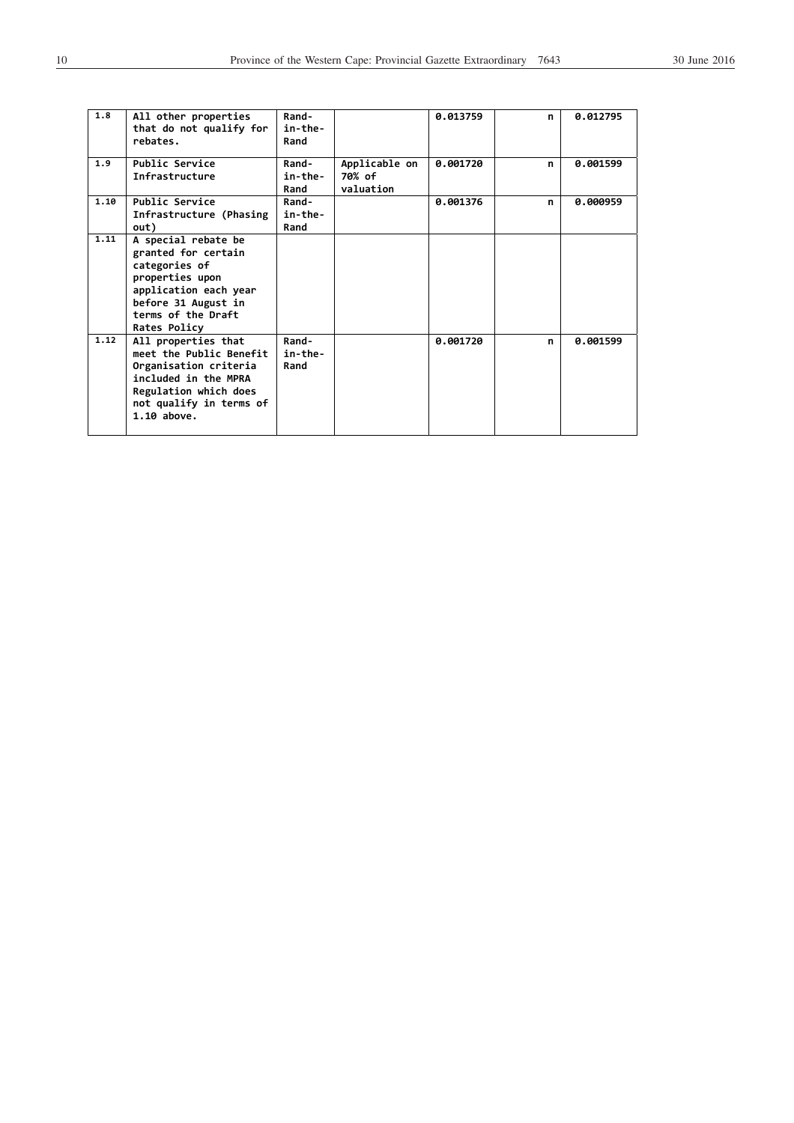| 1.8  | All other properties<br>that do not qualify for<br>rebates.                                                                                                          | Rand-<br>in-the-<br>Rand |                                      | 0.013759 | n | 0.012795 |
|------|----------------------------------------------------------------------------------------------------------------------------------------------------------------------|--------------------------|--------------------------------------|----------|---|----------|
| 1.9  | Public Service<br>Infrastructure                                                                                                                                     | Rand-<br>in-the-<br>Rand | Applicable on<br>70% of<br>valuation | 0.001720 | n | 0.001599 |
| 1.10 | Public Service<br>Infrastructure (Phasing<br>out)                                                                                                                    | Rand-<br>in-the-<br>Rand |                                      | 0.001376 | n | 0.000959 |
| 1.11 | A special rebate be<br>granted for certain<br>categories of<br>properties upon<br>application each year<br>before 31 August in<br>terms of the Draft<br>Rates Policy |                          |                                      |          |   |          |
| 1.12 | All properties that<br>meet the Public Benefit<br>Organisation criteria<br>included in the MPRA<br>Regulation which does<br>not qualify in terms of<br>$1.10$ above. | Rand-<br>in-the-<br>Rand |                                      | 0.001720 | n | 0.001599 |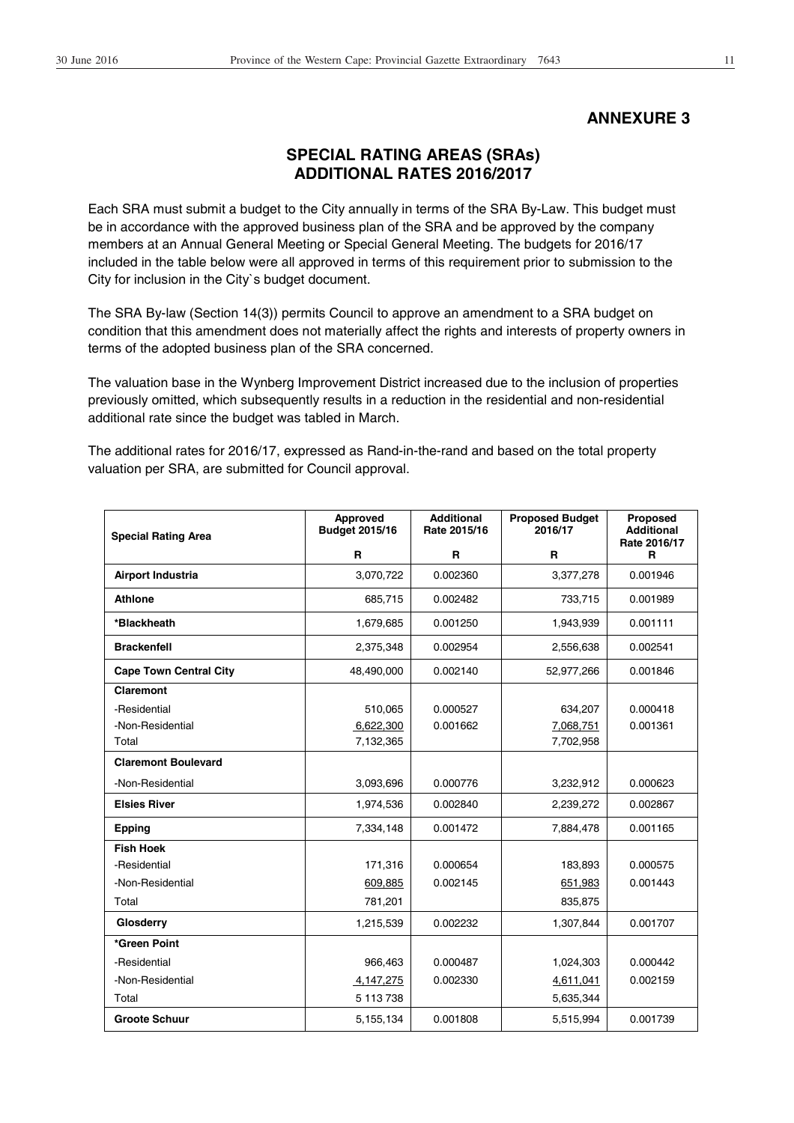# **ANNEXURE 3**

# **SPECIAL RATING AREAS (SRAs) ADDITIONAL RATES 2016/2017**

Each SRA must submit a budget to the City annually in terms of the SRA By-Law. This budget must be in accordance with the approved business plan of the SRA and be approved by the company members at an Annual General Meeting or Special General Meeting. The budgets for 2016/17 included in the table below were all approved in terms of this requirement prior to submission to the City for inclusion in the City`s budget document.

The SRA By-law (Section 14(3)) permits Council to approve an amendment to a SRA budget on condition that this amendment does not materially affect the rights and interests of property owners in terms of the adopted business plan of the SRA concerned.

The valuation base in the Wynberg Improvement District increased due to the inclusion of properties previously omitted, which subsequently results in a reduction in the residential and non-residential additional rate since the budget was tabled in March.

The additional rates for 2016/17, expressed as Rand-in-the-rand and based on the total property valuation per SRA, are submitted for Council approval.

| <b>Special Rating Area</b>    | Approved<br><b>Budget 2015/16</b> | <b>Additional</b><br>Rate 2015/16 | <b>Proposed Budget</b><br>2016/17 | Proposed<br><b>Additional</b><br>Rate 2016/17 |
|-------------------------------|-----------------------------------|-----------------------------------|-----------------------------------|-----------------------------------------------|
|                               | R                                 | R                                 | R                                 | R                                             |
| Airport Industria             | 3,070,722                         | 0.002360                          | 3,377,278                         | 0.001946                                      |
| <b>Athlone</b>                | 685,715                           | 0.002482                          | 733,715                           | 0.001989                                      |
| *Blackheath                   | 1,679,685                         | 0.001250                          | 1,943,939                         | 0.001111                                      |
| <b>Brackenfell</b>            | 2,375,348                         | 0.002954                          | 2,556,638                         | 0.002541                                      |
| <b>Cape Town Central City</b> | 48,490,000                        | 0.002140                          | 52,977,266                        | 0.001846                                      |
| <b>Claremont</b>              |                                   |                                   |                                   |                                               |
| -Residential                  | 510,065                           | 0.000527                          | 634,207                           | 0.000418                                      |
| -Non-Residential              | 6,622,300                         | 0.001662                          | 7,068,751                         | 0.001361                                      |
| Total                         | 7,132,365                         |                                   | 7,702,958                         |                                               |
| <b>Claremont Boulevard</b>    |                                   |                                   |                                   |                                               |
| -Non-Residential              | 3,093,696                         | 0.000776                          | 3,232,912                         | 0.000623                                      |
| <b>Elsies River</b>           | 1,974,536                         | 0.002840                          | 2,239,272                         | 0.002867                                      |
| <b>Epping</b>                 | 7,334,148                         | 0.001472                          | 7,884,478                         | 0.001165                                      |
| <b>Fish Hoek</b>              |                                   |                                   |                                   |                                               |
| -Residential                  | 171,316                           | 0.000654                          | 183,893                           | 0.000575                                      |
| -Non-Residential              | 609,885                           | 0.002145                          | 651,983                           | 0.001443                                      |
| Total                         | 781,201                           |                                   | 835,875                           |                                               |
| Glosderry                     | 1,215,539                         | 0.002232                          | 1,307,844                         | 0.001707                                      |
| *Green Point                  |                                   |                                   |                                   |                                               |
| -Residential                  | 966.463                           | 0.000487                          | 1,024,303                         | 0.000442                                      |
| -Non-Residential              | 4,147,275                         | 0.002330                          | 4,611,041                         | 0.002159                                      |
| Total                         | 5 113 738                         |                                   | 5,635,344                         |                                               |
| <b>Groote Schuur</b>          | 5,155,134                         | 0.001808                          | 5,515,994                         | 0.001739                                      |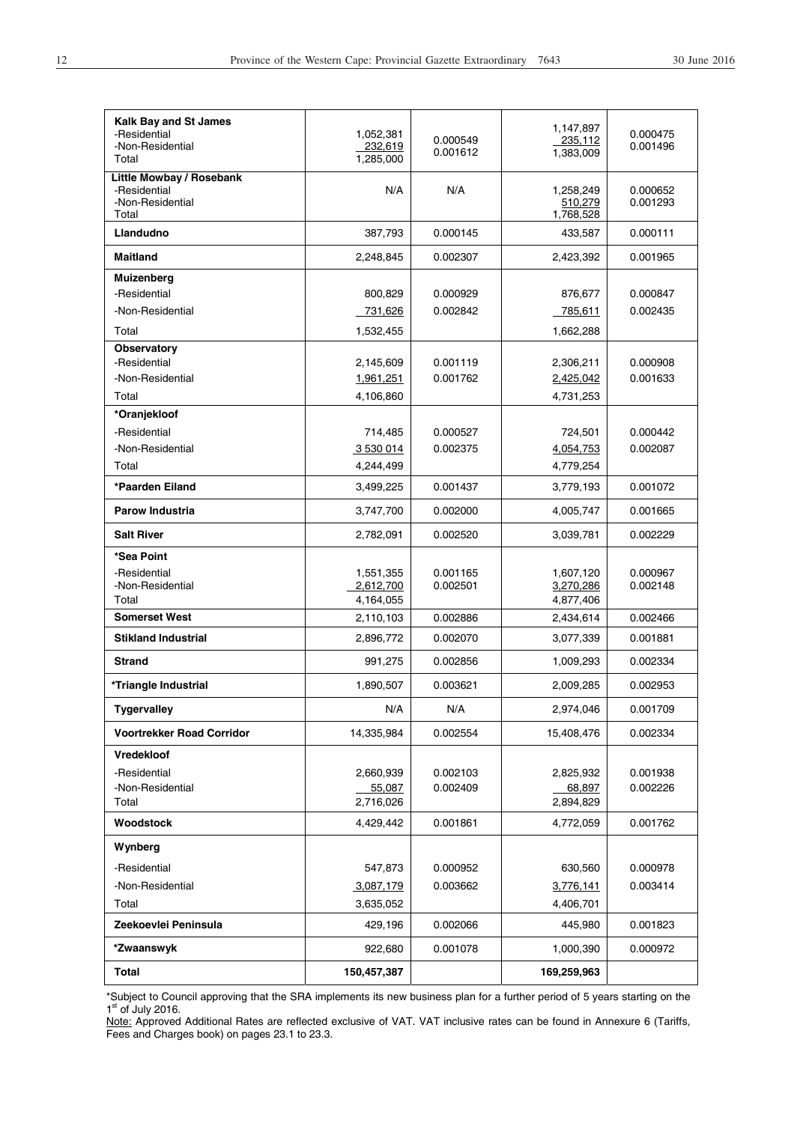| Kalk Bay and St James<br>-Residential<br>-Non-Residential<br>Total    | 1,052,381<br>232,619<br>1,285,000   | 0.000549<br>0.001612 | 1,147,897<br>235,112<br>1,383,009   | 0.000475<br>0.001496 |
|-----------------------------------------------------------------------|-------------------------------------|----------------------|-------------------------------------|----------------------|
| Little Mowbay / Rosebank<br>-Residential<br>-Non-Residential<br>Total | N/A                                 | N/A                  | 1,258,249<br>510,279<br>1,768,528   | 0.000652<br>0.001293 |
| Llandudno                                                             | 387,793                             | 0.000145             | 433,587                             | 0.000111             |
| Maitland                                                              | 2,248,845                           | 0.002307             | 2,423,392                           | 0.001965             |
| Muizenberg                                                            |                                     |                      |                                     |                      |
| -Residential                                                          | 800,829                             | 0.000929             | 876,677                             | 0.000847             |
| -Non-Residential                                                      | 731,626                             | 0.002842             | 785,611                             | 0.002435             |
| Total                                                                 | 1,532,455                           |                      | 1,662,288                           |                      |
| Observatory                                                           |                                     |                      |                                     |                      |
| -Residential                                                          | 2,145,609                           | 0.001119             | 2,306,211                           | 0.000908             |
| -Non-Residential                                                      | 1,961,251                           | 0.001762             | 2,425,042                           | 0.001633             |
| Total                                                                 | 4,106,860                           |                      | 4,731,253                           |                      |
| *Oranjekloof<br>-Residential                                          |                                     |                      |                                     |                      |
| -Non-Residential                                                      | 714,485                             | 0.000527<br>0.002375 | 724,501<br>4,054,753                | 0.000442<br>0.002087 |
| Total                                                                 | 3 530 014<br>4,244,499              |                      | 4,779,254                           |                      |
| *Paarden Eiland                                                       |                                     | 0.001437             |                                     | 0.001072             |
|                                                                       | 3,499,225                           |                      | 3,779,193                           |                      |
| <b>Parow Industria</b>                                                | 3,747,700                           | 0.002000             | 4,005,747                           | 0.001665             |
| <b>Salt River</b>                                                     | 2,782,091                           | 0.002520             | 3,039,781                           | 0.002229             |
| *Sea Point<br>-Residential<br>-Non-Residential<br>Total               | 1,551,355<br>2,612,700<br>4,164,055 | 0.001165<br>0.002501 | 1,607,120<br>3,270,286<br>4,877,406 | 0.000967<br>0.002148 |
| <b>Somerset West</b>                                                  | 2,110,103                           | 0.002886             | 2,434,614                           | 0.002466             |
| <b>Stikland Industrial</b>                                            | 2,896,772                           | 0.002070             | 3,077,339                           | 0.001881             |
| <b>Strand</b>                                                         | 991,275                             | 0.002856             | 1,009,293                           | 0.002334             |
| *Triangle Industrial                                                  | 1,890,507                           | 0.003621             | 2,009,285                           | 0.002953             |
| <b>Tygervalley</b>                                                    | N/A                                 | N/A                  | 2,974,046                           | 0.001709             |
| <b>Voortrekker Road Corridor</b>                                      | 14,335,984                          | 0.002554             | 15,408,476                          | 0.002334             |
| <b>Vredekloof</b>                                                     |                                     |                      |                                     |                      |
| -Residential                                                          | 2,660,939                           | 0.002103             | 2,825,932                           | 0.001938             |
| -Non-Residential                                                      | 55,087                              | 0.002409             | 68,897                              | 0.002226             |
| Total                                                                 | 2,716,026                           |                      | 2,894,829                           |                      |
| Woodstock                                                             | 4,429,442                           | 0.001861             | 4,772,059                           | 0.001762             |
| Wynberg                                                               |                                     |                      |                                     |                      |
| -Residential                                                          | 547,873                             | 0.000952             | 630,560                             | 0.000978             |
| -Non-Residential                                                      | 3,087,179                           | 0.003662             | 3,776,141                           | 0.003414             |
| Total                                                                 | 3,635,052                           |                      | 4,406,701                           |                      |
| Zeekoevlei Peninsula                                                  | 429,196                             | 0.002066             | 445,980                             | 0.001823             |
| *Zwaanswyk                                                            | 922,680                             | 0.001078             | 1,000,390                           | 0.000972             |
| Total                                                                 | 150,457,387                         |                      | 169,259,963                         |                      |
|                                                                       |                                     |                      |                                     |                      |

\*Subject to Council approving that the SRA implements its new business plan for a further period of 5 years starting on the<br>1<sup>st</sup> of July 2016.

Note: Approved Additional Rates are reflected exclusive of VAT. VAT inclusive rates can be found in Annexure 6 (Tariffs, Fees and Charges book) on pages 23.1 to 23.3.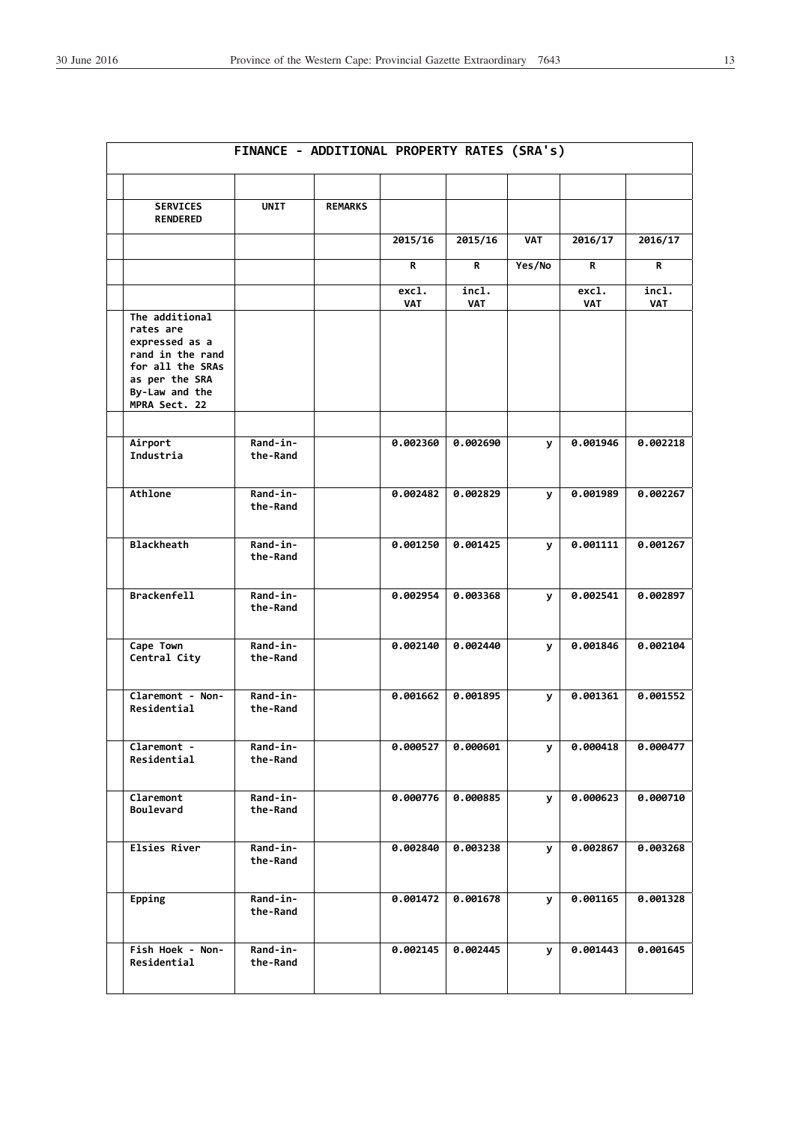|                                                                                                                                            | FINANCE - ADDITIONAL PROPERTY RATES (SRA's) |                |                     |                     |            |                     |                     |
|--------------------------------------------------------------------------------------------------------------------------------------------|---------------------------------------------|----------------|---------------------|---------------------|------------|---------------------|---------------------|
| <b>SERVICES</b><br><b>RENDERED</b>                                                                                                         | <b>UNIT</b>                                 | <b>REMARKS</b> |                     |                     |            |                     |                     |
|                                                                                                                                            |                                             |                | 2015/16             | 2015/16             | <b>VAT</b> | 2016/17             | 2016/17             |
|                                                                                                                                            |                                             |                | R                   | R                   | Yes/No     | R.                  | R                   |
|                                                                                                                                            |                                             |                | excl.<br><b>VAT</b> | incl.<br><b>VAT</b> |            | excl.<br><b>VAT</b> | incl.<br><b>VAT</b> |
| The additional<br>rates are<br>expressed as a<br>rand in the rand<br>for all the SRAs<br>as per the SRA<br>By-Law and the<br>MPRA Sect. 22 |                                             |                |                     |                     |            |                     |                     |
| Airport<br>Industria                                                                                                                       | Rand-in-<br>the-Rand                        |                | 0.002360            | 0.002690            | У          | 0.001946            | 0.002218            |
| Athlone                                                                                                                                    | Rand-in-<br>the-Rand                        |                | 0.002482            | 0.002829            | У          | 0.001989            | 0.002267            |
| <b>Blackheath</b>                                                                                                                          | Rand-in-<br>the-Rand                        |                | 0.001250            | 0.001425            | У          | 0.001111            | 0.001267            |
| <b>Brackenfell</b>                                                                                                                         | Rand-in-<br>the-Rand                        |                | 0.002954            | 0.003368            | У          | 0.002541            | 0.002897            |
| Cape Town<br>Central City                                                                                                                  | Rand-in-<br>the-Rand                        |                | 0.002140            | 0.002440            | У          | 0.001846            | 0.002104            |
| Claremont - Non-<br>Residential                                                                                                            | <b>Rand-in-</b><br>the-Rand                 |                | 0.001662            | 0.001895            | У          | 0.001361            | 0.001552            |
| Claremont -<br>Residential                                                                                                                 | Rand-in-<br>the-Rand                        |                | 0.000527            | 0.000601            | У          | 0.000418            | 0.000477            |
| Claremont<br>Boulevard                                                                                                                     | Rand-in-<br>the-Rand                        |                | 0.000776            | 0.000885            | У          | 0.000623            | 0.000710            |
| Elsies River                                                                                                                               | Rand-in-<br>the-Rand                        |                | 0.002840            | 0.003238            | У          | 0.002867            | 0.003268            |
| Epping                                                                                                                                     | Rand-in-<br>the-Rand                        |                | 0.001472            | 0.001678            | У          | 0.001165            | 0.001328            |
| Fish Hoek - Non-<br>Residential                                                                                                            | Rand-in-<br>the-Rand                        |                | 0.002145            | 0.002445            | У          | 0.001443            | 0.001645            |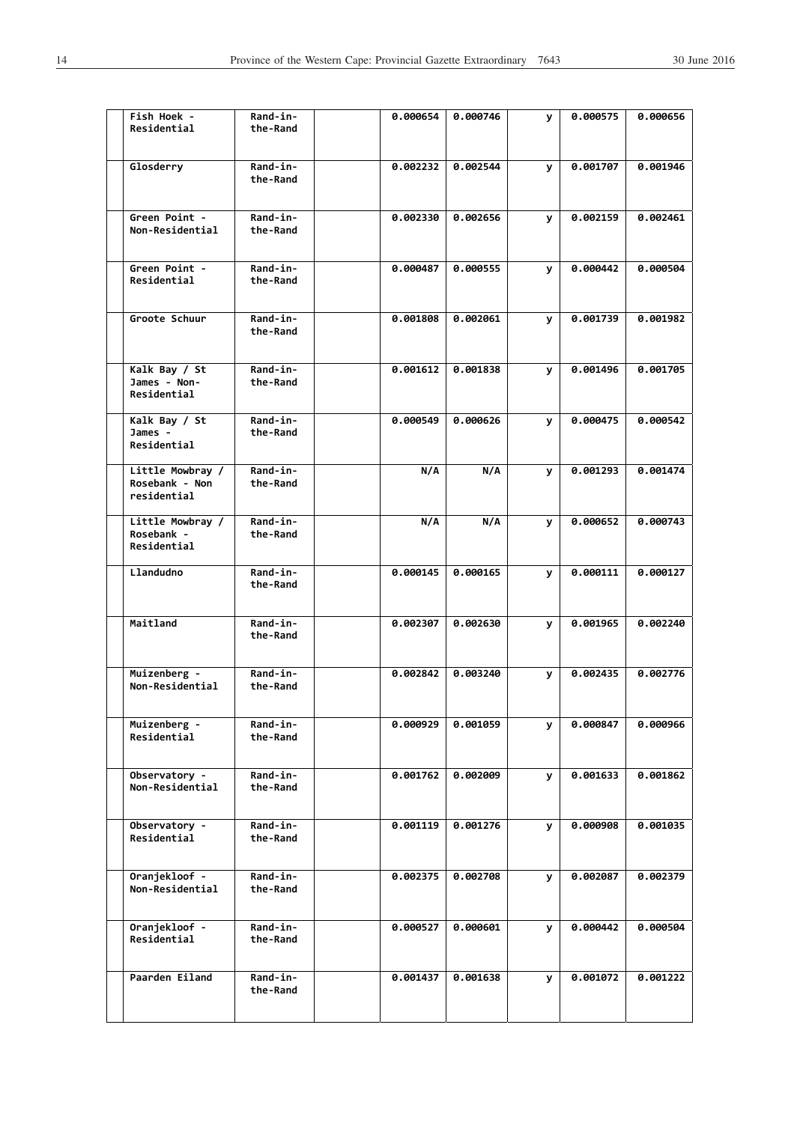| Fish Hoek -<br>Residential                   |                  | Rand-in-<br>the-Rand | 0.000654 | 0.000746 | <b>y</b> | 0.000575 | 0.000656 |
|----------------------------------------------|------------------|----------------------|----------|----------|----------|----------|----------|
| Glosderry                                    |                  | Rand-in-<br>the-Rand | 0.002232 | 0.002544 | <b>y</b> | 0.001707 | 0.001946 |
| Green Point -<br>Non-Residential             |                  | Rand-in-<br>the-Rand | 0.002330 | 0.002656 | y        | 0.002159 | 0.002461 |
| Green Point -<br>Residential                 |                  | Rand-in-<br>the-Rand | 0.000487 | 0.000555 | У        | 0.000442 | 0.000504 |
| Groote Schuur                                |                  | Rand-in-<br>the-Rand | 0.001808 | 0.002061 | <b>y</b> | 0.001739 | 0.001982 |
| Kalk Bay / St<br>James - Non-<br>Residential |                  | Rand-in-<br>the-Rand | 0.001612 | 0.001838 | У        | 0.001496 | 0.001705 |
| Kalk Bay / St<br>James -<br>Residential      |                  | Rand-in-<br>the-Rand | 0.000549 | 0.000626 | <b>y</b> | 0.000475 | 0.000542 |
| Rosebank - Non<br>residential                | Little Mowbray / | Rand-in-<br>the-Rand | N/A      | N/A      | <b>y</b> | 0.001293 | 0.001474 |
| Rosebank -<br>Residential                    | Little Mowbray / | Rand-in-<br>the-Rand | N/A      | N/A      | y        | 0.000652 | 0.000743 |
| Llandudno                                    |                  | Rand-in-<br>the-Rand | 0.000145 | 0.000165 | У        | 0.000111 | 0.000127 |
| Maitland                                     |                  | Rand-in-<br>the-Rand | 0.002307 | 0.002630 | <b>y</b> | 0.001965 | 0.002240 |
| Muizenberg -<br>Non-Residential              |                  | Rand-in-<br>the-Rand | 0.002842 | 0.003240 | У        | 0.002435 | 0.002776 |
| Muizenberg -<br>Residential                  |                  | Rand-in-<br>the-Rand | 0.000929 | 0.001059 | У        | 0.000847 | 0.000966 |
| Observatory -<br>Non-Residential             |                  | Rand-in-<br>the-Rand | 0.001762 | 0.002009 | У        | 0.001633 | 0.001862 |
| Observatory -<br>Residential                 |                  | Rand-in-<br>the-Rand | 0.001119 | 0.001276 | У        | 0.000908 | 0.001035 |
| Oranjekloof -<br>Non-Residential             |                  | Rand-in-<br>the-Rand | 0.002375 | 0.002708 | У        | 0.002087 | 0.002379 |
| Oranjekloof -<br>Residential                 |                  | Rand-in-<br>the-Rand | 0.000527 | 0.000601 | y.       | 0.000442 | 0.000504 |
| Paarden Eiland                               |                  | Rand-in-<br>the-Rand | 0.001437 | 0.001638 | У        | 0.001072 | 0.001222 |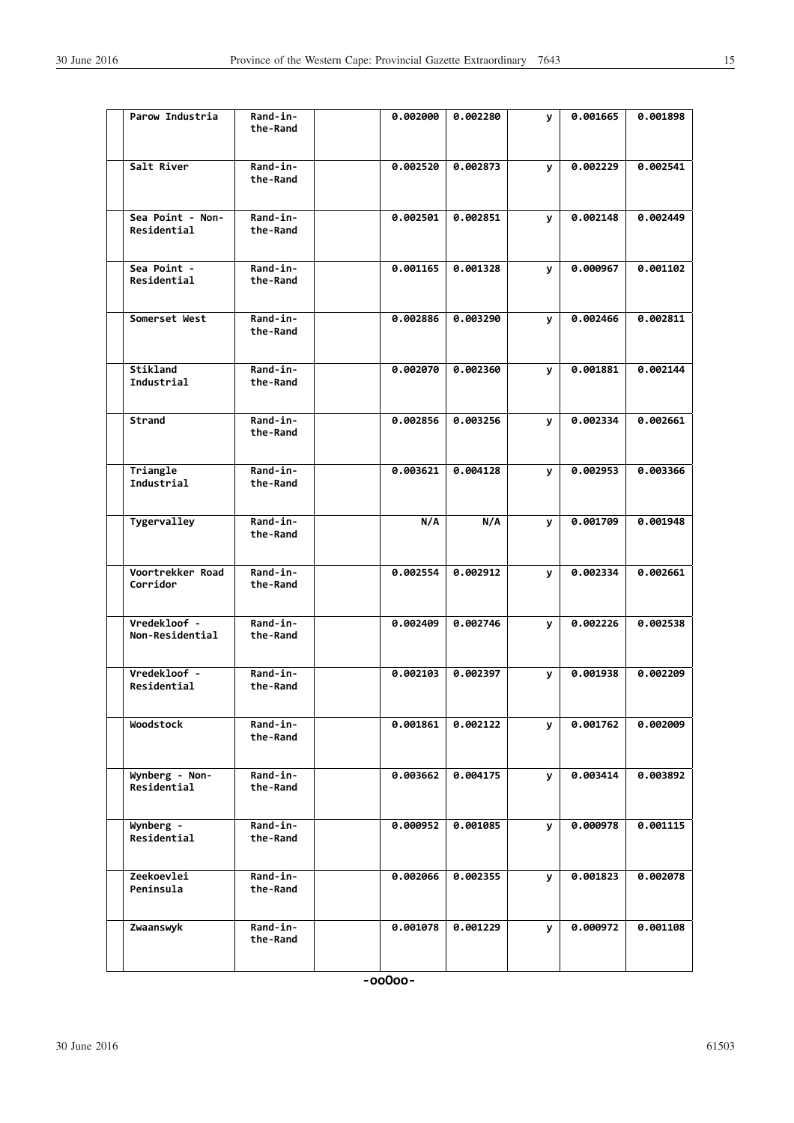| Parow Industria                 | Rand-in-<br>the-Rand | 0.002000 | <b>0.002280</b> | У | 0.001665 | 0.001898 |
|---------------------------------|----------------------|----------|-----------------|---|----------|----------|
| Salt River                      | Rand-in-<br>the-Rand | 0.002520 | 0.002873        | У | 0.002229 | 0.002541 |
| Sea Point - Non-<br>Residential | Rand-in-<br>the-Rand | 0.002501 | 0.002851        | У | 0.002148 | 0.002449 |
| Sea Point -<br>Residential      | Rand-in-<br>the-Rand | 0.001165 | 0.001328        | У | 0.000967 | 0.001102 |
| Somerset West                   | Rand-in-<br>the-Rand | 0.002886 | 0.003290        | У | 0.002466 | 0.002811 |
| Stikland<br>Industrial          | Rand-in-<br>the-Rand | 0.002070 | 0.002360        | У | 0.001881 | 0.002144 |
| Strand                          | Rand-in-<br>the-Rand | 0.002856 | 0.003256        | У | 0.002334 | 0.002661 |
| Triangle<br>Industrial          | Rand-in-<br>the-Rand | 0.003621 | 0.004128        | У | 0.002953 | 0.003366 |
| Tygervalley                     | Rand-in-<br>the-Rand | N/A      | N/A             | y | 0.001709 | 0.001948 |
| Voortrekker Road<br>Corridor    | Rand-in-<br>the-Rand | 0.002554 | 0.002912        | У | 0.002334 | 0.002661 |
| Vredekloof -<br>Non-Residential | Rand-in-<br>the-Rand | 0.002409 | 0.002746        | У | 0.002226 | 0.002538 |
| Vredekloof -<br>Residential     | Rand-in-<br>the-Rand | 0.002103 | 0.002397        | У | 0.001938 | 0.002209 |
| Woodstock                       | Rand-in-<br>the-Rand | 0.001861 | 0.002122        | У | 0.001762 | 0.002009 |
| Wynberg - Non-<br>Residential   | Rand-in-<br>the-Rand | 0.003662 | 0.004175        | У | 0.003414 | 0.003892 |
| Wynberg -<br>Residential        | Rand-in-<br>the-Rand | 0.000952 | 0.001085        | У | 0.000978 | 0.001115 |
| Zeekoevlei<br>Peninsula         | Rand-in-<br>the-Rand | 0.002066 | 0.002355        | У | 0.001823 | 0.002078 |
| Zwaanswyk                       | Rand-in-<br>the-Rand | 0.001078 | 0.001229        | У | 0.000972 | 0.001108 |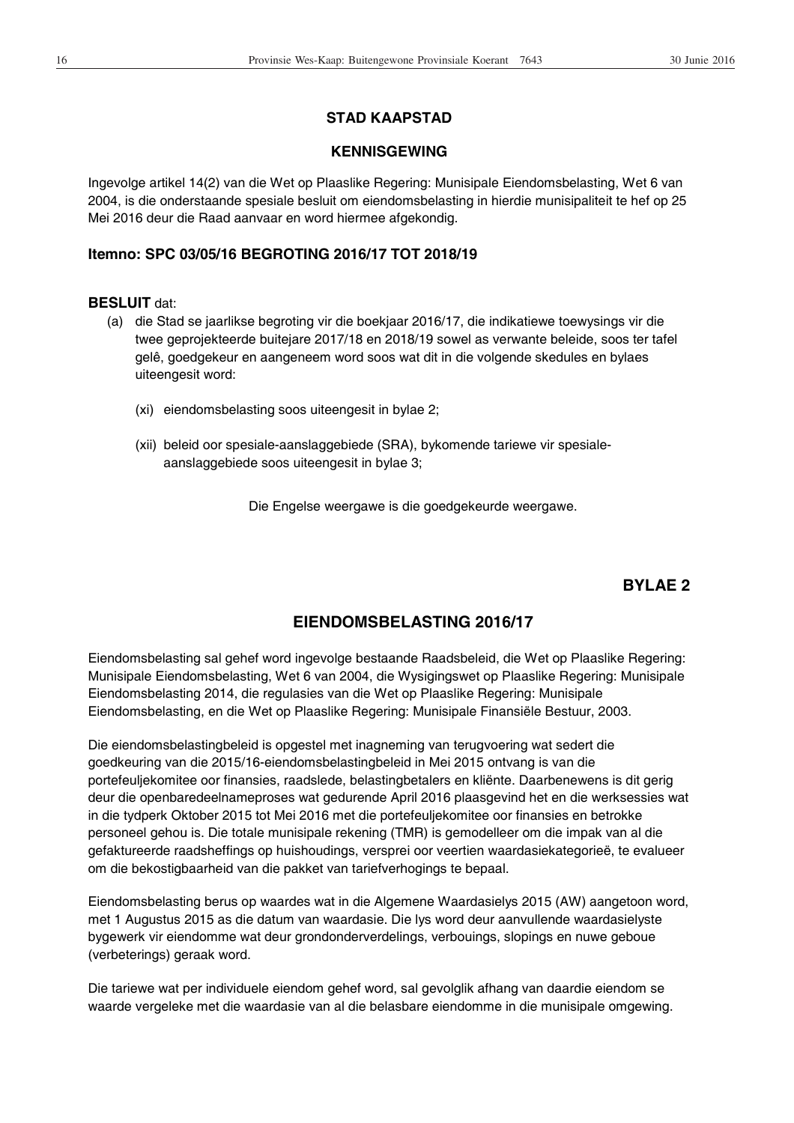# **STAD KAAPSTAD**

## **KENNISGEWING**

Ingevolge artikel 14(2) van die Wet op Plaaslike Regering: Munisipale Eiendomsbelasting, Wet 6 van 2004, is die onderstaande spesiale besluit om eiendomsbelasting in hierdie munisipaliteit te hef op 25 Mei 2016 deur die Raad aanvaar en word hiermee afgekondig.

# **Itemno: SPC 03/05/16 BEGROTING 2016/17 TOT 2018/19**

## **BESLUIT** dat:

- (a) die Stad se jaarlikse begroting vir die boekjaar 2016/17, die indikatiewe toewysings vir die twee geprojekteerde buitejare 2017/18 en 2018/19 sowel as verwante beleide, soos ter tafel gelê, goedgekeur en aangeneem word soos wat dit in die volgende skedules en bylaes uiteengesit word:
	- (xi) eiendomsbelasting soos uiteengesit in bylae 2;
	- (xii) beleid oor spesiale-aanslaggebiede (SRA), bykomende tariewe vir spesialeaanslaggebiede soos uiteengesit in bylae 3;

Die Engelse weergawe is die goedgekeurde weergawe.

# **BYLAE 2**

# **EIENDOMSBELASTING 2016/17**

Eiendomsbelasting sal gehef word ingevolge bestaande Raadsbeleid, die Wet op Plaaslike Regering: Munisipale Eiendomsbelasting, Wet 6 van 2004, die Wysigingswet op Plaaslike Regering: Munisipale Eiendomsbelasting 2014, die regulasies van die Wet op Plaaslike Regering: Munisipale Eiendomsbelasting, en die Wet op Plaaslike Regering: Munisipale Finansiële Bestuur, 2003.

Die eiendomsbelastingbeleid is opgestel met inagneming van terugvoering wat sedert die goedkeuring van die 2015/16-eiendomsbelastingbeleid in Mei 2015 ontvang is van die portefeuljekomitee oor finansies, raadslede, belastingbetalers en kliënte. Daarbenewens is dit gerig deur die openbaredeelnameproses wat gedurende April 2016 plaasgevind het en die werksessies wat in die tydperk Oktober 2015 tot Mei 2016 met die portefeuljekomitee oor finansies en betrokke personeel gehou is. Die totale munisipale rekening (TMR) is gemodelleer om die impak van al die gefaktureerde raadsheffings op huishoudings, versprei oor veertien waardasiekategorieë, te evalueer om die bekostigbaarheid van die pakket van tariefverhogings te bepaal.

Eiendomsbelasting berus op waardes wat in die Algemene Waardasielys 2015 (AW) aangetoon word, met 1 Augustus 2015 as die datum van waardasie. Die lys word deur aanvullende waardasielyste bygewerk vir eiendomme wat deur grondonderverdelings, verbouings, slopings en nuwe geboue (verbeterings) geraak word.

Die tariewe wat per individuele eiendom gehef word, sal gevolglik afhang van daardie eiendom se waarde vergeleke met die waardasie van al die belasbare eiendomme in die munisipale omgewing.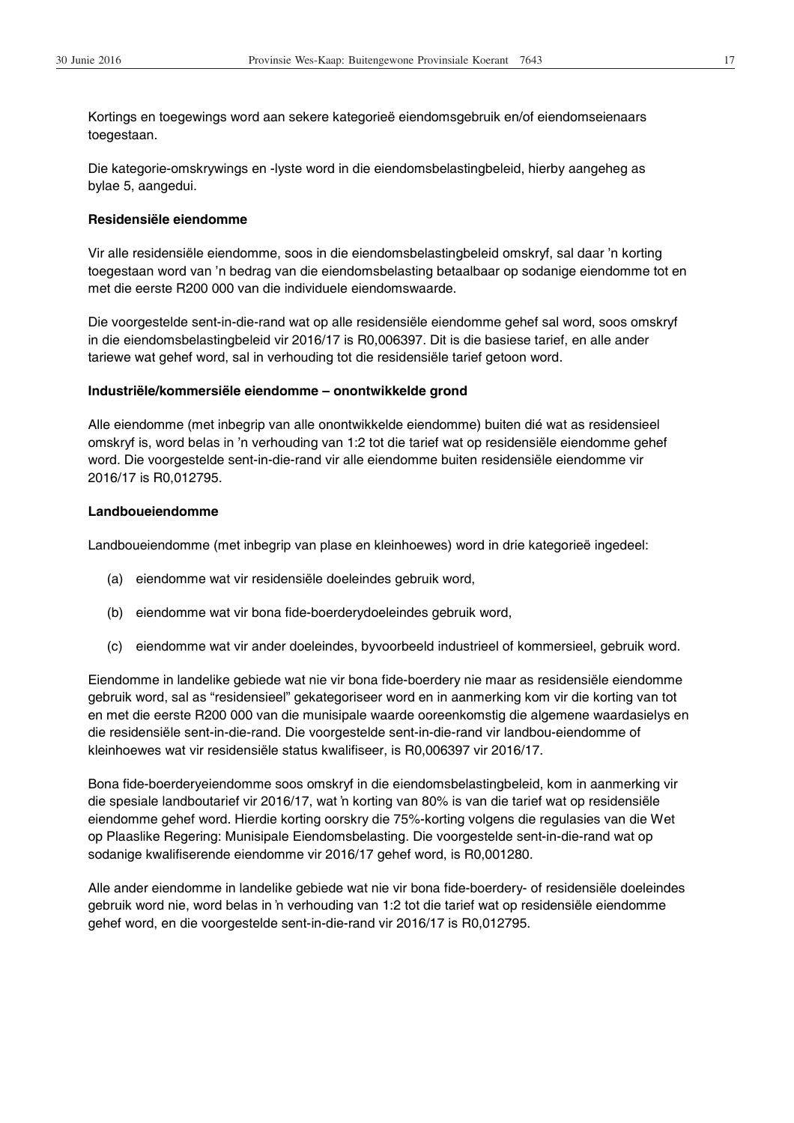Kortings en toegewings word aan sekere kategorieë eiendomsgebruik en/of eiendomseienaars toegestaan.

Die kategorie-omskrywings en -lyste word in die eiendomsbelastingbeleid, hierby aangeheg as bylae 5, aangedui.

#### **Residensiële eiendomme**

Vir alle residensiële eiendomme, soos in die eiendomsbelastingbeleid omskryf, sal daar 'n korting toegestaan word van 'n bedrag van die eiendomsbelasting betaalbaar op sodanige eiendomme tot en met die eerste R200 000 van die individuele eiendomswaarde.

Die voorgestelde sent-in-die-rand wat op alle residensiële eiendomme gehef sal word, soos omskryf in die eiendomsbelastingbeleid vir 2016/17 is R0,006397. Dit is die basiese tarief, en alle ander tariewe wat gehef word, sal in verhouding tot die residensiële tarief getoon word.

#### **Industriële/kommersiële eiendomme – onontwikkelde grond**

Alle eiendomme (met inbegrip van alle onontwikkelde eiendomme) buiten dié wat as residensieel omskryf is, word belas in 'n verhouding van 1:2 tot die tarief wat op residensiële eiendomme gehef word. Die voorgestelde sent-in-die-rand vir alle eiendomme buiten residensiële eiendomme vir 2016/17 is R0,012795.

#### **Landboueiendomme**

Landboueiendomme (met inbegrip van plase en kleinhoewes) word in drie kategorieë ingedeel:

- (a) eiendomme wat vir residensiële doeleindes gebruik word,
- (b) eiendomme wat vir bona fide-boerderydoeleindes gebruik word,
- (c) eiendomme wat vir ander doeleindes, byvoorbeeld industrieel of kommersieel, gebruik word.

Eiendomme in landelike gebiede wat nie vir bona fide-boerdery nie maar as residensiële eiendomme gebruik word, sal as "residensieel" gekategoriseer word en in aanmerking kom vir die korting van tot en met die eerste R200 000 van die munisipale waarde ooreenkomstig die algemene waardasielys en die residensiële sent-in-die-rand. Die voorgestelde sent-in-die-rand vir landbou-eiendomme of kleinhoewes wat vir residensiële status kwalifiseer, is R0,006397 vir 2016/17.

Bona fide-boerderyeiendomme soos omskryf in die eiendomsbelastingbeleid, kom in aanmerking vir die spesiale landboutarief vir 2016/17, wat 'n korting van 80% is van die tarief wat op residensiële eiendomme gehef word. Hierdie korting oorskry die 75%-korting volgens die regulasies van die Wet op Plaaslike Regering: Munisipale Eiendomsbelasting. Die voorgestelde sent-in-die-rand wat op sodanige kwalifiserende eiendomme vir 2016/17 gehef word, is R0,001280.

Alle ander eiendomme in landelike gebiede wat nie vir bona fide-boerdery- of residensiële doeleindes gebruik word nie, word belas in 'n verhouding van 1:2 tot die tarief wat op residensiële eiendomme gehef word, en die voorgestelde sent-in-die-rand vir 2016/17 is R0,012795.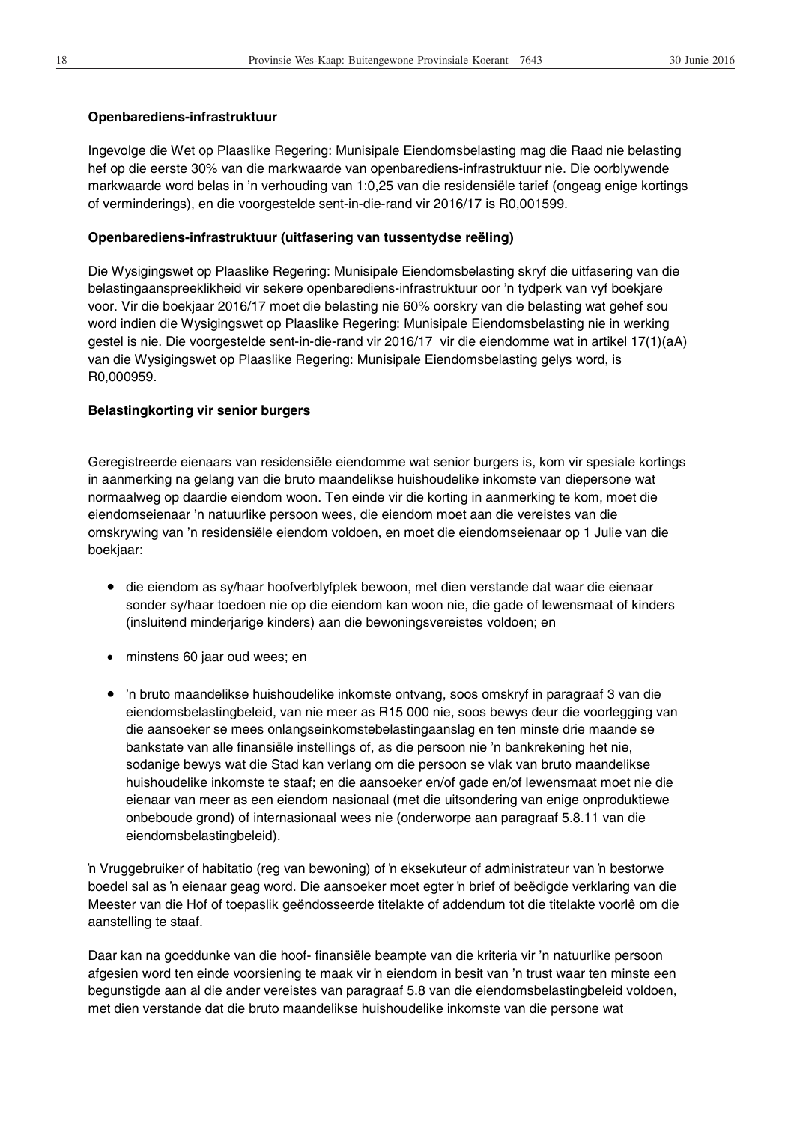### **Openbarediens-infrastruktuur**

Ingevolge die Wet op Plaaslike Regering: Munisipale Eiendomsbelasting mag die Raad nie belasting hef op die eerste 30% van die markwaarde van openbarediens-infrastruktuur nie. Die oorblywende markwaarde word belas in 'n verhouding van 1:0,25 van die residensiële tarief (ongeag enige kortings of verminderings), en die voorgestelde sent-in-die-rand vir 2016/17 is R0,001599.

### **Openbarediens-infrastruktuur (uitfasering van tussentydse reëling)**

Die Wysigingswet op Plaaslike Regering: Munisipale Eiendomsbelasting skryf die uitfasering van die belastingaanspreeklikheid vir sekere openbarediens-infrastruktuur oor 'n tydperk van vyf boekjare voor. Vir die boekjaar 2016/17 moet die belasting nie 60% oorskry van die belasting wat gehef sou word indien die Wysigingswet op Plaaslike Regering: Munisipale Eiendomsbelasting nie in werking gestel is nie. Die voorgestelde sent-in-die-rand vir 2016/17 vir die eiendomme wat in artikel 17(1)(aA) van die Wysigingswet op Plaaslike Regering: Munisipale Eiendomsbelasting gelys word, is R0,000959.

### **Belastingkorting vir senior burgers**

Geregistreerde eienaars van residensiële eiendomme wat senior burgers is, kom vir spesiale kortings in aanmerking na gelang van die bruto maandelikse huishoudelike inkomste van diepersone wat normaalweg op daardie eiendom woon. Ten einde vir die korting in aanmerking te kom, moet die eiendomseienaar 'n natuurlike persoon wees, die eiendom moet aan die vereistes van die omskrywing van 'n residensiële eiendom voldoen, en moet die eiendomseienaar op 1 Julie van die boekjaar:

- x die eiendom as sy/haar hoofverblyfplek bewoon, met dien verstande dat waar die eienaar sonder sy/haar toedoen nie op die eiendom kan woon nie, die gade of lewensmaat of kinders (insluitend minderjarige kinders) aan die bewoningsvereistes voldoen; en
- minstens 60 jaar oud wees; en
- 'n bruto maandelikse huishoudelike inkomste ontvang, soos omskryf in paragraaf 3 van die eiendomsbelastingbeleid, van nie meer as R15 000 nie, soos bewys deur die voorlegging van die aansoeker se mees onlangseinkomstebelastingaanslag en ten minste drie maande se bankstate van alle finansiële instellings of, as die persoon nie 'n bankrekening het nie, sodanige bewys wat die Stad kan verlang om die persoon se vlak van bruto maandelikse huishoudelike inkomste te staaf; en die aansoeker en/of gade en/of lewensmaat moet nie die eienaar van meer as een eiendom nasionaal (met die uitsondering van enige onproduktiewe onbeboude grond) of internasionaal wees nie (onderworpe aan paragraaf 5.8.11 van die eiendomsbelastingbeleid).

In Vruggebruiker of habitatio (reg van bewoning) of 'n eksekuteur of administrateur van 'n bestorwe boedel sal as ƌ eienaar geag word. Die aansoeker moet egter ƌ brief of beëdigde verklaring van die Meester van die Hof of toepaslik geëndosseerde titelakte of addendum tot die titelakte voorlê om die aanstelling te staaf.

Daar kan na goeddunke van die hoof- finansiële beampte van die kriteria vir 'n natuurlike persoon afgesien word ten einde voorsiening te maak vir 'n eiendom in besit van 'n trust waar ten minste een begunstigde aan al die ander vereistes van paragraaf 5.8 van die eiendomsbelastingbeleid voldoen, met dien verstande dat die bruto maandelikse huishoudelike inkomste van die persone wat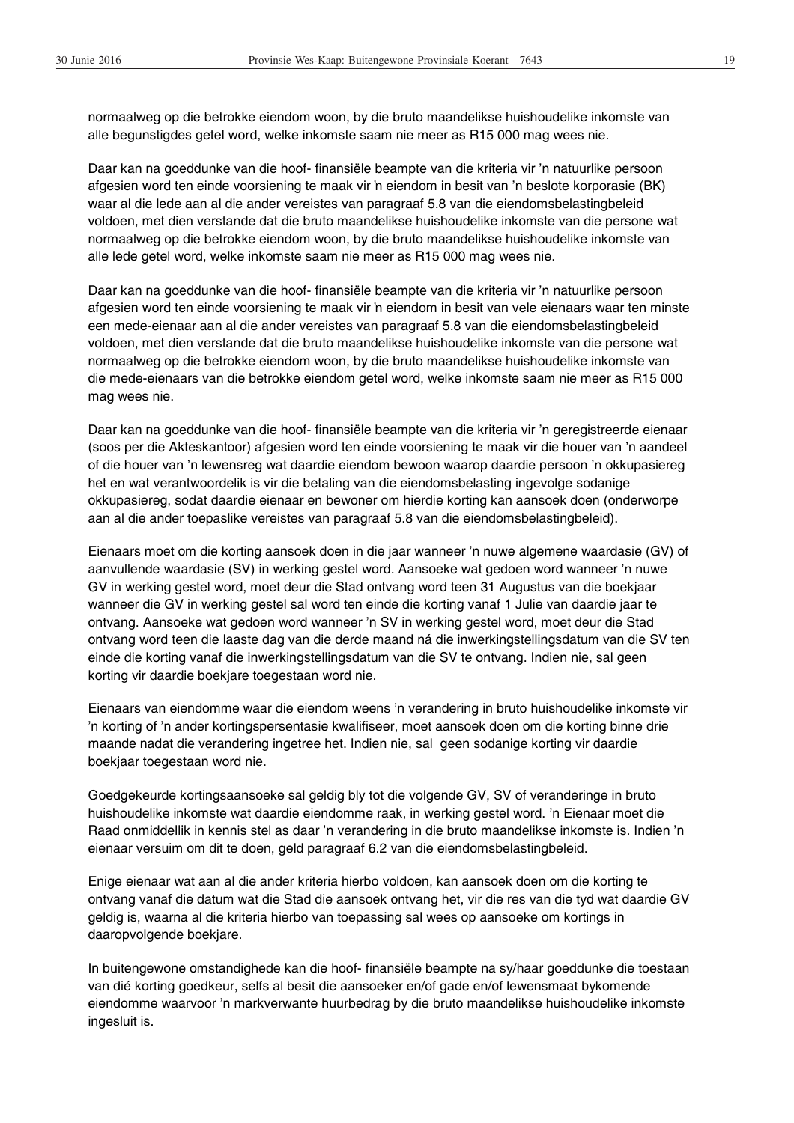normaalweg op die betrokke eiendom woon, by die bruto maandelikse huishoudelike inkomste van alle begunstigdes getel word, welke inkomste saam nie meer as R15 000 mag wees nie.

Daar kan na goeddunke van die hoof- finansiële beampte van die kriteria vir 'n natuurlike persoon afgesien word ten einde voorsiening te maak vir 'n eiendom in besit van 'n beslote korporasie (BK) waar al die lede aan al die ander vereistes van paragraaf 5.8 van die eiendomsbelastingbeleid voldoen, met dien verstande dat die bruto maandelikse huishoudelike inkomste van die persone wat normaalweg op die betrokke eiendom woon, by die bruto maandelikse huishoudelike inkomste van alle lede getel word, welke inkomste saam nie meer as R15 000 mag wees nie.

Daar kan na goeddunke van die hoof- finansiële beampte van die kriteria vir 'n natuurlike persoon afgesien word ten einde voorsiening te maak vir 'n eiendom in besit van vele eienaars waar ten minste een mede-eienaar aan al die ander vereistes van paragraaf 5.8 van die eiendomsbelastingbeleid voldoen, met dien verstande dat die bruto maandelikse huishoudelike inkomste van die persone wat normaalweg op die betrokke eiendom woon, by die bruto maandelikse huishoudelike inkomste van die mede-eienaars van die betrokke eiendom getel word, welke inkomste saam nie meer as R15 000 mag wees nie.

Daar kan na goeddunke van die hoof- finansiële beampte van die kriteria vir 'n geregistreerde eienaar (soos per die Akteskantoor) afgesien word ten einde voorsiening te maak vir die houer van 'n aandeel of die houer van 'n lewensreg wat daardie eiendom bewoon waarop daardie persoon 'n okkupasiereg het en wat verantwoordelik is vir die betaling van die eiendomsbelasting ingevolge sodanige okkupasiereg, sodat daardie eienaar en bewoner om hierdie korting kan aansoek doen (onderworpe aan al die ander toepaslike vereistes van paragraaf 5.8 van die eiendomsbelastingbeleid).

Eienaars moet om die korting aansoek doen in die jaar wanneer 'n nuwe algemene waardasie (GV) of aanvullende waardasie (SV) in werking gestel word. Aansoeke wat gedoen word wanneer 'n nuwe GV in werking gestel word, moet deur die Stad ontvang word teen 31 Augustus van die boekjaar wanneer die GV in werking gestel sal word ten einde die korting vanaf 1 Julie van daardie jaar te ontvang. Aansoeke wat gedoen word wanneer 'n SV in werking gestel word, moet deur die Stad ontvang word teen die laaste dag van die derde maand ná die inwerkingstellingsdatum van die SV ten einde die korting vanaf die inwerkingstellingsdatum van die SV te ontvang. Indien nie, sal geen korting vir daardie boekjare toegestaan word nie.

Eienaars van eiendomme waar die eiendom weens 'n verandering in bruto huishoudelike inkomste vir 'n korting of 'n ander kortingspersentasie kwalifiseer, moet aansoek doen om die korting binne drie maande nadat die verandering ingetree het. Indien nie, sal geen sodanige korting vir daardie boekjaar toegestaan word nie.

Goedgekeurde kortingsaansoeke sal geldig bly tot die volgende GV, SV of veranderinge in bruto huishoudelike inkomste wat daardie eiendomme raak, in werking gestel word. 'n Eienaar moet die Raad onmiddellik in kennis stel as daar 'n verandering in die bruto maandelikse inkomste is. Indien 'n eienaar versuim om dit te doen, geld paragraaf 6.2 van die eiendomsbelastingbeleid.

Enige eienaar wat aan al die ander kriteria hierbo voldoen, kan aansoek doen om die korting te ontvang vanaf die datum wat die Stad die aansoek ontvang het, vir die res van die tyd wat daardie GV geldig is, waarna al die kriteria hierbo van toepassing sal wees op aansoeke om kortings in daaropvolgende boekjare.

In buitengewone omstandighede kan die hoof- finansiële beampte na sy/haar goeddunke die toestaan van dié korting goedkeur, selfs al besit die aansoeker en/of gade en/of lewensmaat bykomende eiendomme waarvoor 'n markverwante huurbedrag by die bruto maandelikse huishoudelike inkomste ingesluit is.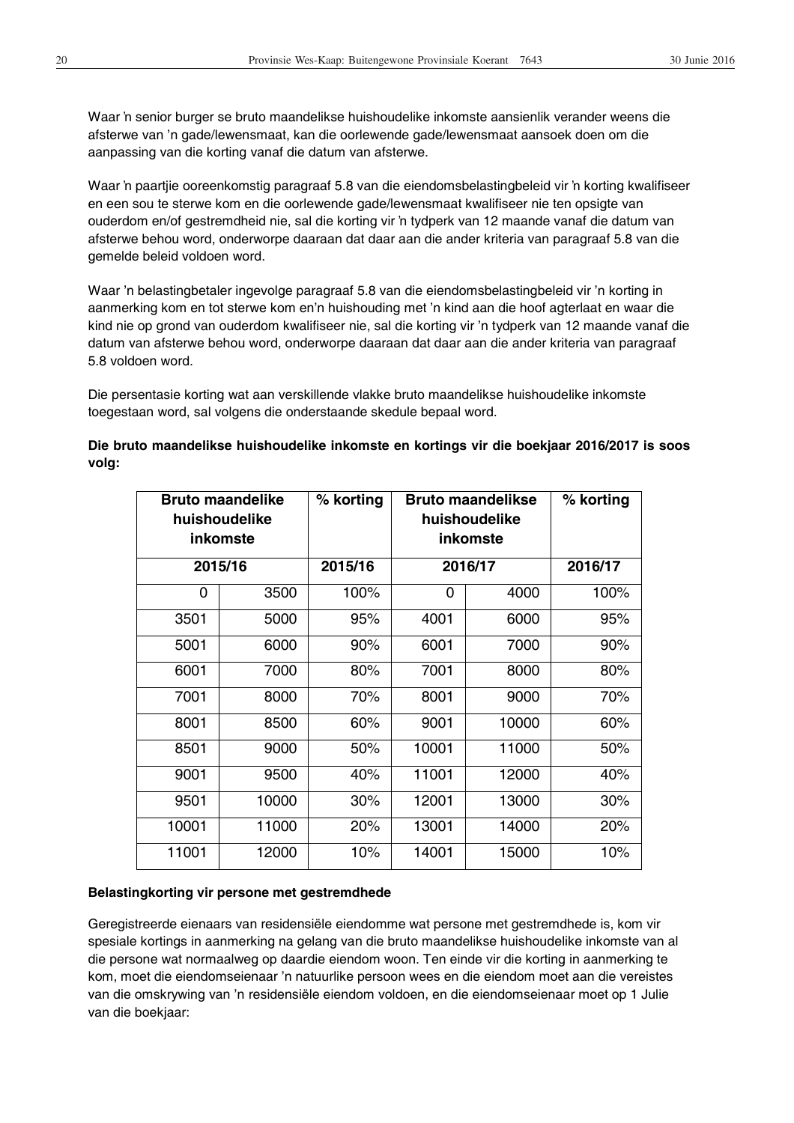Waar 'n senior burger se bruto maandelikse huishoudelike inkomste aansienlik verander weens die afsterwe van 'n gade/lewensmaat, kan die oorlewende gade/lewensmaat aansoek doen om die aanpassing van die korting vanaf die datum van afsterwe.

Waar 'n paartjie ooreenkomstig paragraaf 5.8 van die eiendomsbelastingbeleid vir 'n korting kwalifiseer en een sou te sterwe kom en die oorlewende gade/lewensmaat kwalifiseer nie ten opsigte van ouderdom en/of gestremdheid nie, sal die korting vir 'n tydperk van 12 maande vanaf die datum van afsterwe behou word, onderworpe daaraan dat daar aan die ander kriteria van paragraaf 5.8 van die gemelde beleid voldoen word.

Waar 'n belastingbetaler ingevolge paragraaf 5.8 van die eiendomsbelastingbeleid vir 'n korting in aanmerking kom en tot sterwe kom en'n huishouding met 'n kind aan die hoof agterlaat en waar die kind nie op grond van ouderdom kwalifiseer nie, sal die korting vir 'n tydperk van 12 maande vanaf die datum van afsterwe behou word, onderworpe daaraan dat daar aan die ander kriteria van paragraaf 5.8 voldoen word.

Die persentasie korting wat aan verskillende vlakke bruto maandelikse huishoudelike inkomste toegestaan word, sal volgens die onderstaande skedule bepaal word.

## **Die bruto maandelikse huishoudelike inkomste en kortings vir die boekjaar 2016/2017 is soos volg:**

| <b>Bruto maandelike</b><br>huishoudelike<br>inkomste |         | % korting |       | <b>Bruto maandelikse</b><br>huishoudelike<br>inkomste | % korting |
|------------------------------------------------------|---------|-----------|-------|-------------------------------------------------------|-----------|
|                                                      | 2015/16 | 2015/16   |       | 2016/17                                               |           |
| 0                                                    | 3500    | 100%      | 0     | 4000                                                  | 100%      |
| 3501                                                 | 5000    | 95%       | 4001  | 6000                                                  | 95%       |
| 5001                                                 | 6000    | 90%       | 6001  | 7000                                                  | 90%       |
| 6001                                                 | 7000    | 80%       | 7001  | 8000                                                  | 80%       |
| 7001                                                 | 8000    | 70%       | 8001  | 9000                                                  | 70%       |
| 8001                                                 | 8500    | 60%       | 9001  | 10000                                                 | 60%       |
| 8501                                                 | 9000    | 50%       | 10001 | 11000                                                 | 50%       |
| 9001                                                 | 9500    | 40%       | 11001 | 12000                                                 | 40%       |
| 9501                                                 | 10000   | 30%       | 12001 | 13000                                                 | 30%       |
| 10001                                                | 11000   | 20%       | 13001 | 14000                                                 | 20%       |
| 11001                                                | 12000   | 10%       | 14001 | 15000                                                 | 10%       |

#### **Belastingkorting vir persone met gestremdhede**

Geregistreerde eienaars van residensiële eiendomme wat persone met gestremdhede is, kom vir spesiale kortings in aanmerking na gelang van die bruto maandelikse huishoudelike inkomste van al die persone wat normaalweg op daardie eiendom woon. Ten einde vir die korting in aanmerking te kom, moet die eiendomseienaar 'n natuurlike persoon wees en die eiendom moet aan die vereistes van die omskrywing van 'n residensiële eiendom voldoen, en die eiendomseienaar moet op 1 Julie van die boekjaar: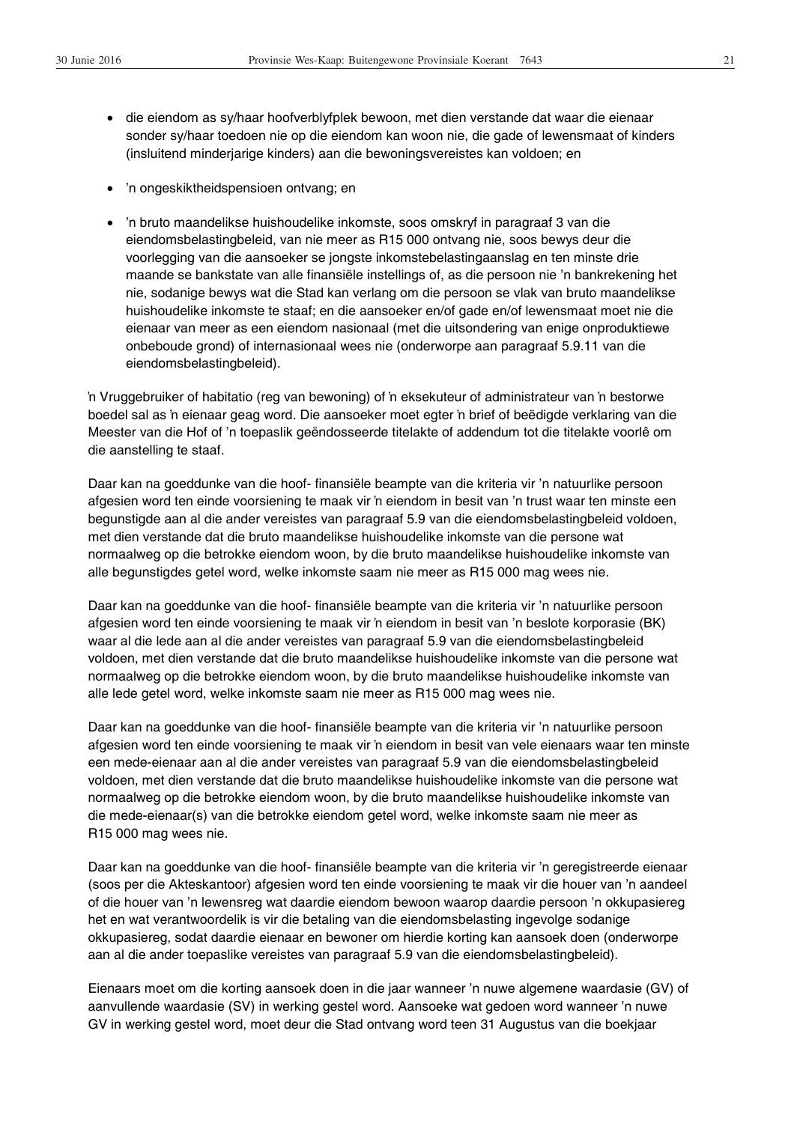- x die eiendom as sy/haar hoofverblyfplek bewoon, met dien verstande dat waar die eienaar sonder sy/haar toedoen nie op die eiendom kan woon nie, die gade of lewensmaat of kinders (insluitend minderjarige kinders) aan die bewoningsvereistes kan voldoen; en
- 'n ongeskiktheidspensioen ontvang; en
- 'n bruto maandelikse huishoudelike inkomste, soos omskryf in paragraaf 3 van die eiendomsbelastingbeleid, van nie meer as R15 000 ontvang nie, soos bewys deur die voorlegging van die aansoeker se jongste inkomstebelastingaanslag en ten minste drie maande se bankstate van alle finansiële instellings of, as die persoon nie 'n bankrekening het nie, sodanige bewys wat die Stad kan verlang om die persoon se vlak van bruto maandelikse huishoudelike inkomste te staaf; en die aansoeker en/of gade en/of lewensmaat moet nie die eienaar van meer as een eiendom nasionaal (met die uitsondering van enige onproduktiewe onbeboude grond) of internasionaal wees nie (onderworpe aan paragraaf 5.9.11 van die eiendomsbelastingbeleid).

In Vruggebruiker of habitatio (reg van bewoning) of 'n eksekuteur of administrateur van 'n bestorwe boedel sal as 'n eienaar geag word. Die aansoeker moet egter 'n brief of beëdigde verklaring van die Meester van die Hof of 'n toepaslik geëndosseerde titelakte of addendum tot die titelakte voorlê om die aanstelling te staaf.

Daar kan na goeddunke van die hoof- finansiële beampte van die kriteria vir 'n natuurlike persoon afgesien word ten einde voorsiening te maak vir 'n eiendom in besit van 'n trust waar ten minste een begunstigde aan al die ander vereistes van paragraaf 5.9 van die eiendomsbelastingbeleid voldoen, met dien verstande dat die bruto maandelikse huishoudelike inkomste van die persone wat normaalweg op die betrokke eiendom woon, by die bruto maandelikse huishoudelike inkomste van alle begunstigdes getel word, welke inkomste saam nie meer as R15 000 mag wees nie.

Daar kan na goeddunke van die hoof- finansiële beampte van die kriteria vir 'n natuurlike persoon afgesien word ten einde voorsiening te maak vir 'n eiendom in besit van 'n beslote korporasie (BK) waar al die lede aan al die ander vereistes van paragraaf 5.9 van die eiendomsbelastingbeleid voldoen, met dien verstande dat die bruto maandelikse huishoudelike inkomste van die persone wat normaalweg op die betrokke eiendom woon, by die bruto maandelikse huishoudelike inkomste van alle lede getel word, welke inkomste saam nie meer as R15 000 mag wees nie.

Daar kan na goeddunke van die hoof- finansiële beampte van die kriteria vir 'n natuurlike persoon afgesien word ten einde voorsiening te maak vir 'n eiendom in besit van vele eienaars waar ten minste een mede-eienaar aan al die ander vereistes van paragraaf 5.9 van die eiendomsbelastingbeleid voldoen, met dien verstande dat die bruto maandelikse huishoudelike inkomste van die persone wat normaalweg op die betrokke eiendom woon, by die bruto maandelikse huishoudelike inkomste van die mede-eienaar(s) van die betrokke eiendom getel word, welke inkomste saam nie meer as R15 000 mag wees nie.

Daar kan na goeddunke van die hoof- finansiële beampte van die kriteria vir 'n geregistreerde eienaar (soos per die Akteskantoor) afgesien word ten einde voorsiening te maak vir die houer van 'n aandeel of die houer van 'n lewensreg wat daardie eiendom bewoon waarop daardie persoon 'n okkupasiereg het en wat verantwoordelik is vir die betaling van die eiendomsbelasting ingevolge sodanige okkupasiereg, sodat daardie eienaar en bewoner om hierdie korting kan aansoek doen (onderworpe aan al die ander toepaslike vereistes van paragraaf 5.9 van die eiendomsbelastingbeleid).

Eienaars moet om die korting aansoek doen in die jaar wanneer 'n nuwe algemene waardasie (GV) of aanvullende waardasie (SV) in werking gestel word. Aansoeke wat gedoen word wanneer 'n nuwe GV in werking gestel word, moet deur die Stad ontvang word teen 31 Augustus van die boekjaar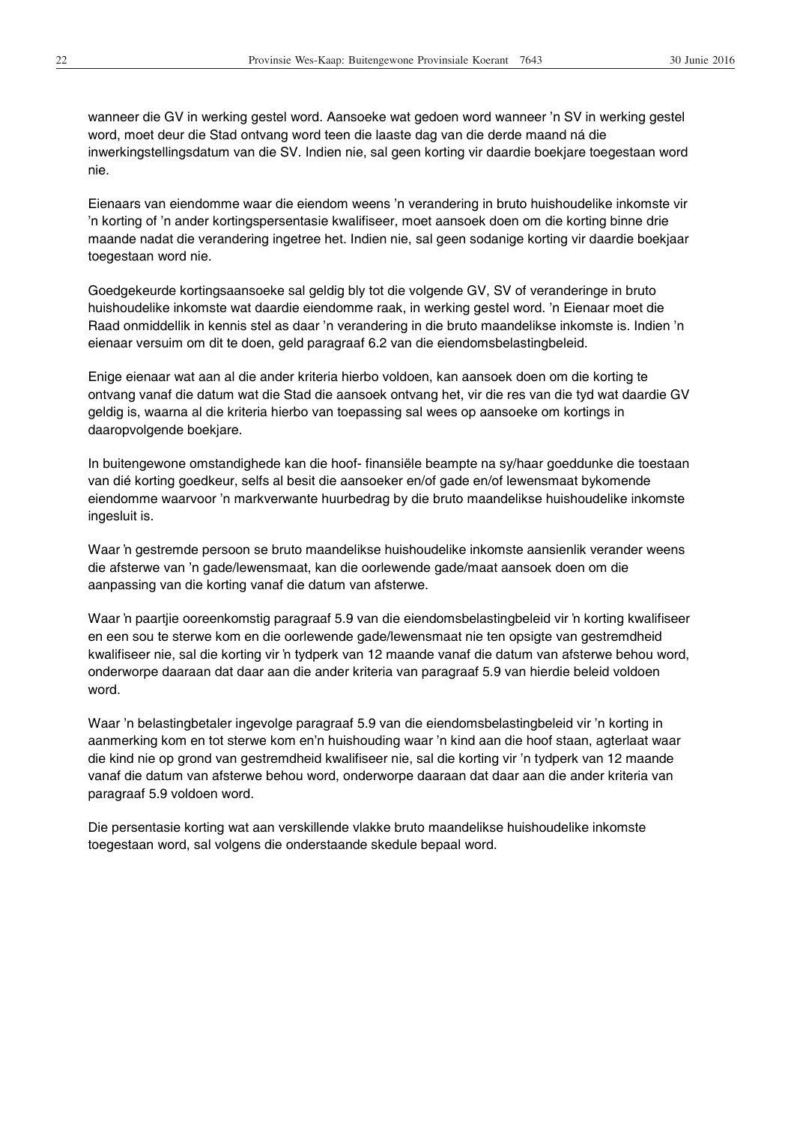wanneer die GV in werking gestel word. Aansoeke wat gedoen word wanneer 'n SV in werking gestel word, moet deur die Stad ontvang word teen die laaste dag van die derde maand ná die inwerkingstellingsdatum van die SV. Indien nie, sal geen korting vir daardie boekjare toegestaan word nie.

Eienaars van eiendomme waar die eiendom weens 'n verandering in bruto huishoudelike inkomste vir 'n korting of 'n ander kortingspersentasie kwalifiseer, moet aansoek doen om die korting binne drie maande nadat die verandering ingetree het. Indien nie, sal geen sodanige korting vir daardie boekjaar toegestaan word nie.

Goedgekeurde kortingsaansoeke sal geldig bly tot die volgende GV, SV of veranderinge in bruto huishoudelike inkomste wat daardie eiendomme raak, in werking gestel word. 'n Eienaar moet die Raad onmiddellik in kennis stel as daar 'n verandering in die bruto maandelikse inkomste is. Indien 'n eienaar versuim om dit te doen, geld paragraaf 6.2 van die eiendomsbelastingbeleid.

Enige eienaar wat aan al die ander kriteria hierbo voldoen, kan aansoek doen om die korting te ontvang vanaf die datum wat die Stad die aansoek ontvang het, vir die res van die tyd wat daardie GV geldig is, waarna al die kriteria hierbo van toepassing sal wees op aansoeke om kortings in daaropvolgende boekjare.

In buitengewone omstandighede kan die hoof- finansiële beampte na sy/haar goeddunke die toestaan van dié korting goedkeur, selfs al besit die aansoeker en/of gade en/of lewensmaat bykomende eiendomme waarvoor 'n markverwante huurbedrag by die bruto maandelikse huishoudelike inkomste ingesluit is.

Waar 'n gestremde persoon se bruto maandelikse huishoudelike inkomste aansienlik verander weens die afsterwe van 'n gade/lewensmaat, kan die oorlewende gade/maat aansoek doen om die aanpassing van die korting vanaf die datum van afsterwe.

Waar 'n paartjie ooreenkomstig paragraaf 5.9 van die eiendomsbelastingbeleid vir 'n korting kwalifiseer en een sou te sterwe kom en die oorlewende gade/lewensmaat nie ten opsigte van gestremdheid kwalifiseer nie, sal die korting vir 'n tydperk van 12 maande vanaf die datum van afsterwe behou word, onderworpe daaraan dat daar aan die ander kriteria van paragraaf 5.9 van hierdie beleid voldoen word.

Waar 'n belastingbetaler ingevolge paragraaf 5.9 van die eiendomsbelastingbeleid vir 'n korting in aanmerking kom en tot sterwe kom en'n huishouding waar 'n kind aan die hoof staan, agterlaat waar die kind nie op grond van gestremdheid kwalifiseer nie, sal die korting vir 'n tydperk van 12 maande vanaf die datum van afsterwe behou word, onderworpe daaraan dat daar aan die ander kriteria van paragraaf 5.9 voldoen word.

Die persentasie korting wat aan verskillende vlakke bruto maandelikse huishoudelike inkomste toegestaan word, sal volgens die onderstaande skedule bepaal word.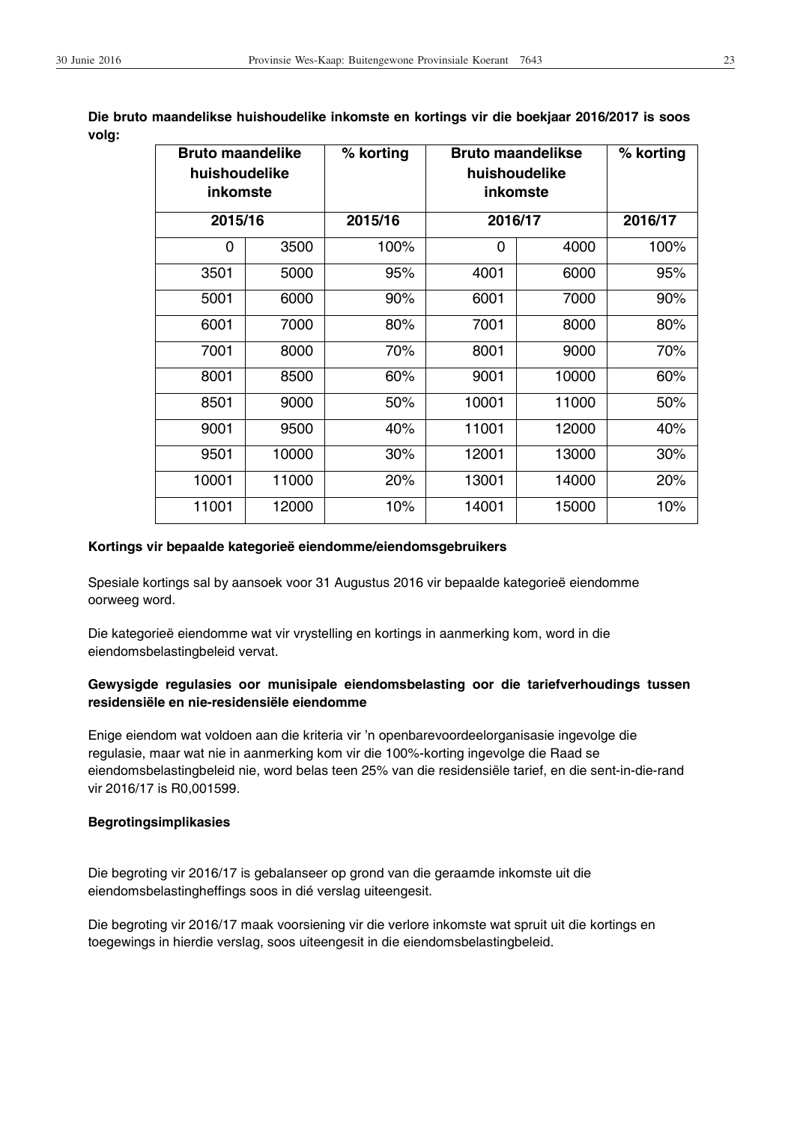| <b>Bruto maandelike</b><br>huishoudelike<br>inkomste |       | % korting |         | <b>Bruto maandelikse</b><br>huishoudelike<br>inkomste | % korting |  |
|------------------------------------------------------|-------|-----------|---------|-------------------------------------------------------|-----------|--|
| 2015/16                                              |       | 2015/16   | 2016/17 |                                                       | 2016/17   |  |
| 0                                                    | 3500  | 100%      | 0       | 4000                                                  | 100%      |  |
| 3501                                                 | 5000  | 95%       | 4001    | 6000                                                  | 95%       |  |
| 5001                                                 | 6000  | 90%       | 6001    | 7000                                                  | 90%       |  |
| 6001                                                 | 7000  | 80%       | 7001    | 8000                                                  | 80%       |  |
| 7001                                                 | 8000  | 70%       | 8001    | 9000                                                  | 70%       |  |
| 8001                                                 | 8500  | 60%       | 9001    | 10000                                                 | 60%       |  |
| 8501                                                 | 9000  | 50%       | 10001   | 11000                                                 | 50%       |  |
| 9001                                                 | 9500  | 40%       | 11001   | 12000                                                 | 40%       |  |
| 9501                                                 | 10000 | 30%       | 12001   | 13000                                                 | 30%       |  |
| 10001                                                | 11000 | 20%       | 13001   | 14000                                                 | 20%       |  |
| 11001                                                | 12000 | 10%       | 14001   | 15000                                                 | 10%       |  |

**Die bruto maandelikse huishoudelike inkomste en kortings vir die boekjaar 2016/2017 is soos volg:**

## **Kortings vir bepaalde kategorieë eiendomme/eiendomsgebruikers**

Spesiale kortings sal by aansoek voor 31 Augustus 2016 vir bepaalde kategorieë eiendomme oorweeg word.

Die kategorieë eiendomme wat vir vrystelling en kortings in aanmerking kom, word in die eiendomsbelastingbeleid vervat.

## **Gewysigde regulasies oor munisipale eiendomsbelasting oor die tariefverhoudings tussen residensiële en nie-residensiële eiendomme**

Enige eiendom wat voldoen aan die kriteria vir 'n openbarevoordeelorganisasie ingevolge die regulasie, maar wat nie in aanmerking kom vir die 100%-korting ingevolge die Raad se eiendomsbelastingbeleid nie, word belas teen 25% van die residensiële tarief, en die sent-in-die-rand vir 2016/17 is R0,001599.

#### **Begrotingsimplikasies**

Die begroting vir 2016/17 is gebalanseer op grond van die geraamde inkomste uit die eiendomsbelastingheffings soos in dié verslag uiteengesit.

Die begroting vir 2016/17 maak voorsiening vir die verlore inkomste wat spruit uit die kortings en toegewings in hierdie verslag, soos uiteengesit in die eiendomsbelastingbeleid.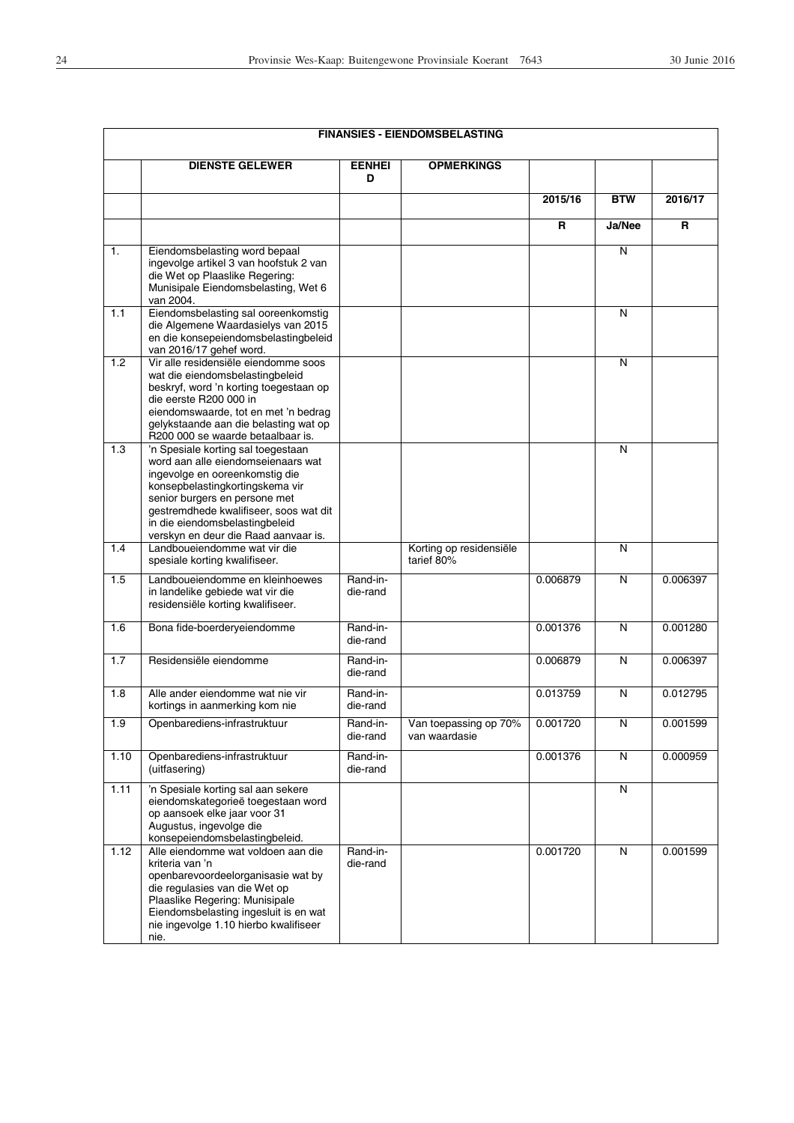|                |                                                                                                                                                                                                                                                                                                    |                      | <b>FINANSIES - EIENDOMSBELASTING</b>   |          |                         |          |
|----------------|----------------------------------------------------------------------------------------------------------------------------------------------------------------------------------------------------------------------------------------------------------------------------------------------------|----------------------|----------------------------------------|----------|-------------------------|----------|
|                | <b>DIENSTE GELEWER</b>                                                                                                                                                                                                                                                                             | <b>EENHEI</b><br>D   | <b>OPMERKINGS</b>                      |          |                         |          |
|                |                                                                                                                                                                                                                                                                                                    |                      |                                        | 2015/16  | <b>BTW</b>              | 2016/17  |
|                |                                                                                                                                                                                                                                                                                                    |                      |                                        | R        | Ja/Nee                  | R        |
| $\mathbf{1}$ . | Eiendomsbelasting word bepaal<br>ingevolge artikel 3 van hoofstuk 2 van<br>die Wet op Plaaslike Regering:<br>Munisipale Eiendomsbelasting, Wet 6<br>van 2004.                                                                                                                                      |                      |                                        |          | N                       |          |
| 1.1            | Eiendomsbelasting sal ooreenkomstig<br>die Algemene Waardasielys van 2015<br>en die konsepeiendomsbelastingbeleid<br>van 2016/17 gehef word.                                                                                                                                                       |                      |                                        |          | $\overline{N}$          |          |
| 1.2            | Vir alle residensiële eiendomme soos<br>wat die eiendomsbelastingbeleid<br>beskryf, word 'n korting toegestaan op<br>die eerste R200 000 in<br>eiendomswaarde, tot en met 'n bedrag<br>gelykstaande aan die belasting wat op<br>R200 000 se waarde betaalbaar is.                                  |                      |                                        |          | N                       |          |
| 1.3            | 'n Spesiale korting sal toegestaan<br>word aan alle eiendomseienaars wat<br>ingevolge en ooreenkomstig die<br>konsepbelastingkortingskema vir<br>senior burgers en persone met<br>gestremdhede kwalifiseer, soos wat dit<br>in die eiendomsbelastingbeleid<br>verskyn en deur die Raad aanvaar is. |                      |                                        |          | N                       |          |
| 1.4            | Landboueiendomme wat vir die<br>spesiale korting kwalifiseer.                                                                                                                                                                                                                                      |                      | Korting op residensiële<br>tarief 80%  |          | $\overline{\mathsf{N}}$ |          |
| 1.5            | Landboueiendomme en kleinhoewes<br>in landelike gebiede wat vir die<br>residensiële korting kwalifiseer.                                                                                                                                                                                           | Rand-in-<br>die-rand |                                        | 0.006879 | $\overline{\mathsf{N}}$ | 0.006397 |
| 1.6            | Bona fide-boerderyeiendomme                                                                                                                                                                                                                                                                        | Rand-in-<br>die-rand |                                        | 0.001376 | N                       | 0.001280 |
| 1.7            | Residensiële eiendomme                                                                                                                                                                                                                                                                             | Rand-in-<br>die-rand |                                        | 0.006879 | N                       | 0.006397 |
| 1.8            | Alle ander eiendomme wat nie vir<br>kortings in aanmerking kom nie                                                                                                                                                                                                                                 | Rand-in-<br>die-rand |                                        | 0.013759 | N                       | 0.012795 |
| 1.9            | Openbarediens-infrastruktuur                                                                                                                                                                                                                                                                       | Rand-in-<br>die-rand | Van toepassing op 70%<br>van waardasie | 0.001720 | N                       | 0.001599 |
| 1.10           | Openbarediens-infrastruktuur<br>(uitfasering)                                                                                                                                                                                                                                                      | Rand-in-<br>die-rand |                                        | 0.001376 | N                       | 0.000959 |
| 1.11           | 'n Spesiale korting sal aan sekere<br>eiendomskategorieë toegestaan word<br>op aansoek elke jaar voor 31<br>Augustus, ingevolge die<br>konsepeiendomsbelastingbeleid.                                                                                                                              |                      |                                        |          | N                       |          |
| 1.12           | Alle eiendomme wat voldoen aan die<br>kriteria van 'n<br>openbarevoordeelorganisasie wat by<br>die regulasies van die Wet op<br>Plaaslike Regering: Munisipale<br>Eiendomsbelasting ingesluit is en wat<br>nie ingevolge 1.10 hierbo kwalifiseer<br>nie.                                           | Rand-in-<br>die-rand |                                        | 0.001720 | N                       | 0.001599 |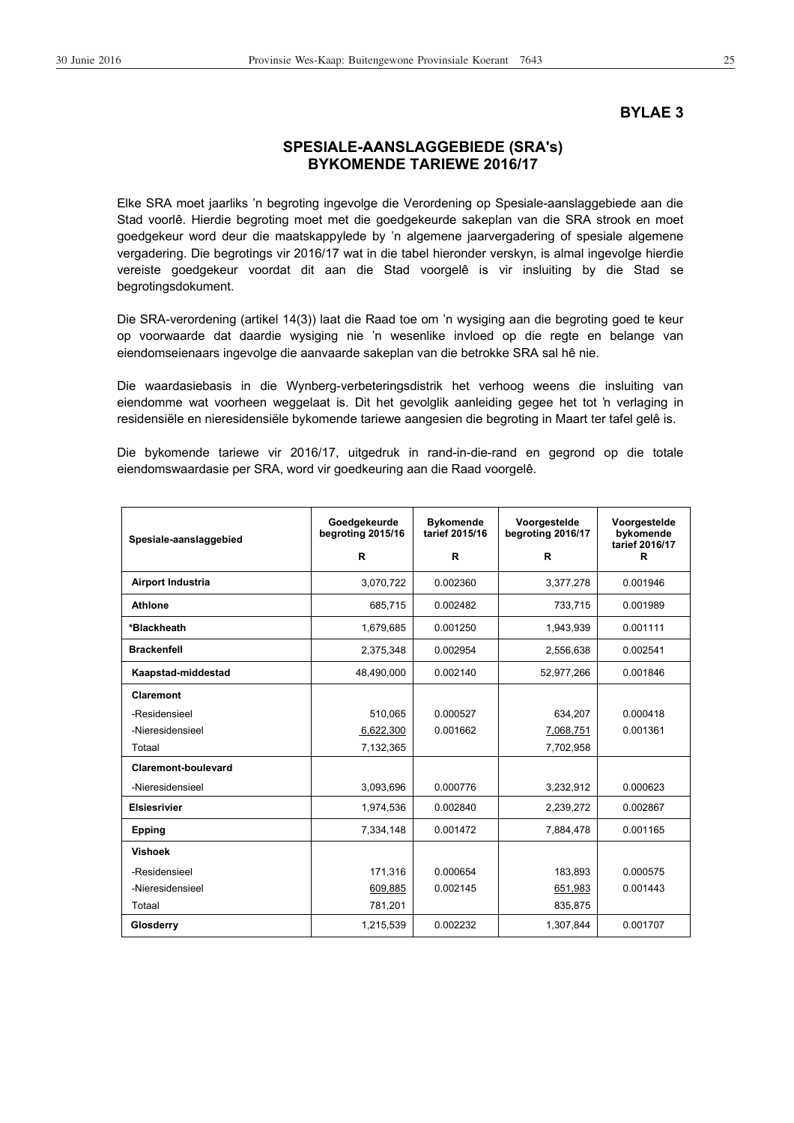#### **BYLAE 3**

# **SPESIALE-AANSLAGGEBIEDE (SRA's) BYKOMENDE TARIEWE 2016/17**

Elke SRA moet jaarliks 'n begroting ingevolge die Verordening op Spesiale-aanslaggebiede aan die Stad voorlê. Hierdie begroting moet met die goedgekeurde sakeplan van die SRA strook en moet goedgekeur word deur die maatskappylede by 'n algemene jaarvergadering of spesiale algemene vergadering. Die begrotings vir 2016/17 wat in die tabel hieronder verskyn, is almal ingevolge hierdie vereiste goedgekeur voordat dit aan die Stad voorgelê is vir insluiting by die Stad se begrotingsdokument.

Die SRA-verordening (artikel 14(3)) laat die Raad toe om 'n wysiging aan die begroting goed te keur op voorwaarde dat daardie wysiging nie 'n wesenlike invloed op die regte en belange van eiendomseienaars ingevolge die aanvaarde sakeplan van die betrokke SRA sal hê nie.

Die waardasiebasis in die Wynberg-verbeteringsdistrik het verhoog weens die insluiting van eiendomme wat voorheen weggelaat is. Dit het gevolglik aanleiding gegee het tot 'n verlaging in residensiële en nieresidensiële bykomende tariewe aangesien die begroting in Maart ter tafel gelê is.

Die bykomende tariewe vir 2016/17, uitgedruk in rand-in-die-rand en gegrond op die totale eiendomswaardasie per SRA, word vir goedkeuring aan die Raad voorgelê.

| Spesiale-aanslaggebied | Goedgekeurde<br>begroting 2015/16 | <b>Bykomende</b><br>tarief 2015/16 | Voorgestelde<br>begroting 2016/17 | Voorgestelde<br>bykomende<br>tarief 2016/17 |
|------------------------|-----------------------------------|------------------------------------|-----------------------------------|---------------------------------------------|
|                        | R                                 | R                                  | R                                 | R                                           |
| Airport Industria      | 3,070,722                         | 0.002360                           | 3,377,278                         | 0.001946                                    |
| <b>Athlone</b>         | 685,715                           | 0.002482                           | 733,715                           | 0.001989                                    |
| *Blackheath            | 1,679,685                         | 0.001250                           | 1,943,939                         | 0.001111                                    |
| <b>Brackenfell</b>     | 2,375,348                         | 0.002954                           | 2,556,638                         | 0.002541                                    |
| Kaapstad-middestad     | 48,490,000                        | 0.002140                           | 52,977,266                        | 0.001846                                    |
| Claremont              |                                   |                                    |                                   |                                             |
| -Residensieel          | 510.065                           | 0.000527                           | 634,207                           | 0.000418                                    |
| -Nieresidensieel       | 6,622,300                         | 0.001662                           | 7,068,751                         | 0.001361                                    |
| Totaal                 | 7,132,365                         |                                    | 7,702,958                         |                                             |
| Claremont-boulevard    |                                   |                                    |                                   |                                             |
| -Nieresidensieel       | 3,093,696                         | 0.000776                           | 3,232,912                         | 0.000623                                    |
| <b>Elsiesrivier</b>    | 1,974,536                         | 0.002840                           | 2,239,272                         | 0.002867                                    |
| <b>Epping</b>          | 7,334,148                         | 0.001472                           | 7,884,478                         | 0.001165                                    |
| <b>Vishoek</b>         |                                   |                                    |                                   |                                             |
| -Residensieel          | 171,316                           | 0.000654                           | 183,893                           | 0.000575                                    |
| -Nieresidensieel       | 609,885                           | 0.002145                           | 651,983                           | 0.001443                                    |
| Totaal                 | 781,201                           |                                    | 835,875                           |                                             |
| Glosderry              | 1,215,539                         | 0.002232                           | 1,307,844                         | 0.001707                                    |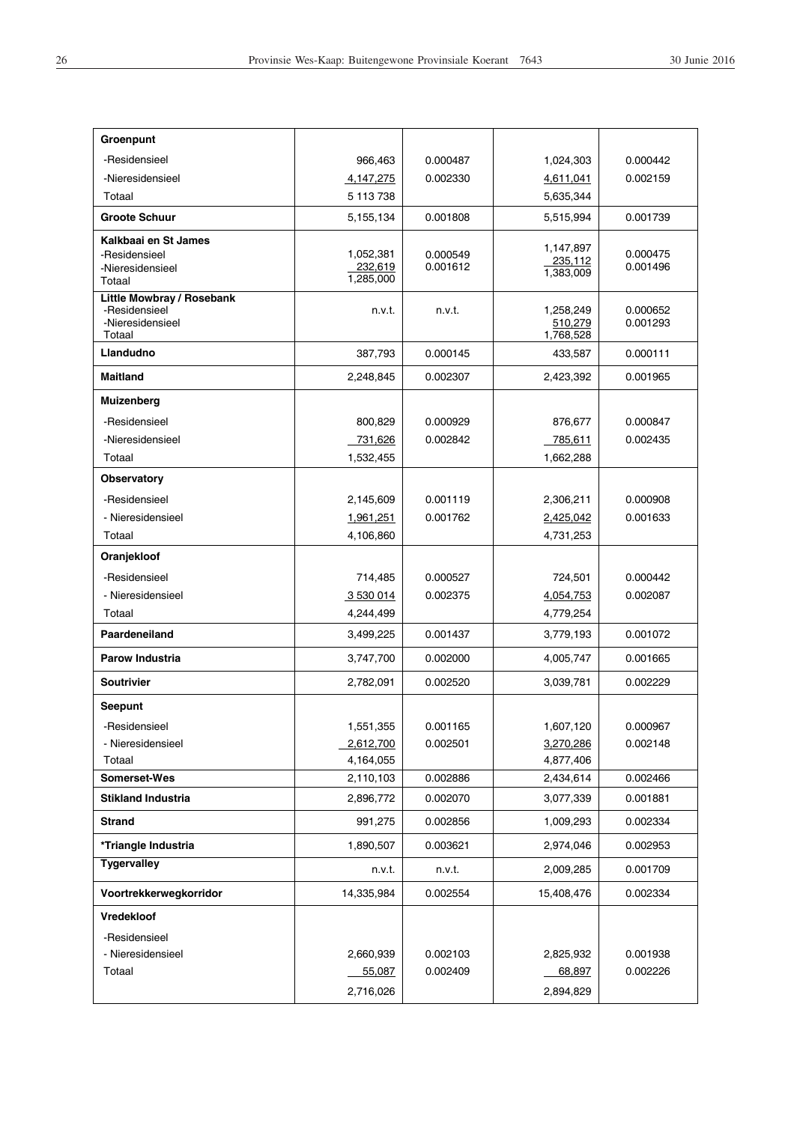| Groenpunt                         |                      |                      |                      |                      |
|-----------------------------------|----------------------|----------------------|----------------------|----------------------|
| -Residensieel                     | 966,463              | 0.000487             | 1,024,303            | 0.000442             |
| -Nieresidensieel                  | 4,147,275            | 0.002330             | 4,611,041            | 0.002159             |
| Totaal                            | 5 113 738            |                      | 5,635,344            |                      |
| <b>Groote Schuur</b>              | 5,155,134            | 0.001808             | 5,515,994            | 0.001739             |
| Kalkbaai en St James              |                      |                      | 1,147,897            |                      |
| -Residensieel                     | 1,052,381<br>232,619 | 0.000549<br>0.001612 | 235,112              | 0.000475<br>0.001496 |
| -Nieresidensieel<br>Totaal        | 1,285,000            |                      | 1,383,009            |                      |
| <b>Little Mowbray / Rosebank</b>  |                      |                      |                      |                      |
| -Residensieel<br>-Nieresidensieel | n.v.t.               | n.v.t.               | 1,258,249<br>510,279 | 0.000652<br>0.001293 |
| Totaal                            |                      |                      | 1,768,528            |                      |
| Llandudno                         | 387,793              | 0.000145             | 433,587              | 0.000111             |
| <b>Maitland</b>                   | 2,248,845            | 0.002307             | 2,423,392            | 0.001965             |
| Muizenberg                        |                      |                      |                      |                      |
| -Residensieel                     | 800,829              | 0.000929             | 876,677              | 0.000847             |
| -Nieresidensieel                  | 731,626              | 0.002842             | 785,611              | 0.002435             |
| Totaal                            | 1,532,455            |                      | 1,662,288            |                      |
| Observatory                       |                      |                      |                      |                      |
| -Residensieel                     | 2,145,609            | 0.001119             | 2,306,211            | 0.000908             |
| - Nieresidensieel                 | 1,961,251            | 0.001762             | 2,425,042            | 0.001633             |
| Totaal                            | 4,106,860            |                      | 4,731,253            |                      |
| Oranjekloof                       |                      |                      |                      |                      |
| -Residensieel                     | 714,485              | 0.000527             | 724,501              | 0.000442             |
| - Nieresidensieel                 | 3 530 014            | 0.002375             | 4,054,753            | 0.002087             |
| Totaal                            | 4,244,499            |                      | 4,779,254            |                      |
| Paardeneiland                     | 3,499,225            | 0.001437             | 3,779,193            | 0.001072             |
| Parow Industria                   | 3,747,700            | 0.002000             | 4,005,747            | 0.001665             |
| <b>Soutrivier</b>                 | 2,782,091            | 0.002520             | 3,039,781            | 0.002229             |
| Seepunt                           |                      |                      |                      |                      |
| -Residensieel                     | 1,551,355            | 0.001165             | 1,607,120            | 0.000967             |
| - Nieresidensieel                 | 2,612,700            | 0.002501             | 3,270,286            | 0.002148             |
| Totaal                            | 4,164,055            |                      | 4,877,406            |                      |
| Somerset-Wes                      | 2,110,103            | 0.002886             | 2,434,614            | 0.002466             |
| <b>Stikland Industria</b>         | 2,896,772            | 0.002070             | 3,077,339            | 0.001881             |
| <b>Strand</b>                     | 991,275              | 0.002856             | 1,009,293            | 0.002334             |
| *Triangle Industria               | 1,890,507            | 0.003621             | 2,974,046            | 0.002953             |
| <b>Tygervalley</b>                | n.v.t.               | n.v.t.               | 2,009,285            | 0.001709             |
| Voortrekkerwegkorridor            | 14,335,984           | 0.002554             | 15,408,476           | 0.002334             |
| Vredekloof                        |                      |                      |                      |                      |
| -Residensieel                     |                      |                      |                      |                      |
| - Nieresidensieel                 | 2,660,939            | 0.002103             | 2,825,932            | 0.001938             |
| Totaal                            | 55,087               | 0.002409             | 68,897               | 0.002226             |
|                                   | 2,716,026            |                      | 2,894,829            |                      |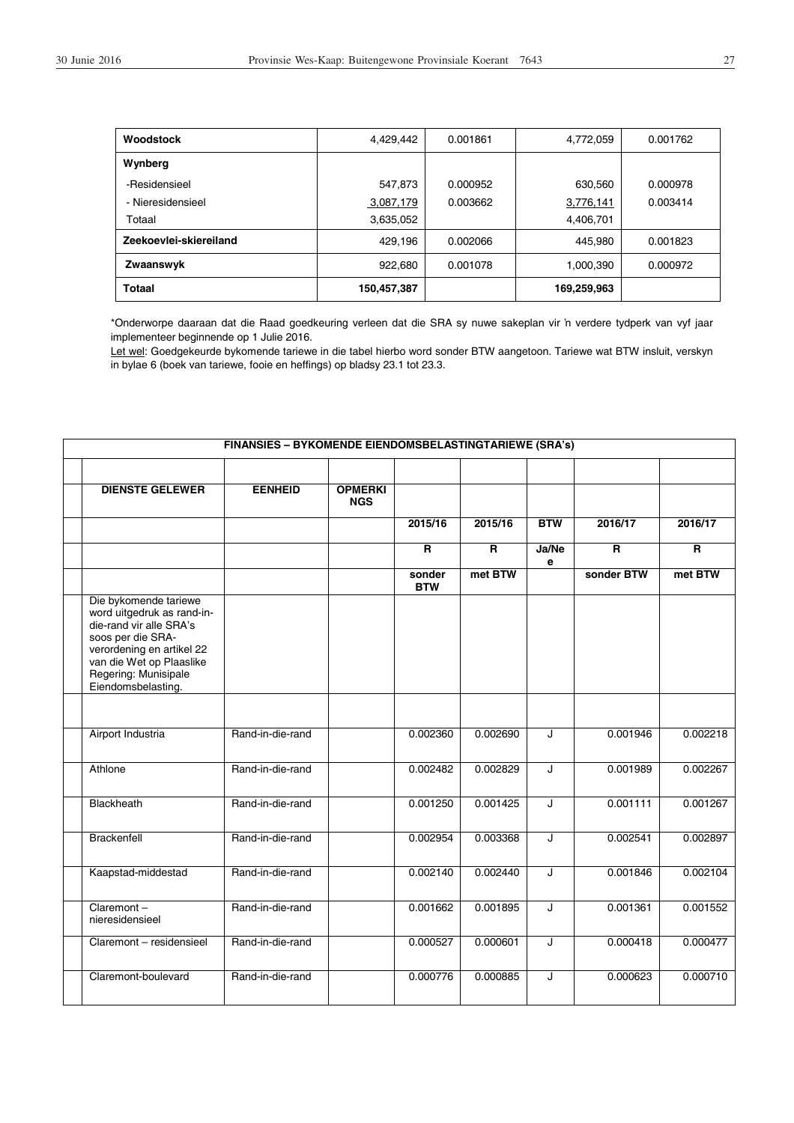| Woodstock              | 4,429,442   | 0.001861 | 4,772,059   | 0.001762 |
|------------------------|-------------|----------|-------------|----------|
| Wynberg                |             |          |             |          |
| -Residensieel          | 547,873     | 0.000952 | 630,560     | 0.000978 |
| - Nieresidensieel      | 3,087,179   | 0.003662 | 3,776,141   | 0.003414 |
| Totaal                 | 3,635,052   |          | 4,406,701   |          |
| Zeekoevlei-skiereiland | 429.196     | 0.002066 | 445,980     | 0.001823 |
| Zwaanswyk              | 922.680     | 0.001078 | 1,000,390   | 0.000972 |
| <b>Totaal</b>          | 150,457,387 |          | 169,259,963 |          |

\*Onderworpe daaraan dat die Raad goedkeuring verleen dat die SRA sy nuwe sakeplan vir ƌ verdere tydperk van vyf jaar implementeer beginnende op 1 Julie 2016.

Let wel: Goedgekeurde bykomende tariewe in die tabel hierbo word sonder BTW aangetoon. Tariewe wat BTW insluit, verskyn in bylae 6 (boek van tariewe, fooie en heffings) op bladsy 23.1 tot 23.3.

| <b>FINANSIES - BYKOMENDE EIENDOMSBELASTINGTARIEWE (SRA's)</b> |                                                                                                                                                                                                            |                  |                              |                         |                |                         |                         |                         |
|---------------------------------------------------------------|------------------------------------------------------------------------------------------------------------------------------------------------------------------------------------------------------------|------------------|------------------------------|-------------------------|----------------|-------------------------|-------------------------|-------------------------|
|                                                               |                                                                                                                                                                                                            |                  |                              |                         |                |                         |                         |                         |
|                                                               | <b>DIENSTE GELEWER</b>                                                                                                                                                                                     | <b>EENHEID</b>   | <b>OPMERKI</b><br><b>NGS</b> |                         |                |                         |                         |                         |
|                                                               |                                                                                                                                                                                                            |                  |                              | 2015/16                 | 2015/16        | <b>BTW</b>              | 2016/17                 | 2016/17                 |
|                                                               |                                                                                                                                                                                                            |                  |                              | $\overline{\mathsf{R}}$ | $\overline{R}$ | Ja/Ne<br>е              | $\overline{\mathsf{R}}$ | $\overline{\mathsf{R}}$ |
|                                                               |                                                                                                                                                                                                            |                  |                              | sonder<br><b>BTW</b>    | met BTW        |                         | sonder BTW              | met BTW                 |
|                                                               | Die bykomende tariewe<br>word uitgedruk as rand-in-<br>die-rand vir alle SRA's<br>soos per die SRA-<br>verordening en artikel 22<br>van die Wet op Plaaslike<br>Regering: Munisipale<br>Eiendomsbelasting. |                  |                              |                         |                |                         |                         |                         |
|                                                               |                                                                                                                                                                                                            |                  |                              |                         |                |                         |                         |                         |
|                                                               | Airport Industria                                                                                                                                                                                          | Rand-in-die-rand |                              | 0.002360                | 0.002690       | J                       | 0.001946                | 0.002218                |
|                                                               | Athlone                                                                                                                                                                                                    | Rand-in-die-rand |                              | 0.002482                | 0.002829       | J                       | 0.001989                | 0.002267                |
|                                                               | Blackheath                                                                                                                                                                                                 | Rand-in-die-rand |                              | 0.001250                | 0.001425       | J                       | 0.001111                | 0.001267                |
|                                                               | <b>Brackenfell</b>                                                                                                                                                                                         | Rand-in-die-rand |                              | 0.002954                | 0.003368       | J                       | 0.002541                | 0.002897                |
|                                                               | Kaapstad-middestad                                                                                                                                                                                         | Rand-in-die-rand |                              | 0.002140                | 0.002440       | $\overline{\mathsf{J}}$ | 0.001846                | 0.002104                |
|                                                               | Claremont-<br>nieresidensieel                                                                                                                                                                              | Rand-in-die-rand |                              | 0.001662                | 0.001895       | J                       | 0.001361                | 0.001552                |
|                                                               | Claremont - residensieel                                                                                                                                                                                   | Rand-in-die-rand |                              | 0.000527                | 0.000601       | J                       | 0.000418                | 0.000477                |
|                                                               | Claremont-boulevard                                                                                                                                                                                        | Rand-in-die-rand |                              | 0.000776                | 0.000885       | J                       | 0.000623                | 0.000710                |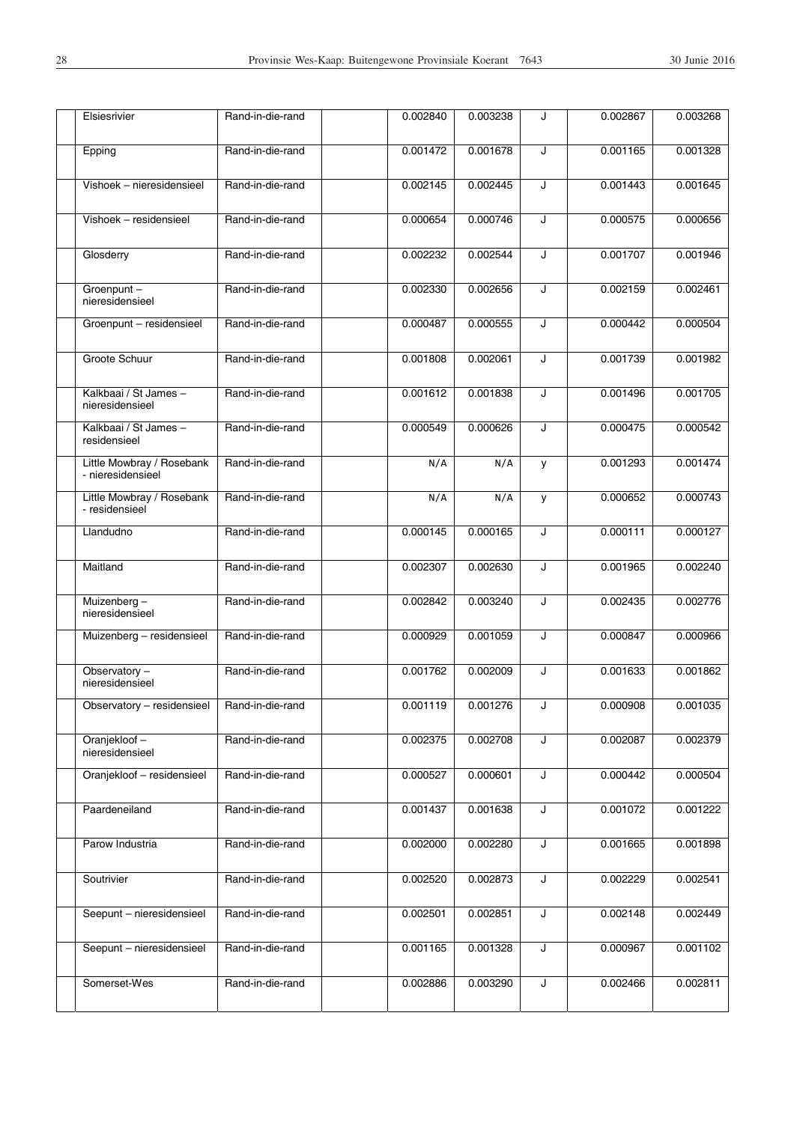| $\overline{\mathsf{J}}$<br>0.001328<br>0.001165 |
|-------------------------------------------------|
| 0.001443<br>0.001645<br>J                       |
| 0.000575<br>0.000656<br>J                       |
| 0.001946<br>J<br>0.001707                       |
| 0.002461<br>J<br>0.002159                       |
| 0.000504<br>J<br>0.000442                       |
| J<br>0.001982<br>0.001739                       |
| 0.001705<br>J<br>0.001496                       |
| 0.000475<br>0.000542<br>J                       |
| 0.001474<br>0.001293<br>У                       |
| 0.000743<br>0.000652<br>У                       |
| 0.000111<br>0.000127<br>J                       |
| 0.002240<br>J<br>0.001965                       |
| 0.002776<br>J<br>0.002435                       |
| 0.000847<br>0.000966<br>J                       |
| J<br>0.001633<br>0.001862                       |
| 0.000908<br>0.001035                            |
| 0.002087<br>0.002379<br>J                       |
| J<br>0.000442<br>0.000504                       |
| J<br>0.001072<br>0.001222                       |
| J<br>0.001665<br>0.001898                       |
| J<br>0.002541<br>0.002229                       |
| J<br>0.002148<br>0.002449                       |
| J<br>0.000967<br>0.001102                       |
| J<br>0.002466<br>0.002811                       |
|                                                 |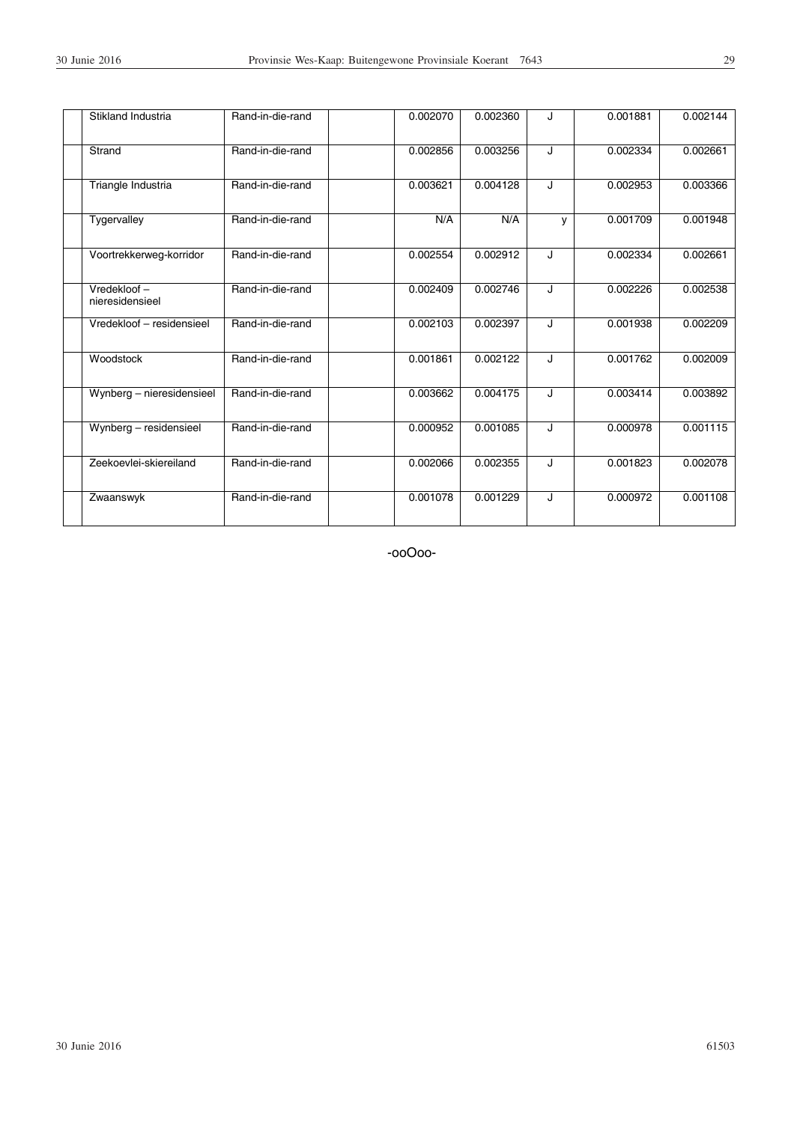| Stikland Industria             | Rand-in-die-rand | 0.002070 | 0.002360 | J | 0.001881 | 0.002144 |
|--------------------------------|------------------|----------|----------|---|----------|----------|
| Strand                         | Rand-in-die-rand | 0.002856 | 0.003256 | J | 0.002334 | 0.002661 |
| Triangle Industria             | Rand-in-die-rand | 0.003621 | 0.004128 | J | 0.002953 | 0.003366 |
| Tygervalley                    | Rand-in-die-rand | N/A      | N/A      | v | 0.001709 | 0.001948 |
| Voortrekkerweg-korridor        | Rand-in-die-rand | 0.002554 | 0.002912 | J | 0.002334 | 0.002661 |
| Vredekloof-<br>nieresidensieel | Rand-in-die-rand | 0.002409 | 0.002746 | J | 0.002226 | 0.002538 |
| Vredekloof - residensieel      | Rand-in-die-rand | 0.002103 | 0.002397 | J | 0.001938 | 0.002209 |
| Woodstock                      | Rand-in-die-rand | 0.001861 | 0.002122 | J | 0.001762 | 0.002009 |
| Wynberg - nieresidensieel      | Rand-in-die-rand | 0.003662 | 0.004175 | J | 0.003414 | 0.003892 |
| Wynberg - residensieel         | Rand-in-die-rand | 0.000952 | 0.001085 | J | 0.000978 | 0.001115 |
| Zeekoevlei-skiereiland         | Rand-in-die-rand | 0.002066 | 0.002355 | J | 0.001823 | 0.002078 |
| Zwaanswyk                      | Rand-in-die-rand | 0.001078 | 0.001229 | J | 0.000972 | 0.001108 |

-ooOoo-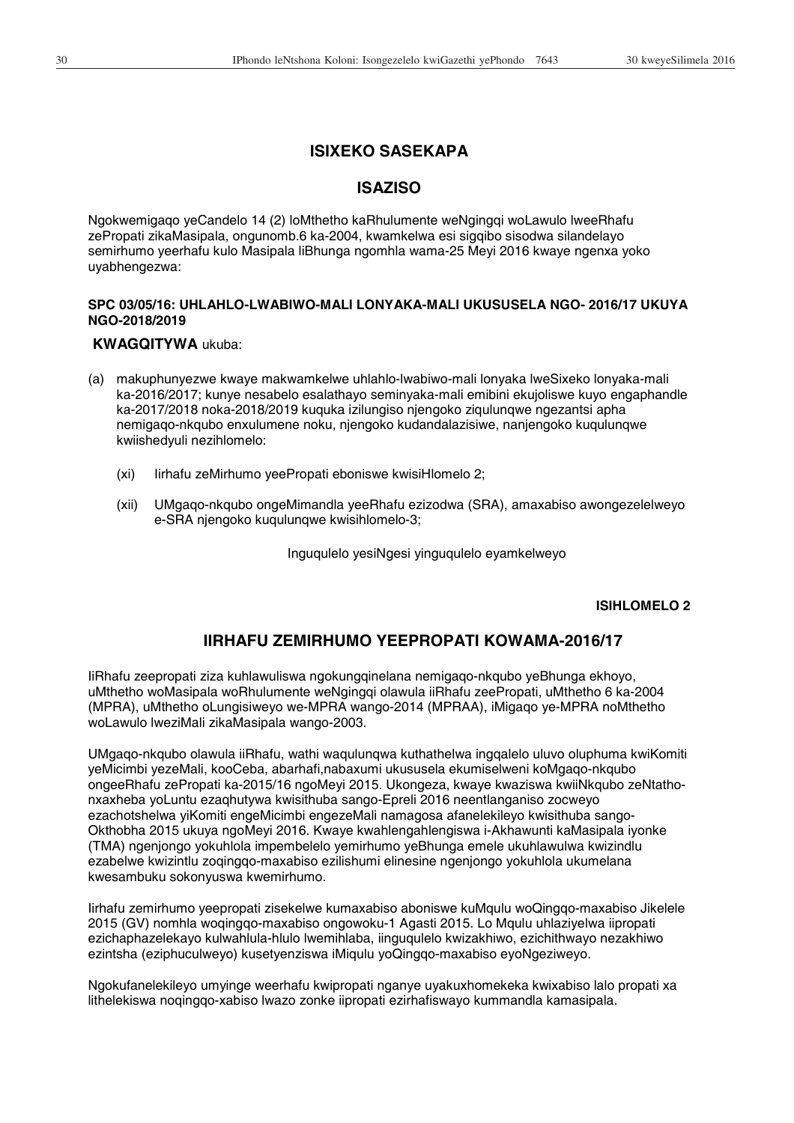# **ISIXEKO SASEKAPA**

## **ISAZISO**

Ngokwemigaqo yeCandelo 14 (2) loMthetho kaRhulumente weNgingqi woLawulo lweeRhafu zePropati zikaMasipala, ongunomb.6 ka-2004, kwamkelwa esi sigqibo sisodwa silandelayo semirhumo yeerhafu kulo Masipala liBhunga ngomhla wama-25 Meyi 2016 kwaye ngenxa yoko uyabhengezwa:

## **SPC 03/05/16: UHLAHLO-LWABIWO-MALI LONYAKA-MALI UKUSUSELA NGO- 2016/17 UKUYA NGO-2018/2019**

## **KWAGQITYWA** ukuba:

- (a) makuphunyezwe kwaye makwamkelwe uhlahlo-lwabiwo-mali lonyaka lweSixeko lonyaka-mali ka-2016/2017; kunye nesabelo esalathayo seminyaka-mali emibini ekujoliswe kuyo engaphandle ka-2017/2018 noka-2018/2019 kuquka izilungiso njengoko ziqulunqwe ngezantsi apha nemigaqo-nkqubo enxulumene noku, njengoko kudandalazisiwe, nanjengoko kuqulunqwe kwiishedyuli nezihlomelo:
	- (xi) Iirhafu zeMirhumo yeePropati eboniswe kwisiHlomelo 2;
	- (xii) UMgaqo-nkqubo ongeMimandla yeeRhafu ezizodwa (SRA), amaxabiso awongezelelweyo e-SRA njengoko kuqulunqwe kwisihlomelo-3;

Inguqulelo yesiNgesi yinguqulelo eyamkelweyo

#### **ISIHLOMELO 2**

# **IIRHAFU ZEMIRHUMO YEEPROPATI KOWAMA-2016/17**

IiRhafu zeepropati ziza kuhlawuliswa ngokungqinelana nemigaqo-nkqubo yeBhunga ekhoyo, uMthetho woMasipala woRhulumente weNgingqi olawula iiRhafu zeePropati, uMthetho 6 ka-2004 (MPRA), uMthetho oLungisiweyo we-MPRA wango-2014 (MPRAA), iMigaqo ye-MPRA noMthetho woLawulo lweziMali zikaMasipala wango-2003.

UMgaqo-nkqubo olawula iiRhafu, wathi waqulunqwa kuthathelwa ingqalelo uluvo oluphuma kwiKomiti yeMicimbi yezeMali, kooCeba, abarhafi,nabaxumi ukususela ekumiselweni koMgaqo-nkqubo ongeeRhafu zePropati ka-2015/16 ngoMeyi 2015. Ukongeza, kwaye kwaziswa kwiiNkqubo zeNtathonxaxheba yoLuntu ezaqhutywa kwisithuba sango-Epreli 2016 neentlanganiso zocweyo ezachotshelwa yiKomiti engeMicimbi engezeMali namagosa afanelekileyo kwisithuba sango-Okthobha 2015 ukuya ngoMeyi 2016. Kwaye kwahlengahlengiswa i-Akhawunti kaMasipala iyonke (TMA) ngenjongo yokuhlola impembelelo yemirhumo yeBhunga emele ukuhlawulwa kwizindlu ezabelwe kwizintlu zoqingqo-maxabiso ezilishumi elinesine ngenjongo yokuhlola ukumelana kwesambuku sokonyuswa kwemirhumo.

Iirhafu zemirhumo yeepropati zisekelwe kumaxabiso aboniswe kuMqulu woQingqo-maxabiso Jikelele 2015 (GV) nomhla woqingqo-maxabiso ongowoku-1 Agasti 2015. Lo Mqulu uhlaziyelwa iipropati ezichaphazelekayo kulwahlula-hlulo lwemihlaba, iinguqulelo kwizakhiwo, ezichithwayo nezakhiwo ezintsha (eziphuculweyo) kusetyenziswa iMiqulu yoQingqo-maxabiso eyoNgeziweyo.

Ngokufanelekileyo umyinge weerhafu kwipropati nganye uyakuxhomekeka kwixabiso lalo propati xa lithelekiswa noqingqo-xabiso lwazo zonke iipropati ezirhafiswayo kummandla kamasipala.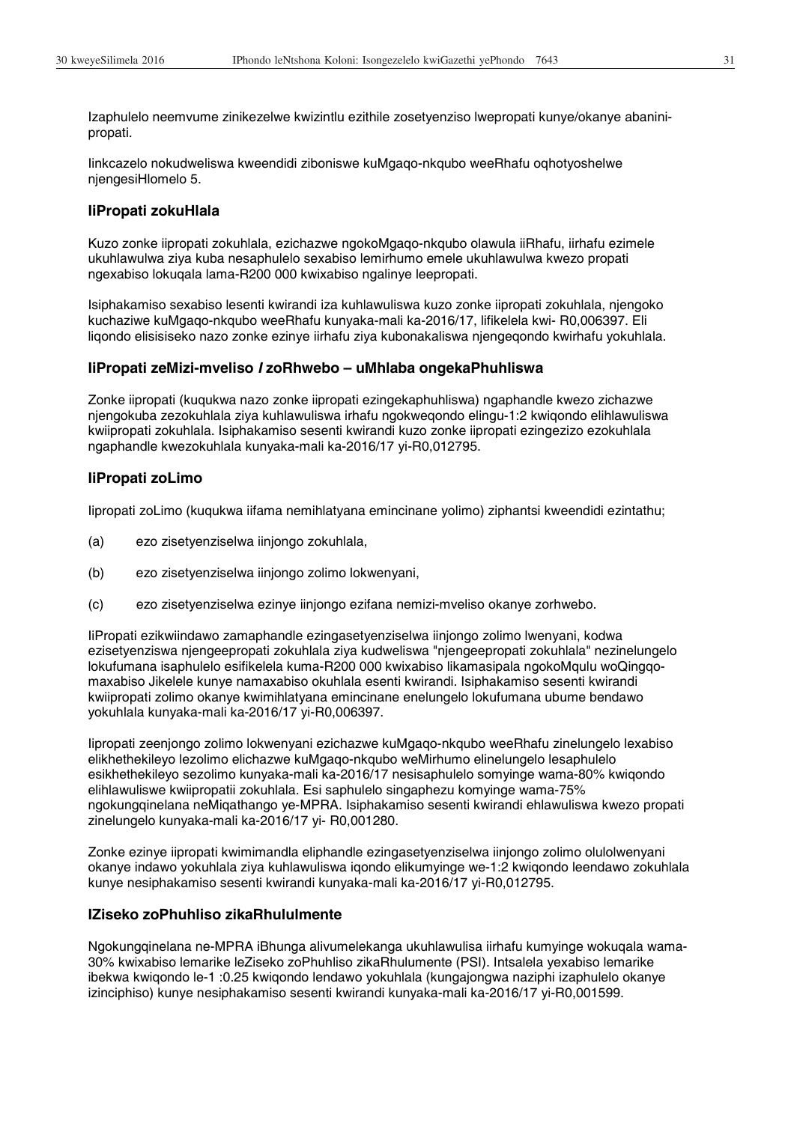Izaphulelo neemvume zinikezelwe kwizintlu ezithile zosetyenziso lwepropati kunye/okanye abaninipropati.

Iinkcazelo nokudweliswa kweendidi ziboniswe kuMgaqo-nkqubo weeRhafu oqhotyoshelwe njengesiHlomelo 5.

#### **IiPropati zokuHlala**

Kuzo zonke iipropati zokuhlala, ezichazwe ngokoMgaqo-nkqubo olawula iiRhafu, iirhafu ezimele ukuhlawulwa ziya kuba nesaphulelo sexabiso lemirhumo emele ukuhlawulwa kwezo propati ngexabiso lokuqala lama-R200 000 kwixabiso ngalinye leepropati.

Isiphakamiso sexabiso lesenti kwirandi iza kuhlawuliswa kuzo zonke iipropati zokuhlala, njengoko kuchaziwe kuMgaqo-nkqubo weeRhafu kunyaka-mali ka-2016/17, lifikelela kwi- R0,006397. Eli liqondo elisisiseko nazo zonke ezinye iirhafu ziya kubonakaliswa njengeqondo kwirhafu yokuhlala.

#### **IiPropati zeMizi-mveliso** *I* **zoRhwebo – uMhlaba ongekaPhuhliswa**

Zonke iipropati (kuqukwa nazo zonke iipropati ezingekaphuhliswa) ngaphandle kwezo zichazwe njengokuba zezokuhlala ziya kuhlawuliswa irhafu ngokweqondo elingu-1:2 kwiqondo elihlawuliswa kwiipropati zokuhlala. Isiphakamiso sesenti kwirandi kuzo zonke iipropati ezingezizo ezokuhlala ngaphandle kwezokuhlala kunyaka-mali ka-2016/17 yi-R0,012795.

#### **IiPropati zoLimo**

Iipropati zoLimo (kuqukwa iifama nemihlatyana emincinane yolimo) ziphantsi kweendidi ezintathu;

- (a) ezo zisetyenziselwa iinjongo zokuhlala,
- (b) ezo zisetyenziselwa iinjongo zolimo lokwenyani,
- (c) ezo zisetyenziselwa ezinye iinjongo ezifana nemizi-mveliso okanye zorhwebo.

IiPropati ezikwiindawo zamaphandle ezingasetyenziselwa iinjongo zolimo lwenyani, kodwa ezisetyenziswa njengeepropati zokuhlala ziya kudweliswa "njengeepropati zokuhlala" nezinelungelo lokufumana isaphulelo esifikelela kuma-R200 000 kwixabiso likamasipala ngokoMqulu woQingqomaxabiso Jikelele kunye namaxabiso okuhlala esenti kwirandi. Isiphakamiso sesenti kwirandi kwiipropati zolimo okanye kwimihlatyana emincinane enelungelo lokufumana ubume bendawo yokuhlala kunyaka-mali ka-2016/17 yi-R0,006397.

Iipropati zeenjongo zolimo lokwenyani ezichazwe kuMgaqo-nkqubo weeRhafu zinelungelo lexabiso elikhethekileyo lezolimo elichazwe kuMgaqo-nkqubo weMirhumo elinelungelo lesaphulelo esikhethekileyo sezolimo kunyaka-mali ka-2016/17 nesisaphulelo somyinge wama-80% kwiqondo elihlawuliswe kwiipropatii zokuhlala. Esi saphulelo singaphezu komyinge wama-75% ngokungqinelana neMiqathango ye-MPRA. Isiphakamiso sesenti kwirandi ehlawuliswa kwezo propati zinelungelo kunyaka-mali ka-2016/17 yi- R0,001280.

Zonke ezinye iipropati kwimimandla eliphandle ezingasetyenziselwa iinjongo zolimo olulolwenyani okanye indawo yokuhlala ziya kuhlawuliswa iqondo elikumyinge we-1:2 kwiqondo leendawo zokuhlala kunye nesiphakamiso sesenti kwirandi kunyaka-mali ka-2016/17 yi-R0,012795.

#### **IZiseko zoPhuhliso zikaRhululmente**

Ngokungqinelana ne-MPRA iBhunga alivumelekanga ukuhlawulisa iirhafu kumyinge wokuqala wama-30% kwixabiso lemarike leZiseko zoPhuhliso zikaRhulumente (PSI). Intsalela yexabiso lemarike ibekwa kwiqondo le-1 :0.25 kwiqondo lendawo yokuhlala (kungajongwa naziphi izaphulelo okanye izinciphiso) kunye nesiphakamiso sesenti kwirandi kunyaka-mali ka-2016/17 yi-R0,001599.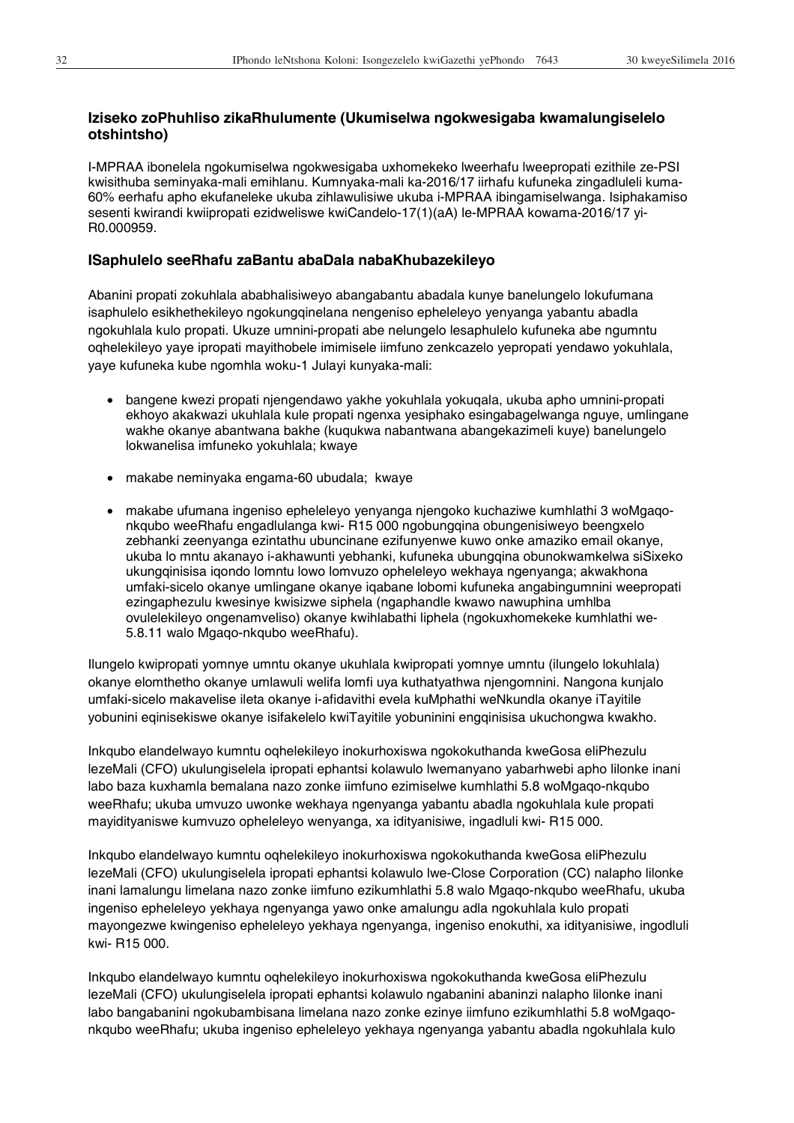## **Iziseko zoPhuhliso zikaRhulumente (Ukumiselwa ngokwesigaba kwamalungiselelo otshintsho)**

I-MPRAA ibonelela ngokumiselwa ngokwesigaba uxhomekeko lweerhafu lweepropati ezithile ze-PSI kwisithuba seminyaka-mali emihlanu. Kumnyaka-mali ka-2016/17 iirhafu kufuneka zingadluleli kuma-60% eerhafu apho ekufaneleke ukuba zihlawulisiwe ukuba i-MPRAA ibingamiselwanga. Isiphakamiso sesenti kwirandi kwiipropati ezidweliswe kwiCandelo-17(1)(aA) le-MPRAA kowama-2016/17 yi-R0.000959.

#### **ISaphulelo seeRhafu zaBantu abaDala nabaKhubazekileyo**

Abanini propati zokuhlala ababhalisiweyo abangabantu abadala kunye banelungelo lokufumana isaphulelo esikhethekileyo ngokungqinelana nengeniso epheleleyo yenyanga yabantu abadla ngokuhlala kulo propati. Ukuze umnini-propati abe nelungelo lesaphulelo kufuneka abe ngumntu oqhelekileyo yaye ipropati mayithobele imimisele iimfuno zenkcazelo yepropati yendawo yokuhlala, yaye kufuneka kube ngomhla woku-1 Julayi kunyaka-mali:

- x bangene kwezi propati njengendawo yakhe yokuhlala yokuqala, ukuba apho umnini-propati ekhoyo akakwazi ukuhlala kule propati ngenxa yesiphako esingabagelwanga nguye, umlingane wakhe okanye abantwana bakhe (kuqukwa nabantwana abangekazimeli kuye) banelungelo lokwanelisa imfuneko yokuhlala; kwaye
- makabe neminyaka engama-60 ubudala; kwaye
- x makabe ufumana ingeniso epheleleyo yenyanga njengoko kuchaziwe kumhlathi 3 woMgaqonkqubo weeRhafu engadlulanga kwi- R15 000 ngobungqina obungenisiweyo beengxelo zebhanki zeenyanga ezintathu ubuncinane ezifunyenwe kuwo onke amaziko email okanye, ukuba lo mntu akanayo i-akhawunti yebhanki, kufuneka ubungqina obunokwamkelwa siSixeko ukungqinisisa iqondo lomntu lowo lomvuzo opheleleyo wekhaya ngenyanga; akwakhona umfaki-sicelo okanye umlingane okanye iqabane lobomi kufuneka angabingumnini weepropati ezingaphezulu kwesinye kwisizwe siphela (ngaphandle kwawo nawuphina umhlba ovulelekileyo ongenamveliso) okanye kwihlabathi liphela (ngokuxhomekeke kumhlathi we-5.8.11 walo Mgaqo-nkqubo weeRhafu).

Ilungelo kwipropati yomnye umntu okanye ukuhlala kwipropati yomnye umntu (ilungelo lokuhlala) okanye elomthetho okanye umlawuli welifa lomfi uya kuthatyathwa njengomnini. Nangona kunjalo umfaki-sicelo makavelise ileta okanye i-afidavithi evela kuMphathi weNkundla okanye iTayitile yobunini eqinisekiswe okanye isifakelelo kwiTayitile yobuninini engqinisisa ukuchongwa kwakho.

Inkqubo elandelwayo kumntu oqhelekileyo inokurhoxiswa ngokokuthanda kweGosa eliPhezulu lezeMali (CFO) ukulungiselela ipropati ephantsi kolawulo lwemanyano yabarhwebi apho lilonke inani labo baza kuxhamla bemalana nazo zonke iimfuno ezimiselwe kumhlathi 5.8 woMgaqo-nkqubo weeRhafu; ukuba umvuzo uwonke wekhaya ngenyanga yabantu abadla ngokuhlala kule propati mayidityaniswe kumvuzo opheleleyo wenyanga, xa idityanisiwe, ingadluli kwi- R15 000.

Inkqubo elandelwayo kumntu oqhelekileyo inokurhoxiswa ngokokuthanda kweGosa eliPhezulu lezeMali (CFO) ukulungiselela ipropati ephantsi kolawulo lwe-Close Corporation (CC) nalapho lilonke inani lamalungu limelana nazo zonke iimfuno ezikumhlathi 5.8 walo Mgaqo-nkqubo weeRhafu, ukuba ingeniso epheleleyo yekhaya ngenyanga yawo onke amalungu adla ngokuhlala kulo propati mayongezwe kwingeniso epheleleyo yekhaya ngenyanga, ingeniso enokuthi, xa idityanisiwe, ingodluli kwi- R15 000.

Inkqubo elandelwayo kumntu oqhelekileyo inokurhoxiswa ngokokuthanda kweGosa eliPhezulu lezeMali (CFO) ukulungiselela ipropati ephantsi kolawulo ngabanini abaninzi nalapho lilonke inani labo bangabanini ngokubambisana limelana nazo zonke ezinye iimfuno ezikumhlathi 5.8 woMgaqonkqubo weeRhafu; ukuba ingeniso epheleleyo yekhaya ngenyanga yabantu abadla ngokuhlala kulo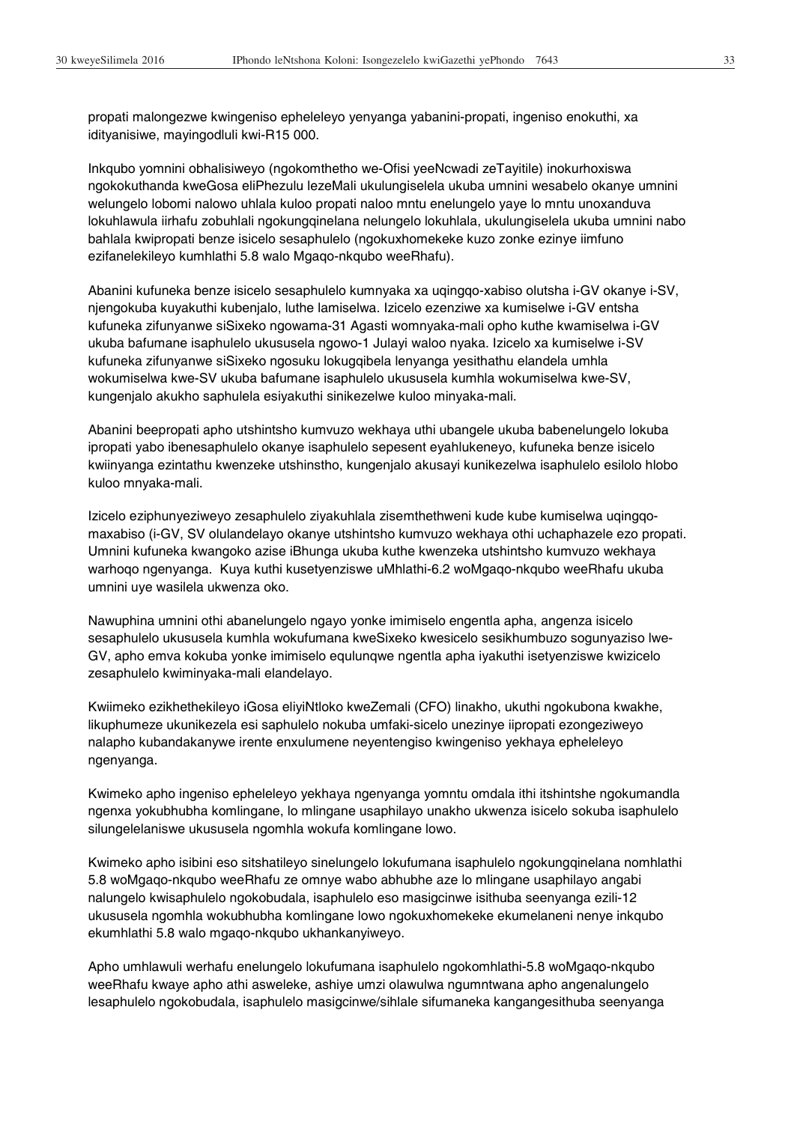propati malongezwe kwingeniso epheleleyo yenyanga yabanini-propati, ingeniso enokuthi, xa idityanisiwe, mayingodluli kwi-R15 000.

Inkqubo yomnini obhalisiweyo (ngokomthetho we-Ofisi yeeNcwadi zeTayitile) inokurhoxiswa ngokokuthanda kweGosa eliPhezulu lezeMali ukulungiselela ukuba umnini wesabelo okanye umnini welungelo lobomi nalowo uhlala kuloo propati naloo mntu enelungelo yaye lo mntu unoxanduva lokuhlawula iirhafu zobuhlali ngokungqinelana nelungelo lokuhlala, ukulungiselela ukuba umnini nabo bahlala kwipropati benze isicelo sesaphulelo (ngokuxhomekeke kuzo zonke ezinye iimfuno ezifanelekileyo kumhlathi 5.8 walo Mgaqo-nkqubo weeRhafu).

Abanini kufuneka benze isicelo sesaphulelo kumnyaka xa uqingqo-xabiso olutsha i-GV okanye i-SV, njengokuba kuyakuthi kubenjalo, luthe lamiselwa. Izicelo ezenziwe xa kumiselwe i-GV entsha kufuneka zifunyanwe siSixeko ngowama-31 Agasti womnyaka-mali opho kuthe kwamiselwa i-GV ukuba bafumane isaphulelo ukususela ngowo-1 Julayi waloo nyaka. Izicelo xa kumiselwe i-SV kufuneka zifunyanwe siSixeko ngosuku lokugqibela lenyanga yesithathu elandela umhla wokumiselwa kwe-SV ukuba bafumane isaphulelo ukususela kumhla wokumiselwa kwe-SV, kungenjalo akukho saphulela esiyakuthi sinikezelwe kuloo minyaka-mali.

Abanini beepropati apho utshintsho kumvuzo wekhaya uthi ubangele ukuba babenelungelo lokuba ipropati yabo ibenesaphulelo okanye isaphulelo sepesent eyahlukeneyo, kufuneka benze isicelo kwiinyanga ezintathu kwenzeke utshinstho, kungenjalo akusayi kunikezelwa isaphulelo esilolo hlobo kuloo mnyaka-mali.

Izicelo eziphunyeziweyo zesaphulelo ziyakuhlala zisemthethweni kude kube kumiselwa uqingqomaxabiso (i-GV, SV olulandelayo okanye utshintsho kumvuzo wekhaya othi uchaphazele ezo propati. Umnini kufuneka kwangoko azise iBhunga ukuba kuthe kwenzeka utshintsho kumvuzo wekhaya warhoqo ngenyanga. Kuya kuthi kusetyenziswe uMhlathi-6.2 woMgaqo-nkqubo weeRhafu ukuba umnini uye wasilela ukwenza oko.

Nawuphina umnini othi abanelungelo ngayo yonke imimiselo engentla apha, angenza isicelo sesaphulelo ukususela kumhla wokufumana kweSixeko kwesicelo sesikhumbuzo sogunyaziso lwe-GV, apho emva kokuba yonke imimiselo equlunqwe ngentla apha iyakuthi isetyenziswe kwizicelo zesaphulelo kwiminyaka-mali elandelayo.

Kwiimeko ezikhethekileyo iGosa eliyiNtloko kweZemali (CFO) linakho, ukuthi ngokubona kwakhe, likuphumeze ukunikezela esi saphulelo nokuba umfaki-sicelo unezinye iipropati ezongeziweyo nalapho kubandakanywe irente enxulumene neyentengiso kwingeniso yekhaya epheleleyo ngenyanga.

Kwimeko apho ingeniso epheleleyo yekhaya ngenyanga yomntu omdala ithi itshintshe ngokumandla ngenxa yokubhubha komlingane, lo mlingane usaphilayo unakho ukwenza isicelo sokuba isaphulelo silungelelaniswe ukususela ngomhla wokufa komlingane lowo.

Kwimeko apho isibini eso sitshatileyo sinelungelo lokufumana isaphulelo ngokungqinelana nomhlathi 5.8 woMgaqo-nkqubo weeRhafu ze omnye wabo abhubhe aze lo mlingane usaphilayo angabi nalungelo kwisaphulelo ngokobudala, isaphulelo eso masigcinwe isithuba seenyanga ezili-12 ukususela ngomhla wokubhubha komlingane lowo ngokuxhomekeke ekumelaneni nenye inkqubo ekumhlathi 5.8 walo mgaqo-nkqubo ukhankanyiweyo.

Apho umhlawuli werhafu enelungelo lokufumana isaphulelo ngokomhlathi-5.8 woMgaqo-nkqubo weeRhafu kwaye apho athi asweleke, ashiye umzi olawulwa ngumntwana apho angenalungelo lesaphulelo ngokobudala, isaphulelo masigcinwe/sihlale sifumaneka kangangesithuba seenyanga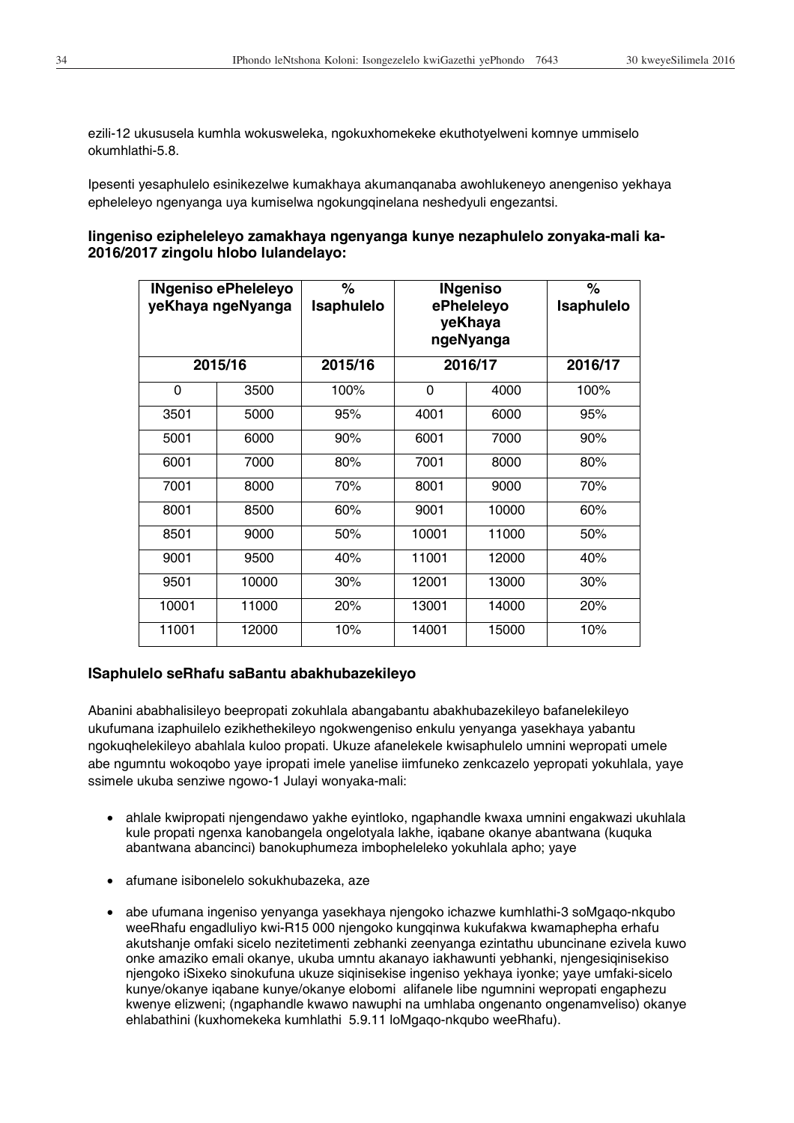ezili-12 ukususela kumhla wokusweleka, ngokuxhomekeke ekuthotyelweni komnye ummiselo okumhlathi-5.8.

Ipesenti yesaphulelo esinikezelwe kumakhaya akumanqanaba awohlukeneyo anengeniso yekhaya epheleleyo ngenyanga uya kumiselwa ngokungqinelana neshedyuli engezantsi.

## **Iingeniso ezipheleleyo zamakhaya ngenyanga kunye nezaphulelo zonyaka-mali ka-2016/2017 zingolu hlobo lulandelayo:**

| <b>INgeniso ePheleleyo</b><br>yeKhaya ngeNyanga |         | $\%$<br>Isaphulelo | <b>INgeniso</b><br>ePheleleyo<br>yeKhaya<br>ngeNyanga |         | %<br><b>Isaphulelo</b> |
|-------------------------------------------------|---------|--------------------|-------------------------------------------------------|---------|------------------------|
|                                                 | 2015/16 | 2015/16            |                                                       | 2016/17 | 2016/17                |
| 0                                               | 3500    | 100%               | 0                                                     | 4000    | 100%                   |
| 3501                                            | 5000    | 95%                | 4001                                                  | 6000    | 95%                    |
| 5001                                            | 6000    | 90%                | 6001                                                  | 7000    | 90%                    |
| 6001                                            | 7000    | 80%                | 7001                                                  | 8000    | 80%                    |
| 7001                                            | 8000    | 70%                | 8001                                                  | 9000    | 70%                    |
| 8001                                            | 8500    | 60%                | 9001                                                  | 10000   | 60%                    |
| 8501                                            | 9000    | 50%                | 10001                                                 | 11000   | 50%                    |
| 9001                                            | 9500    | 40%                | 11001                                                 | 12000   | 40%                    |
| 9501                                            | 10000   | 30%                | 12001                                                 | 13000   | 30%                    |
| 10001                                           | 11000   | 20%                | 13001                                                 | 14000   | 20%                    |
| 11001                                           | 12000   | 10%                | 14001                                                 | 15000   | 10%                    |

## **ISaphulelo seRhafu saBantu abakhubazekileyo**

Abanini ababhalisileyo beepropati zokuhlala abangabantu abakhubazekileyo bafanelekileyo ukufumana izaphuilelo ezikhethekileyo ngokwengeniso enkulu yenyanga yasekhaya yabantu ngokuqhelekileyo abahlala kuloo propati. Ukuze afanelekele kwisaphulelo umnini wepropati umele abe ngumntu wokoqobo yaye ipropati imele yanelise iimfuneko zenkcazelo yepropati yokuhlala, yaye ssimele ukuba senziwe ngowo-1 Julayi wonyaka-mali:

- x ahlale kwipropati njengendawo yakhe eyintloko, ngaphandle kwaxa umnini engakwazi ukuhlala kule propati ngenxa kanobangela ongelotyala lakhe, iqabane okanye abantwana (kuquka abantwana abancinci) banokuphumeza imbopheleleko yokuhlala apho; yaye
- afumane isibonelelo sokukhubazeka, aze
- x abe ufumana ingeniso yenyanga yasekhaya njengoko ichazwe kumhlathi-3 soMgaqo-nkqubo weeRhafu engadluliyo kwi-R15 000 njengoko kungqinwa kukufakwa kwamaphepha erhafu akutshanje omfaki sicelo nezitetimenti zebhanki zeenyanga ezintathu ubuncinane ezivela kuwo onke amaziko emali okanye, ukuba umntu akanayo iakhawunti yebhanki, njengesiqinisekiso njengoko iSixeko sinokufuna ukuze siqinisekise ingeniso yekhaya iyonke; yaye umfaki-sicelo kunye/okanye iqabane kunye/okanye elobomi alifanele libe ngumnini wepropati engaphezu kwenye elizweni; (ngaphandle kwawo nawuphi na umhlaba ongenanto ongenamveliso) okanye ehlabathini (kuxhomekeka kumhlathi 5.9.11 loMgaqo-nkqubo weeRhafu).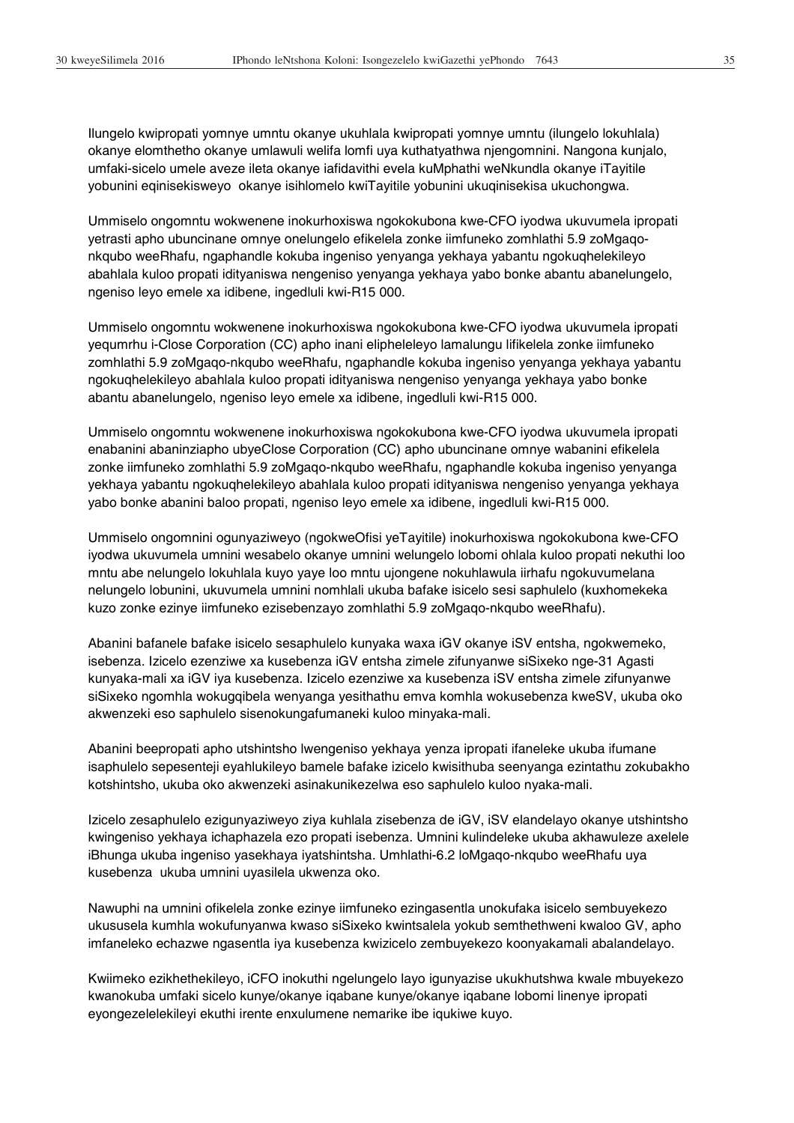Ilungelo kwipropati yomnye umntu okanye ukuhlala kwipropati yomnye umntu (ilungelo lokuhlala) okanye elomthetho okanye umlawuli welifa lomfi uya kuthatyathwa njengomnini. Nangona kunjalo, umfaki-sicelo umele aveze ileta okanye iafidavithi evela kuMphathi weNkundla okanye iTayitile yobunini eqinisekisweyo okanye isihlomelo kwiTayitile yobunini ukuqinisekisa ukuchongwa.

Ummiselo ongomntu wokwenene inokurhoxiswa ngokokubona kwe-CFO iyodwa ukuvumela ipropati yetrasti apho ubuncinane omnye onelungelo efikelela zonke iimfuneko zomhlathi 5.9 zoMgaqonkqubo weeRhafu, ngaphandle kokuba ingeniso yenyanga yekhaya yabantu ngokuqhelekileyo abahlala kuloo propati idityaniswa nengeniso yenyanga yekhaya yabo bonke abantu abanelungelo, ngeniso leyo emele xa idibene, ingedluli kwi-R15 000.

Ummiselo ongomntu wokwenene inokurhoxiswa ngokokubona kwe-CFO iyodwa ukuvumela ipropati yequmrhu i-Close Corporation (CC) apho inani elipheleleyo lamalungu lifikelela zonke iimfuneko zomhlathi 5.9 zoMgaqo-nkqubo weeRhafu, ngaphandle kokuba ingeniso yenyanga yekhaya yabantu ngokuqhelekileyo abahlala kuloo propati idityaniswa nengeniso yenyanga yekhaya yabo bonke abantu abanelungelo, ngeniso leyo emele xa idibene, ingedluli kwi-R15 000.

Ummiselo ongomntu wokwenene inokurhoxiswa ngokokubona kwe-CFO iyodwa ukuvumela ipropati enabanini abaninziapho ubyeClose Corporation (CC) apho ubuncinane omnye wabanini efikelela zonke iimfuneko zomhlathi 5.9 zoMgaqo-nkqubo weeRhafu, ngaphandle kokuba ingeniso yenyanga yekhaya yabantu ngokuqhelekileyo abahlala kuloo propati idityaniswa nengeniso yenyanga yekhaya yabo bonke abanini baloo propati, ngeniso leyo emele xa idibene, ingedluli kwi-R15 000.

Ummiselo ongomnini ogunyaziweyo (ngokweOfisi yeTayitile) inokurhoxiswa ngokokubona kwe-CFO iyodwa ukuvumela umnini wesabelo okanye umnini welungelo lobomi ohlala kuloo propati nekuthi loo mntu abe nelungelo lokuhlala kuyo yaye loo mntu ujongene nokuhlawula iirhafu ngokuvumelana nelungelo lobunini, ukuvumela umnini nomhlali ukuba bafake isicelo sesi saphulelo (kuxhomekeka kuzo zonke ezinye iimfuneko ezisebenzayo zomhlathi 5.9 zoMgaqo-nkqubo weeRhafu).

Abanini bafanele bafake isicelo sesaphulelo kunyaka waxa iGV okanye iSV entsha, ngokwemeko, isebenza. Izicelo ezenziwe xa kusebenza iGV entsha zimele zifunyanwe siSixeko nge-31 Agasti kunyaka-mali xa iGV iya kusebenza. Izicelo ezenziwe xa kusebenza iSV entsha zimele zifunyanwe siSixeko ngomhla wokugqibela wenyanga yesithathu emva komhla wokusebenza kweSV, ukuba oko akwenzeki eso saphulelo sisenokungafumaneki kuloo minyaka-mali.

Abanini beepropati apho utshintsho lwengeniso yekhaya yenza ipropati ifaneleke ukuba ifumane isaphulelo sepesenteji eyahlukileyo bamele bafake izicelo kwisithuba seenyanga ezintathu zokubakho kotshintsho, ukuba oko akwenzeki asinakunikezelwa eso saphulelo kuloo nyaka-mali.

Izicelo zesaphulelo ezigunyaziweyo ziya kuhlala zisebenza de iGV, iSV elandelayo okanye utshintsho kwingeniso yekhaya ichaphazela ezo propati isebenza. Umnini kulindeleke ukuba akhawuleze axelele iBhunga ukuba ingeniso yasekhaya iyatshintsha. Umhlathi-6.2 loMgaqo-nkqubo weeRhafu uya kusebenza ukuba umnini uyasilela ukwenza oko.

Nawuphi na umnini ofikelela zonke ezinye iimfuneko ezingasentla unokufaka isicelo sembuyekezo ukususela kumhla wokufunyanwa kwaso siSixeko kwintsalela yokub semthethweni kwaloo GV, apho imfaneleko echazwe ngasentla iya kusebenza kwizicelo zembuyekezo koonyakamali abalandelayo.

Kwiimeko ezikhethekileyo, iCFO inokuthi ngelungelo layo igunyazise ukukhutshwa kwale mbuyekezo kwanokuba umfaki sicelo kunye/okanye iqabane kunye/okanye iqabane lobomi linenye ipropati eyongezelelekileyi ekuthi irente enxulumene nemarike ibe iqukiwe kuyo.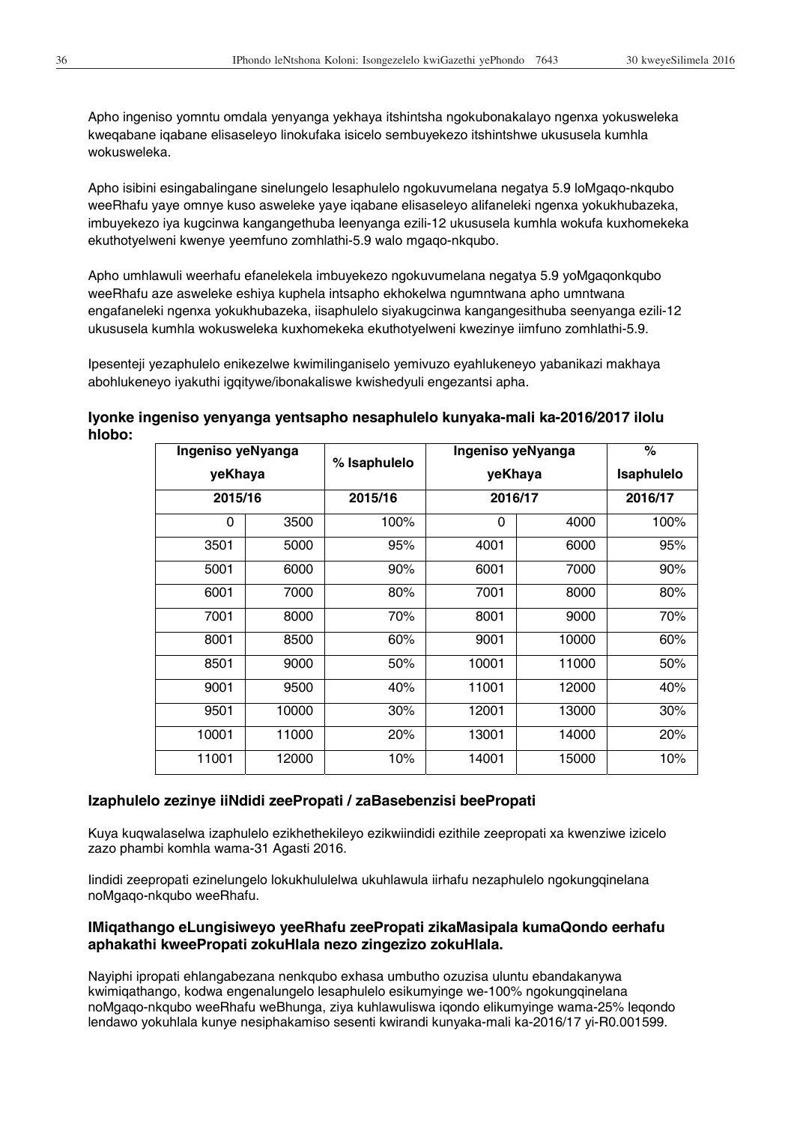Apho ingeniso yomntu omdala yenyanga yekhaya itshintsha ngokubonakalayo ngenxa yokusweleka kweqabane iqabane elisaseleyo linokufaka isicelo sembuyekezo itshintshwe ukususela kumhla wokusweleka.

Apho isibini esingabalingane sinelungelo lesaphulelo ngokuvumelana negatya 5.9 loMgaqo-nkqubo weeRhafu yaye omnye kuso asweleke yaye iqabane elisaseleyo alifaneleki ngenxa yokukhubazeka, imbuyekezo iya kugcinwa kangangethuba leenyanga ezili-12 ukususela kumhla wokufa kuxhomekeka ekuthotyelweni kwenye yeemfuno zomhlathi-5.9 walo mgaqo-nkqubo.

Apho umhlawuli weerhafu efanelekela imbuyekezo ngokuvumelana negatya 5.9 yoMgaqonkqubo weeRhafu aze asweleke eshiya kuphela intsapho ekhokelwa ngumntwana apho umntwana engafaneleki ngenxa yokukhubazeka, iisaphulelo siyakugcinwa kangangesithuba seenyanga ezili-12 ukususela kumhla wokusweleka kuxhomekeka ekuthotyelweni kwezinye iimfuno zomhlathi-5.9.

Ipesenteji yezaphulelo enikezelwe kwimilinganiselo yemivuzo eyahlukeneyo yabanikazi makhaya abohlukeneyo iyakuthi igqitywe/ibonakaliswe kwishedyuli engezantsi apha.

|         | Ingeniso yeNyanga |              | Ingeniso yeNyanga |       | $\%$              |
|---------|-------------------|--------------|-------------------|-------|-------------------|
| yeKhaya |                   | % Isaphulelo | yeKhaya           |       | <b>Isaphulelo</b> |
| 2015/16 |                   | 2015/16      | 2016/17           |       | 2016/17           |
| 0       | 3500              | 100%         | 0                 | 4000  | 100%              |
| 3501    | 5000              | 95%          | 4001              | 6000  | 95%               |
| 5001    | 6000              | 90%          | 6001              | 7000  | 90%               |
| 6001    | 7000              | 80%          | 7001              | 8000  | 80%               |
| 7001    | 8000              | 70%          | 8001              | 9000  | 70%               |
| 8001    | 8500              | 60%          | 9001              | 10000 | 60%               |
| 8501    | 9000              | 50%          | 10001             | 11000 | 50%               |
| 9001    | 9500              | 40%          | 11001             | 12000 | 40%               |
| 9501    | 10000             | 30%          | 12001             | 13000 | 30%               |
| 10001   | 11000             | 20%          | 13001             | 14000 | 20%               |
| 11001   | 12000             | 10%          | 14001             | 15000 | 10%               |

**Iyonke ingeniso yenyanga yentsapho nesaphulelo kunyaka-mali ka-2016/2017 ilolu hlobo:** 

#### **Izaphulelo zezinye iiNdidi zeePropati / zaBasebenzisi beePropati**

Kuya kuqwalaselwa izaphulelo ezikhethekileyo ezikwiindidi ezithile zeepropati xa kwenziwe izicelo zazo phambi komhla wama-31 Agasti 2016.

Iindidi zeepropati ezinelungelo lokukhululelwa ukuhlawula iirhafu nezaphulelo ngokungqinelana noMgaqo-nkqubo weeRhafu.

## **IMiqathango eLungisiweyo yeeRhafu zeePropati zikaMasipala kumaQondo eerhafu aphakathi kweePropati zokuHlala nezo zingezizo zokuHlala.**

Nayiphi ipropati ehlangabezana nenkqubo exhasa umbutho ozuzisa uluntu ebandakanywa kwimiqathango, kodwa engenalungelo lesaphulelo esikumyinge we-100% ngokungqinelana noMgaqo-nkqubo weeRhafu weBhunga, ziya kuhlawuliswa iqondo elikumyinge wama-25% leqondo lendawo yokuhlala kunye nesiphakamiso sesenti kwirandi kunyaka-mali ka-2016/17 yi-R0.001599.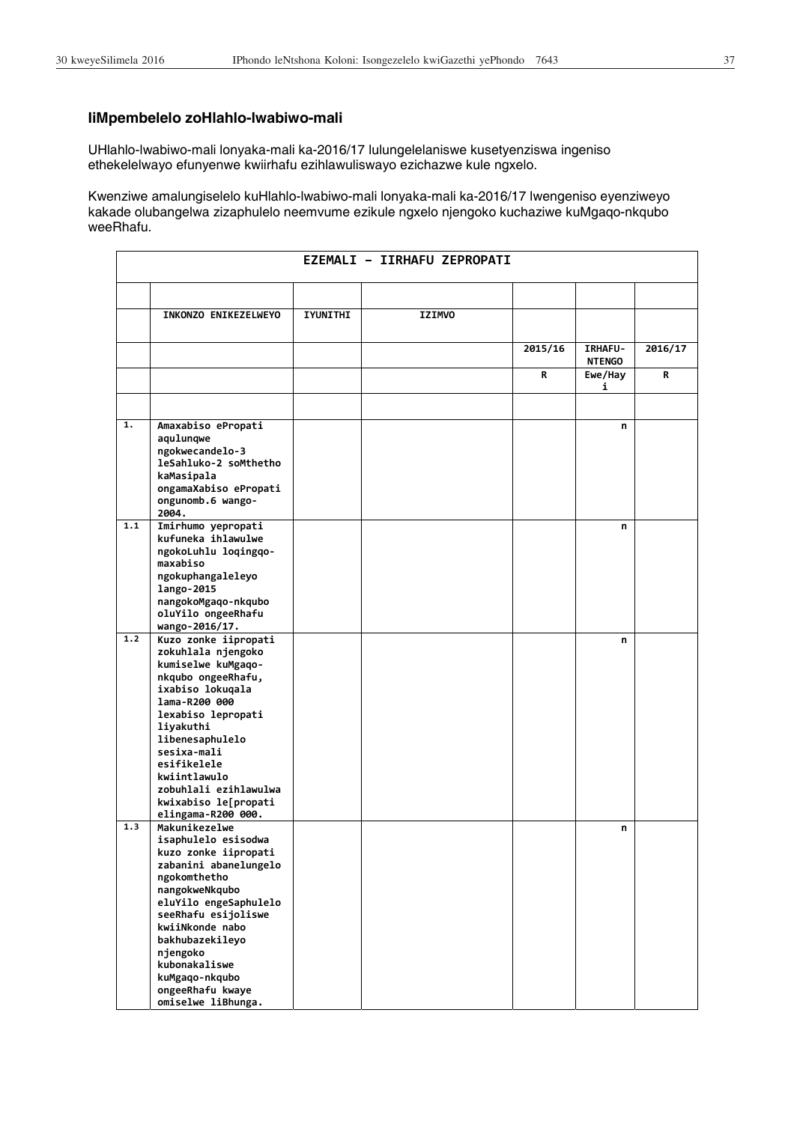# **IiMpembelelo zoHlahlo-lwabiwo-mali**

UHlahlo-lwabiwo-mali lonyaka-mali ka-2016/17 lulungelelaniswe kusetyenziswa ingeniso ethekelelwayo efunyenwe kwiirhafu ezihlawuliswayo ezichazwe kule ngxelo.

Kwenziwe amalungiselelo kuHlahlo-lwabiwo-mali lonyaka-mali ka-2016/17 lwengeniso eyenziweyo kakade olubangelwa zizaphulelo neemvume ezikule ngxelo njengoko kuchaziwe kuMgaqo-nkqubo weeRhafu.

|     |                                                                  |                 | EZEMALI - IIRHAFU ZEPROPATI |         |                                 |         |
|-----|------------------------------------------------------------------|-----------------|-----------------------------|---------|---------------------------------|---------|
|     |                                                                  |                 |                             |         |                                 |         |
|     | INKONZO ENIKEZELWEYO                                             | <b>IYUNITHI</b> | <b>IZIMVO</b>               |         |                                 |         |
|     |                                                                  |                 |                             | 2015/16 | <b>IRHAFU-</b><br><b>NTENGO</b> | 2016/17 |
|     |                                                                  |                 |                             | R       | Ewe/Hay<br>i                    | R       |
|     |                                                                  |                 |                             |         |                                 |         |
| 1.  | Amaxabiso ePropati<br>aqulunqwe                                  |                 |                             |         | n                               |         |
|     | ngokwecandelo-3<br>leSahluko-2 soMthetho<br>kaMasipala           |                 |                             |         |                                 |         |
|     | ongamaXabiso ePropati<br>ongunomb.6 wango-<br>2004.              |                 |                             |         |                                 |         |
| 1.1 | Imirhumo yepropati<br>kufuneka ihlawulwe<br>ngokoLuhlu loqingqo- |                 |                             |         | n                               |         |
|     | maxabiso<br>ngokuphangaleleyo<br>lango-2015                      |                 |                             |         |                                 |         |
|     | nangokoMgaqo-nkqubo<br>oluYilo ongeeRhafu<br>wango-2016/17.      |                 |                             |         |                                 |         |
| 1.2 | Kuzo zonke iipropati<br>zokuhlala njengoko                       |                 |                             |         | n                               |         |
|     | kumiselwe kuMgaqo-                                               |                 |                             |         |                                 |         |
|     | nkqubo ongeeRhafu,<br>ixabiso lokuqala                           |                 |                             |         |                                 |         |
|     | lama-R200 000<br>lexabiso lepropati                              |                 |                             |         |                                 |         |
|     | liyakuthi                                                        |                 |                             |         |                                 |         |
|     | libenesaphulelo<br>sesixa-mali                                   |                 |                             |         |                                 |         |
|     | esifikelele                                                      |                 |                             |         |                                 |         |
|     | kwiintlawulo<br>zobuhlali ezihlawulwa                            |                 |                             |         |                                 |         |
|     | kwixabiso le[propati                                             |                 |                             |         |                                 |         |
| 1.3 | elingama-R200 000.<br>Makunikezelwe                              |                 |                             |         |                                 |         |
|     | isaphulelo esisodwa                                              |                 |                             |         | n                               |         |
|     | kuzo zonke iipropati                                             |                 |                             |         |                                 |         |
|     | zabanini abanelungelo                                            |                 |                             |         |                                 |         |
|     | ngokomthetho<br>nangokweNkqubo                                   |                 |                             |         |                                 |         |
|     | eluYilo engeSaphulelo                                            |                 |                             |         |                                 |         |
|     | seeRhafu esijoliswe                                              |                 |                             |         |                                 |         |
|     | kwiiNkonde nabo                                                  |                 |                             |         |                                 |         |
|     | bakhubazekileyo                                                  |                 |                             |         |                                 |         |
|     | njengoko<br>kubonakaliswe                                        |                 |                             |         |                                 |         |
|     | kuMgaqo-nkqubo                                                   |                 |                             |         |                                 |         |
|     | ongeeRhafu kwaye                                                 |                 |                             |         |                                 |         |
|     | omiselwe liBhunga.                                               |                 |                             |         |                                 |         |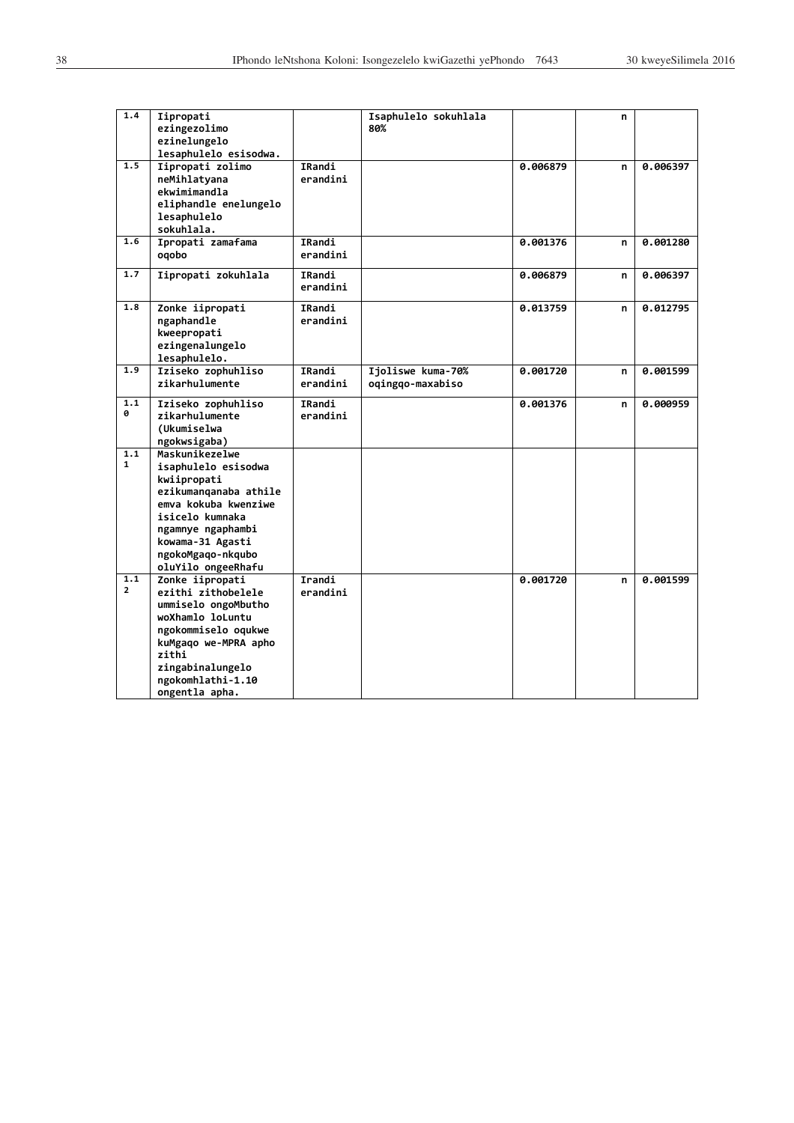| 1.4                   | Iipropati<br>ezingezolimo<br>ezinelungelo<br>lesaphulelo esisodwa.                                                                                                                                           |                    | Isaphulelo sokuhlala<br>80%           |          | n |          |
|-----------------------|--------------------------------------------------------------------------------------------------------------------------------------------------------------------------------------------------------------|--------------------|---------------------------------------|----------|---|----------|
| 1.5                   | Iipropati zolimo<br>neMihlatyana<br>ekwimimandla<br>eliphandle enelungelo<br>lesaphulelo<br>sokuhlala.                                                                                                       | IRandi<br>erandini |                                       | 0.006879 | n | 0.006397 |
| 1.6                   | Ipropati zamafama<br>oqobo                                                                                                                                                                                   | IRandi<br>erandini |                                       | 0.001376 | n | 0.001280 |
| 1.7                   | Iipropati zokuhlala                                                                                                                                                                                          | IRandi<br>erandini |                                       | 0.006879 | n | 0.006397 |
| 1.8                   | Zonke iipropati<br>ngaphandle<br>kweepropati<br>ezingenalungelo<br>lesaphulelo.                                                                                                                              | IRandi<br>erandini |                                       | 0.013759 | n | 0.012795 |
| 1.9                   | Iziseko zophuhliso<br>zikarhulumente                                                                                                                                                                         | IRandi<br>erandini | Ijoliswe kuma-70%<br>oqingqo-maxabiso | 0.001720 | n | 0.001599 |
| 1.1<br>ø              | Iziseko zophuhliso<br>zikarhulumente<br>(Ukumiselwa<br>ngokwsigaba)                                                                                                                                          | IRandi<br>erandini |                                       | 0.001376 | n | 0.000959 |
| 1.1<br>$\mathbf{1}$   | Maskunikezelwe<br>isaphulelo esisodwa<br>kwiipropati<br>ezikumanganaba athile<br>emva kokuba kwenziwe<br>isicelo kumnaka<br>ngamnye ngaphambi<br>kowama-31 Agasti<br>ngokoMgaqo-nkqubo<br>oluYilo ongeeRhafu |                    |                                       |          |   |          |
| 1.1<br>$\overline{2}$ | Zonke iipropati<br>ezithi zithobelele<br>ummiselo ongoMbutho<br>woXhamlo loLuntu<br>ngokommiselo oqukwe<br>kuMgaqo we-MPRA apho<br>zithi<br>zingabinalungelo<br>ngokomhlathi-1.10<br>ongentla apha.          | Irandi<br>erandini |                                       | 0.001720 | n | 0.001599 |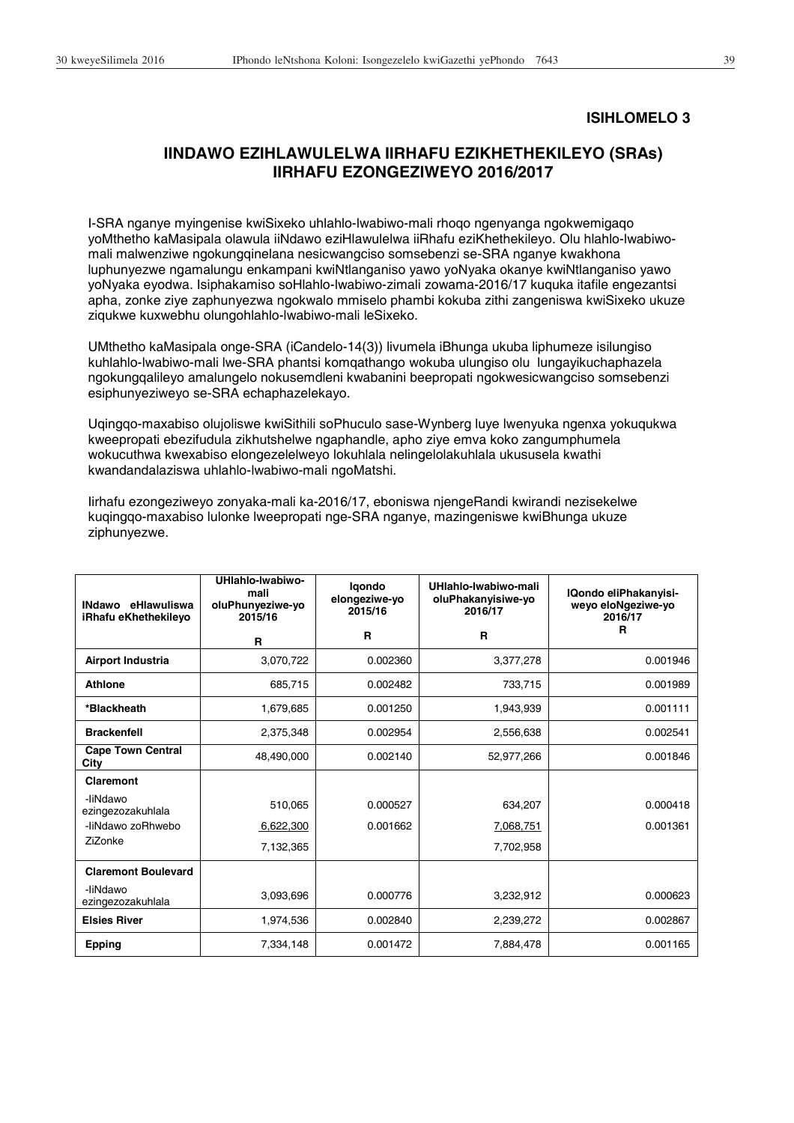## **ISIHLOMELO 3**

# **IINDAWO EZIHLAWULELWA IIRHAFU EZIKHETHEKILEYO (SRAs) IIRHAFU EZONGEZIWEYO 2016/2017**

I-SRA nganye myingenise kwiSixeko uhlahlo-lwabiwo-mali rhoqo ngenyanga ngokwemigaqo yoMthetho kaMasipala olawula iiNdawo eziHlawulelwa iiRhafu eziKhethekileyo. Olu hlahlo-lwabiwomali malwenziwe ngokungqinelana nesicwangciso somsebenzi se-SRA nganye kwakhona luphunyezwe ngamalungu enkampani kwiNtlanganiso yawo yoNyaka okanye kwiNtlanganiso yawo yoNyaka eyodwa. Isiphakamiso soHlahlo-lwabiwo-zimali zowama-2016/17 kuquka itafile engezantsi apha, zonke ziye zaphunyezwa ngokwalo mmiselo phambi kokuba zithi zangeniswa kwiSixeko ukuze ziqukwe kuxwebhu olungohlahlo-lwabiwo-mali leSixeko.

UMthetho kaMasipala onge-SRA (iCandelo-14(3)) livumela iBhunga ukuba liphumeze isilungiso kuhlahlo-lwabiwo-mali lwe-SRA phantsi komqathango wokuba ulungiso olu lungayikuchaphazela ngokungqalileyo amalungelo nokusemdleni kwabanini beepropati ngokwesicwangciso somsebenzi esiphunyeziweyo se-SRA echaphazelekayo.

Uqingqo-maxabiso olujoliswe kwiSithili soPhuculo sase-Wynberg luye lwenyuka ngenxa yokuqukwa kweepropati ebezifudula zikhutshelwe ngaphandle, apho ziye emva koko zangumphumela wokucuthwa kwexabiso elongezelelweyo lokuhlala nelingelolakuhlala ukususela kwathi kwandandalaziswa uhlahlo-lwabiwo-mali ngoMatshi.

Iirhafu ezongeziweyo zonyaka-mali ka-2016/17, eboniswa njengeRandi kwirandi nezisekelwe kuqingqo-maxabiso lulonke lweepropati nge-SRA nganye, mazingeniswe kwiBhunga ukuze ziphunyezwe.

| INdawo eHlawuliswa<br>iRhafu eKhethekileyo | UHlahlo-Iwabiwo-<br>mali<br>oluPhunyeziwe-yo<br>2015/16 | laondo<br>elongeziwe-yo<br>2015/16 | UHlahlo-lwabiwo-mali<br>oluPhakanyisiwe-yo<br>2016/17 | IQondo eliPhakanyisi-<br>weyo eloNgeziwe-yo<br>2016/17 |
|--------------------------------------------|---------------------------------------------------------|------------------------------------|-------------------------------------------------------|--------------------------------------------------------|
|                                            | R                                                       | R                                  | $\mathbf{R}$                                          | R                                                      |
| Airport Industria                          | 3,070,722                                               | 0.002360                           | 3,377,278                                             | 0.001946                                               |
| <b>Athlone</b>                             | 685,715                                                 | 0.002482                           | 733,715                                               | 0.001989                                               |
| *Blackheath                                | 1,679,685                                               | 0.001250                           | 1,943,939                                             | 0.001111                                               |
| <b>Brackenfell</b>                         | 2,375,348                                               | 0.002954                           | 2,556,638                                             | 0.002541                                               |
| <b>Cape Town Central</b><br>City           | 48.490.000                                              | 0.002140                           | 52,977,266                                            | 0.001846                                               |
| Claremont                                  |                                                         |                                    |                                                       |                                                        |
| -liNdawo<br>ezingezozakuhlala              | 510,065                                                 | 0.000527                           | 634,207                                               | 0.000418                                               |
| -liNdawo zoRhwebo                          | 6,622,300                                               | 0.001662                           | 7,068,751                                             | 0.001361                                               |
| ZiZonke                                    | 7,132,365                                               |                                    | 7,702,958                                             |                                                        |
| <b>Claremont Boulevard</b>                 |                                                         |                                    |                                                       |                                                        |
| -liNdawo<br>ezingezozakuhlala              | 3,093,696                                               | 0.000776                           | 3,232,912                                             | 0.000623                                               |
| <b>Elsies River</b>                        | 1,974,536                                               | 0.002840                           | 2,239,272                                             | 0.002867                                               |
| <b>Epping</b>                              | 7,334,148                                               | 0.001472                           | 7,884,478                                             | 0.001165                                               |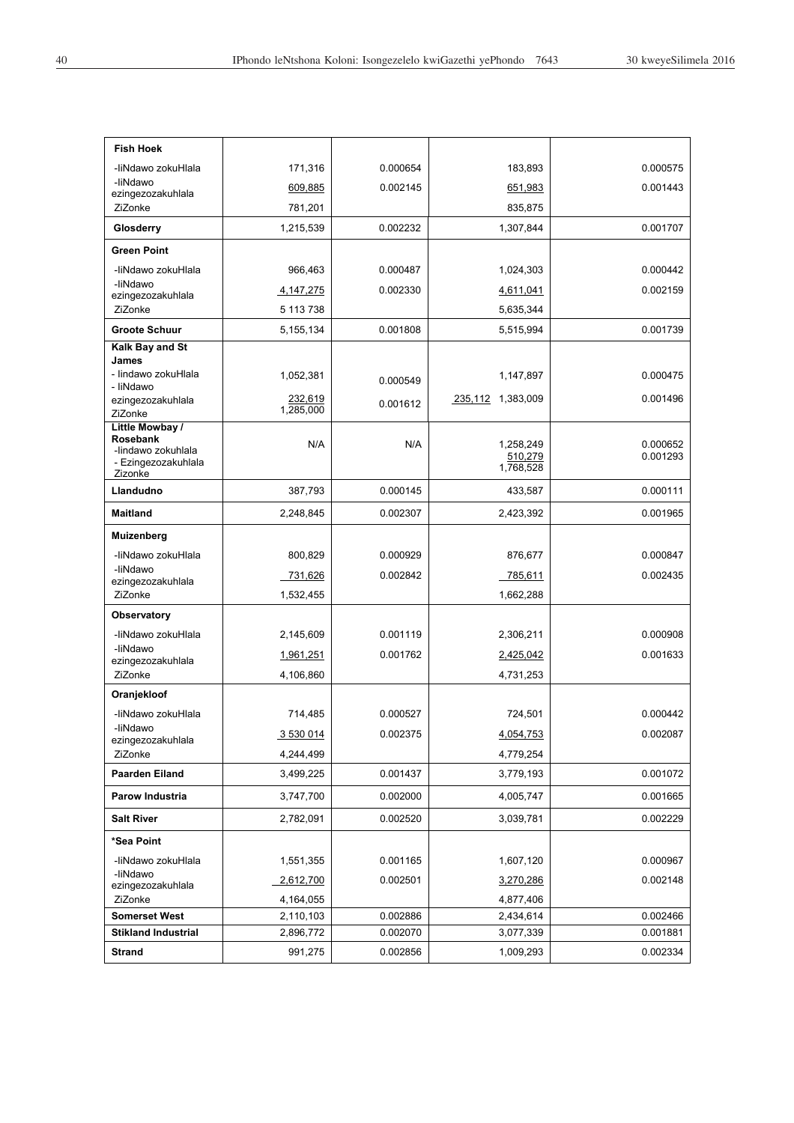| <b>Fish Hoek</b>                          |             |          |                      |                      |
|-------------------------------------------|-------------|----------|----------------------|----------------------|
| -liNdawo zokuHlala                        | 171,316     | 0.000654 | 183,893              | 0.000575             |
| -liNdawo<br>ezingezozakuhlala             | 609,885     | 0.002145 | 651,983              | 0.001443             |
| ZiZonke                                   | 781,201     |          | 835,875              |                      |
| Glosderry                                 | 1,215,539   | 0.002232 | 1,307,844            | 0.001707             |
| <b>Green Point</b>                        |             |          |                      |                      |
| -liNdawo zokuHlala                        | 966,463     | 0.000487 | 1,024,303            | 0.000442             |
| -liNdawo<br>ezingezozakuhlala             | 4, 147, 275 | 0.002330 | 4,611,041            | 0.002159             |
| ZiZonke                                   | 5 113 738   |          | 5,635,344            |                      |
| <b>Groote Schuur</b>                      | 5,155,134   | 0.001808 | 5,515,994            | 0.001739             |
| Kalk Bay and St<br>James                  |             |          |                      |                      |
| - lindawo zokuHlala                       | 1,052,381   |          | 1,147,897            | 0.000475             |
| - liNdawo                                 | 232,619     | 0.000549 | 235,112 1,383,009    | 0.001496             |
| ezingezozakuhlala<br>ZiZonke              | 1,285,000   | 0.001612 |                      |                      |
| Little Mowbay /<br>Rosebank               |             |          |                      |                      |
| -lindawo zokuhlala<br>- Ezingezozakuhlala | N/A         | N/A      | 1.258.249<br>510,279 | 0.000652<br>0.001293 |
| Zizonke                                   |             |          | 1,768,528            |                      |
| Llandudno                                 | 387,793     | 0.000145 | 433,587              | 0.000111             |
| <b>Maitland</b>                           | 2,248,845   | 0.002307 | 2,423,392            | 0.001965             |
| Muizenberg                                |             |          |                      |                      |
| -liNdawo zokuHlala                        | 800,829     | 0.000929 | 876,677              | 0.000847             |
| -liNdawo<br>ezingezozakuhlala             | 731,626     | 0.002842 | 785,611              | 0.002435             |
| ZiZonke                                   | 1,532,455   |          | 1,662,288            |                      |
| Observatory                               |             |          |                      |                      |
| -liNdawo zokuHlala<br>-liNdawo            | 2,145,609   | 0.001119 | 2,306,211            | 0.000908             |
| ezingezozakuhlala                         | 1,961,251   | 0.001762 | 2,425,042            | 0.001633             |
| ZiZonke                                   | 4,106,860   |          | 4,731,253            |                      |
| Oranjekloof                               |             |          |                      |                      |
| -liNdawo zokuHlala                        | 714,485     | 0.000527 | 724,501              | 0.000442             |
| -liNdawo<br>ezingezozakuhlala             | 3 530 014   | 0.002375 | 4,054,753            | 0.002087             |
| ZiZonke                                   | 4,244,499   |          | 4,779,254            |                      |
| Paarden Eiland                            | 3,499,225   | 0.001437 | 3,779,193            | 0.001072             |
| Parow Industria                           | 3,747,700   | 0.002000 | 4,005,747            | 0.001665             |
| <b>Salt River</b>                         | 2,782,091   | 0.002520 | 3,039,781            | 0.002229             |
| *Sea Point                                |             |          |                      |                      |
| -liNdawo zokuHlala                        | 1,551,355   | 0.001165 | 1,607,120            | 0.000967             |
| -liNdawo<br>ezingezozakuhlala             | 2,612,700   | 0.002501 | 3,270,286            | 0.002148             |
| ZiZonke                                   | 4,164,055   |          | 4,877,406            |                      |
| <b>Somerset West</b>                      | 2,110,103   | 0.002886 | 2,434,614            | 0.002466             |
| <b>Stikland Industrial</b>                | 2,896,772   | 0.002070 | 3,077,339            | 0.001881             |
| <b>Strand</b>                             | 991,275     | 0.002856 | 1,009,293            | 0.002334             |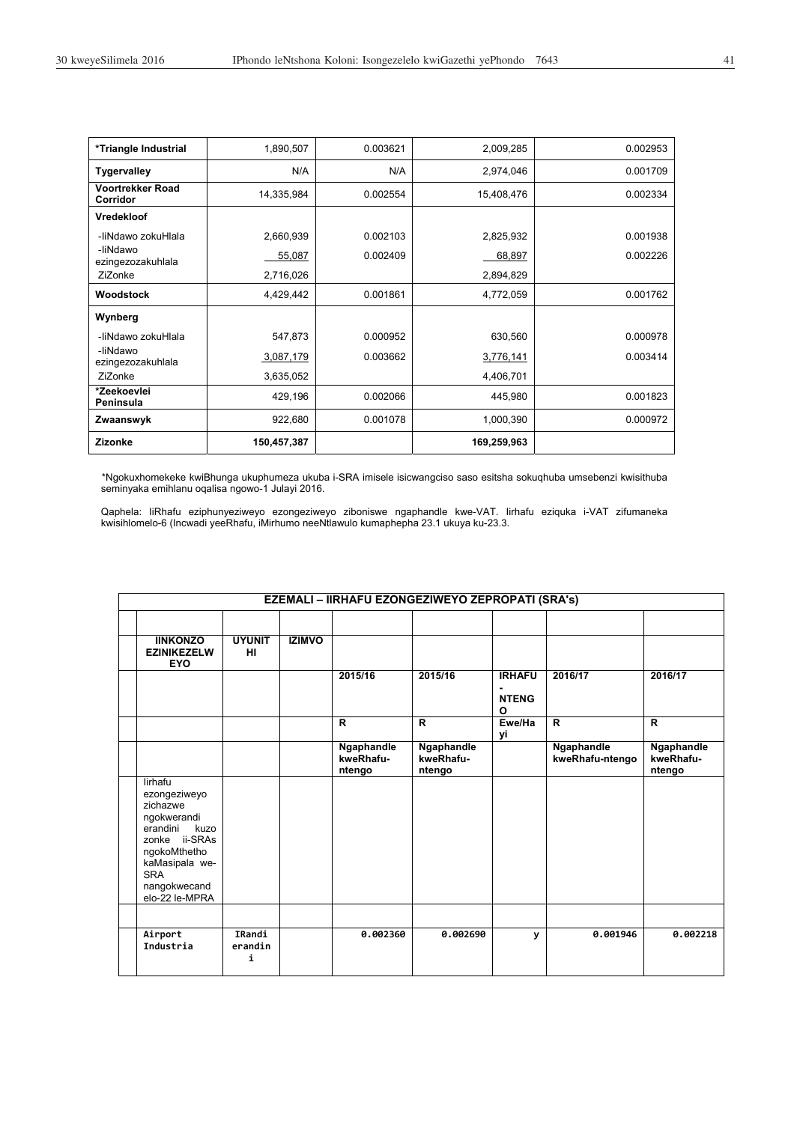| *Triangle Industrial                       | 1,890,507   | 0.003621 | 2,009,285   | 0.002953 |
|--------------------------------------------|-------------|----------|-------------|----------|
| <b>Tygervalley</b>                         | N/A         | N/A      | 2,974,046   | 0.001709 |
| <b>Voortrekker Road</b><br><b>Corridor</b> | 14,335,984  | 0.002554 | 15,408,476  | 0.002334 |
| <b>Vredekloof</b>                          |             |          |             |          |
| -liNdawo zokuHlala                         | 2,660,939   | 0.002103 | 2,825,932   | 0.001938 |
| -liNdawo<br>ezingezozakuhlala              | 55,087      | 0.002409 | 68,897      | 0.002226 |
| ZiZonke                                    | 2,716,026   |          | 2,894,829   |          |
| Woodstock                                  | 4,429,442   | 0.001861 | 4,772,059   | 0.001762 |
| Wynberg                                    |             |          |             |          |
| -liNdawo zokuHlala                         | 547,873     | 0.000952 | 630,560     | 0.000978 |
| -liNdawo<br>ezingezozakuhlala              | 3,087,179   | 0.003662 | 3,776,141   | 0.003414 |
| ZiZonke                                    | 3,635,052   |          | 4,406,701   |          |
| *Zeekoevlei<br>Peninsula                   | 429,196     | 0.002066 | 445,980     | 0.001823 |
| Zwaanswyk                                  | 922,680     | 0.001078 | 1,000,390   | 0.000972 |
| Zizonke                                    | 150,457,387 |          | 169,259,963 |          |

\*Ngokuxhomekeke kwiBhunga ukuphumeza ukuba i-SRA imisele isicwangciso saso esitsha sokuqhuba umsebenzi kwisithuba seminyaka emihlanu oqalisa ngowo-1 Julayi 2016.

Qaphela: IiRhafu eziphunyeziweyo ezongeziweyo ziboniswe ngaphandle kwe-VAT. Iirhafu eziquka i-VAT zifumaneka kwisihlomelo-6 (Incwadi yeeRhafu, iMirhumo neeNtlawulo kumaphepha 23.1 ukuya ku-23.3.

| EZEMALI - IIRHAFU EZONGEZIWEYO ZEPROPATI (SRA's)                                                                                                                          |                        |               |                                   |                                   |                                                             |                               |                                   |  |
|---------------------------------------------------------------------------------------------------------------------------------------------------------------------------|------------------------|---------------|-----------------------------------|-----------------------------------|-------------------------------------------------------------|-------------------------------|-----------------------------------|--|
| <b>IINKONZO</b><br><b>EZINIKEZELW</b><br><b>EYO</b>                                                                                                                       | <b>UYUNIT</b><br>HI.   | <b>IZIMVO</b> |                                   |                                   |                                                             |                               |                                   |  |
|                                                                                                                                                                           |                        |               | 2015/16                           | 2015/16                           | <b>IRHAFU</b><br>$\blacksquare$<br><b>NTENG</b><br>$\Omega$ | 2016/17                       | 2016/17                           |  |
|                                                                                                                                                                           |                        |               | $\mathbf R$                       | $\overline{R}$                    | Ewe/Ha<br>уi                                                | $\overline{R}$                | $\overline{R}$                    |  |
|                                                                                                                                                                           |                        |               | Ngaphandle<br>kweRhafu-<br>ntengo | Ngaphandle<br>kweRhafu-<br>ntengo |                                                             | Ngaphandle<br>kweRhafu-ntengo | Ngaphandle<br>kweRhafu-<br>ntengo |  |
| lirhafu<br>ezongeziweyo<br>zichazwe<br>ngokwerandi<br>erandini<br>kuzo<br>zonke ii-SRAs<br>ngokoMthetho<br>kaMasipala we-<br><b>SRA</b><br>nangokwecand<br>elo-22 le-MPRA |                        |               |                                   |                                   |                                                             |                               |                                   |  |
|                                                                                                                                                                           |                        |               |                                   |                                   |                                                             |                               |                                   |  |
| Airport<br>Industria                                                                                                                                                      | IRandi<br>erandin<br>i |               | 0.002360                          | 0.002690                          | y                                                           | 0.001946                      | 0.002218                          |  |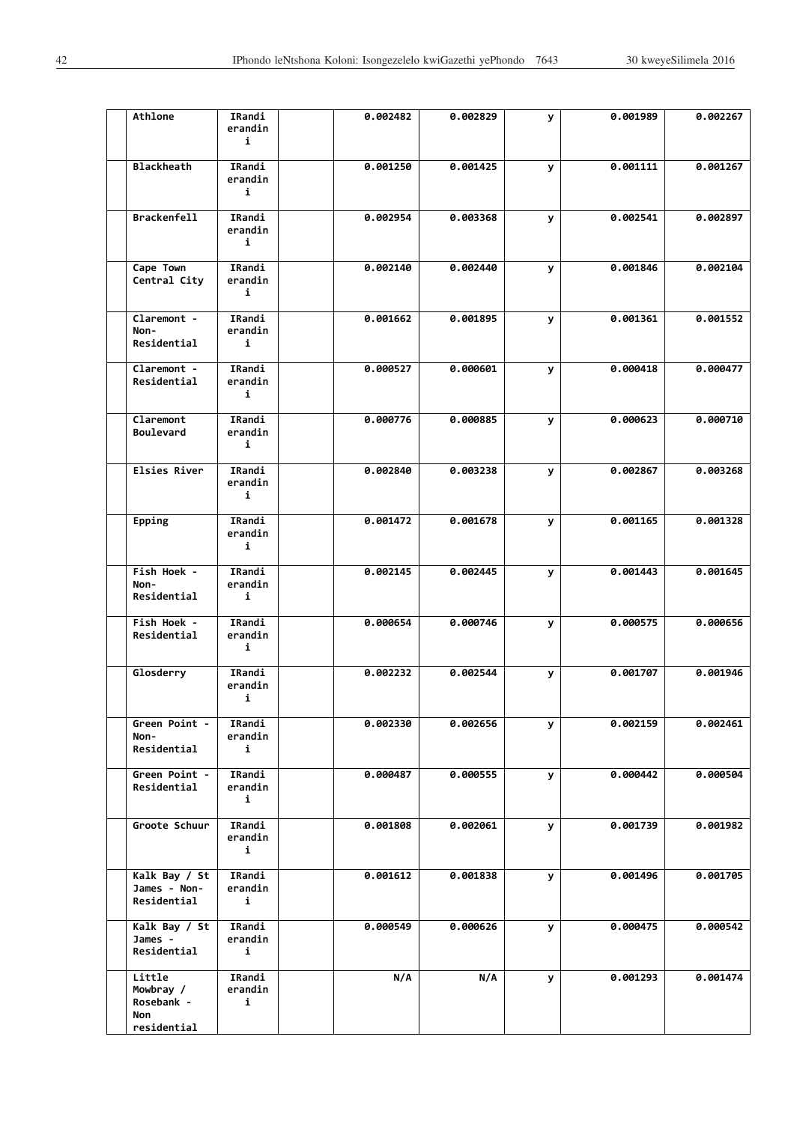| Athlone                                      | IRandi<br>erandin<br>i | 0.002482 | 0.002829 | У | 0.001989 | 0.002267 |
|----------------------------------------------|------------------------|----------|----------|---|----------|----------|
| <b>Blackheath</b>                            | IRandi<br>erandin<br>i | 0.001250 | 0.001425 | У | 0.001111 | 0.001267 |
| <b>Brackenfell</b>                           | IRandi<br>erandin<br>i | 0.002954 | 0.003368 | У | 0.002541 | 0.002897 |
| Cape Town<br>Central City                    | IRandi<br>erandin<br>i | 0.002140 | 0.002440 | У | 0.001846 | 0.002104 |
| Claremont -<br>Non-<br>Residential           | IRandi<br>erandin<br>i | 0.001662 | 0.001895 | У | 0.001361 | 0.001552 |
| Claremont -<br>Residential                   | IRandi<br>erandin<br>i | 0.000527 | 0.000601 | У | 0.000418 | 0.000477 |
| Claremont<br><b>Boulevard</b>                | IRandi<br>erandin<br>i | 0.000776 | 0.000885 | У | 0.000623 | 0.000710 |
| Elsies River                                 | IRandi<br>erandin<br>i | 0.002840 | 0.003238 | У | 0.002867 | 0.003268 |
| Epping                                       | IRandi<br>erandin<br>i | 0.001472 | 0.001678 | У | 0.001165 | 0.001328 |
| Fish Hoek -<br>Non-<br>Residential           | IRandi<br>erandin<br>i | 0.002145 | 0.002445 | У | 0.001443 | 0.001645 |
| Fish Hoek -<br>Residential                   | IRandi<br>erandin<br>i | 0.000654 | 0.000746 | У | 0.000575 | 0.000656 |
| Glosderry                                    | IRandi<br>erandin<br>i | 0.002232 | 0.002544 | У | 0.001707 | 0.001946 |
| Green Point -<br>Non-<br>Residential         | IRandi<br>erandin<br>i | 0.002330 | 0.002656 | У | 0.002159 | 0.002461 |
| Green Point -<br>Residential                 | IRandi<br>erandin<br>i | 0.000487 | 0.000555 | У | 0.000442 | 0.000504 |
| Groote Schuur                                | IRandi<br>erandin<br>i | 0.001808 | 0.002061 | У | 0.001739 | 0.001982 |
| Kalk Bay / St<br>James - Non-<br>Residential | IRandi<br>erandin<br>i | 0.001612 | 0.001838 | У | 0.001496 | 0.001705 |
| Kalk Bay / St<br>James -<br>Residential      | IRandi<br>erandin<br>i | 0.000549 | 0.000626 | У | 0.000475 | 0.000542 |
| Little<br>Mowbray /<br>Rosebank -<br>Non     | IRandi<br>erandin<br>i | N/A      | N/A      | У | 0.001293 | 0.001474 |
| residential                                  |                        |          |          |   |          |          |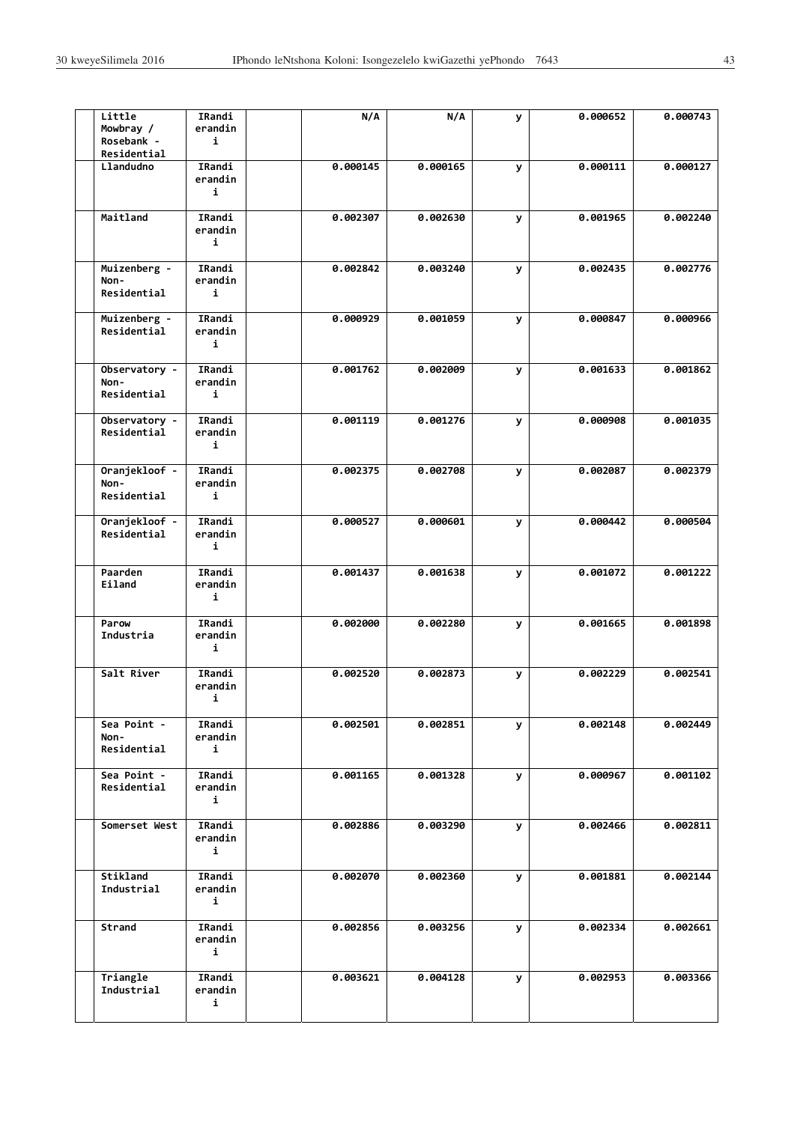| Little<br>Mowbray /<br>Rosebank -<br>Residential | IRandi<br>erandin<br>i | N/A      | N/A      | У | 0.000652 | 0.000743 |
|--------------------------------------------------|------------------------|----------|----------|---|----------|----------|
| Llandudno                                        | IRandi<br>erandin<br>i | 0.000145 | 0.000165 | У | 0.000111 | 0.000127 |
| Maitland                                         | IRandi<br>erandin<br>i | 0.002307 | 0.002630 | У | 0.001965 | 0.002240 |
| Muizenberg -<br>Non-<br>Residential              | IRandi<br>erandin<br>i | 0.002842 | 0.003240 | У | 0.002435 | 0.002776 |
| Muizenberg -<br>Residential                      | IRandi<br>erandin<br>i | 0.000929 | 0.001059 | У | 0.000847 | 0.000966 |
| Observatory -<br>Non-<br>Residential             | IRandi<br>erandin<br>i | 0.001762 | 0.002009 | У | 0.001633 | 0.001862 |
| Observatory -<br>Residential                     | IRandi<br>erandin<br>i | 0.001119 | 0.001276 | У | 0.000908 | 0.001035 |
| Oranjekloof -<br>Non-<br>Residential             | IRandi<br>erandin<br>i | 0.002375 | 0.002708 | У | 0.002087 | 0.002379 |
| Oranjekloof -<br>Residential                     | IRandi<br>erandin<br>i | 0.000527 | 0.000601 | У | 0.000442 | 0.000504 |
| Paarden<br>Eiland                                | IRandi<br>erandin<br>i | 0.001437 | 0.001638 | У | 0.001072 | 0.001222 |
| Parow<br>Industria                               | IRandi<br>erandin<br>i | 0.002000 | 0.002280 | У | 0.001665 | 0.001898 |
| Salt River                                       | IRandi<br>erandin<br>i | 0.002520 | 0.002873 | У | 0.002229 | 0.002541 |
| Sea Point -<br>Non-<br>Residential               | IRandi<br>erandin<br>i | 0.002501 | 0.002851 | У | 0.002148 | 0.002449 |
| Sea Point -<br>Residential                       | IRandi<br>erandin<br>i | 0.001165 | 0.001328 | У | 0.000967 | 0.001102 |
| Somerset West                                    | IRandi<br>erandin<br>i | 0.002886 | 0.003290 | У | 0.002466 | 0.002811 |
| Stikland<br>Industrial                           | IRandi<br>erandin<br>i | 0.002070 | 0.002360 | У | 0.001881 | 0.002144 |
| Strand                                           | IRandi<br>erandin<br>i | 0.002856 | 0.003256 | У | 0.002334 | 0.002661 |
| Triangle<br>Industrial                           | IRandi<br>erandin<br>i | 0.003621 | 0.004128 | У | 0.002953 | 0.003366 |